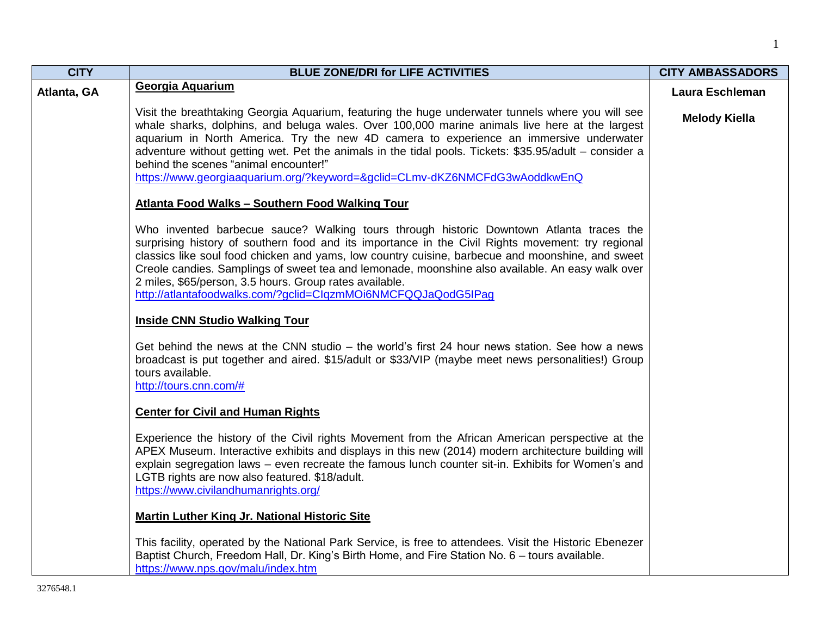| <b>CITY</b> | <b>BLUE ZONE/DRI for LIFE ACTIVITIES</b>                                                                                                                                                                                                                                                                                                                                                                                                                                                                                         | <b>CITY AMBASSADORS</b> |
|-------------|----------------------------------------------------------------------------------------------------------------------------------------------------------------------------------------------------------------------------------------------------------------------------------------------------------------------------------------------------------------------------------------------------------------------------------------------------------------------------------------------------------------------------------|-------------------------|
| Atlanta, GA | Georgia Aquarium                                                                                                                                                                                                                                                                                                                                                                                                                                                                                                                 | Laura Eschleman         |
|             | Visit the breathtaking Georgia Aquarium, featuring the huge underwater tunnels where you will see<br>whale sharks, dolphins, and beluga wales. Over 100,000 marine animals live here at the largest<br>aquarium in North America. Try the new 4D camera to experience an immersive underwater<br>adventure without getting wet. Pet the animals in the tidal pools. Tickets: \$35.95/adult - consider a<br>behind the scenes "animal encounter!"<br>https://www.georgiaaquarium.org/?keyword=&gclid=CLmv-dKZ6NMCFdG3wAoddkwEnQ   | <b>Melody Kiella</b>    |
|             | <b>Atlanta Food Walks - Southern Food Walking Tour</b>                                                                                                                                                                                                                                                                                                                                                                                                                                                                           |                         |
|             | Who invented barbecue sauce? Walking tours through historic Downtown Atlanta traces the<br>surprising history of southern food and its importance in the Civil Rights movement: try regional<br>classics like soul food chicken and yams, low country cuisine, barbecue and moonshine, and sweet<br>Creole candies. Samplings of sweet tea and lemonade, moonshine also available. An easy walk over<br>2 miles, \$65/person, 3.5 hours. Group rates available.<br>http://atlantafoodwalks.com/?gclid=ClqzmMOi6NMCFQQJaQodG5IPag |                         |
|             | <b>Inside CNN Studio Walking Tour</b>                                                                                                                                                                                                                                                                                                                                                                                                                                                                                            |                         |
|             | Get behind the news at the CNN studio – the world's first 24 hour news station. See how a news<br>broadcast is put together and aired. \$15/adult or \$33/VIP (maybe meet news personalities!) Group<br>tours available.<br>http://tours.cnn.com/#                                                                                                                                                                                                                                                                               |                         |
|             | <b>Center for Civil and Human Rights</b>                                                                                                                                                                                                                                                                                                                                                                                                                                                                                         |                         |
|             | Experience the history of the Civil rights Movement from the African American perspective at the<br>APEX Museum. Interactive exhibits and displays in this new (2014) modern architecture building will<br>explain segregation laws - even recreate the famous lunch counter sit-in. Exhibits for Women's and<br>LGTB rights are now also featured. \$18/adult.<br>https://www.civilandhumanrights.org/                                                                                                                          |                         |
|             | <b>Martin Luther King Jr. National Historic Site</b>                                                                                                                                                                                                                                                                                                                                                                                                                                                                             |                         |
|             | This facility, operated by the National Park Service, is free to attendees. Visit the Historic Ebenezer<br>Baptist Church, Freedom Hall, Dr. King's Birth Home, and Fire Station No. 6 - tours available.<br>https://www.nps.gov/malu/index.htm                                                                                                                                                                                                                                                                                  |                         |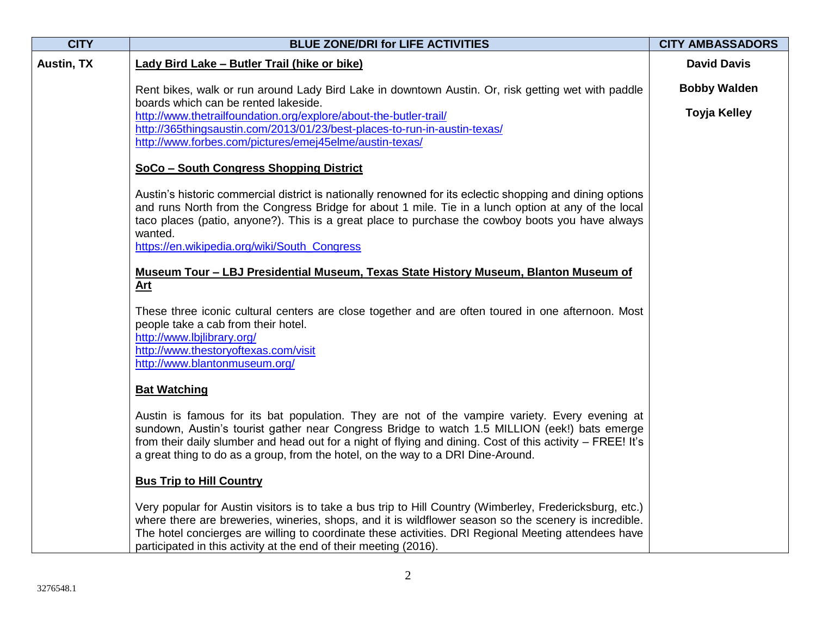| <b>CITY</b>       | <b>BLUE ZONE/DRI for LIFE ACTIVITIES</b>                                                                                                                                                                                                                                                                                                                                                          | <b>CITY AMBASSADORS</b>                    |
|-------------------|---------------------------------------------------------------------------------------------------------------------------------------------------------------------------------------------------------------------------------------------------------------------------------------------------------------------------------------------------------------------------------------------------|--------------------------------------------|
| <b>Austin, TX</b> | Lady Bird Lake - Butler Trail (hike or bike)                                                                                                                                                                                                                                                                                                                                                      | <b>David Davis</b>                         |
|                   | Rent bikes, walk or run around Lady Bird Lake in downtown Austin. Or, risk getting wet with paddle<br>boards which can be rented lakeside.<br>http://www.thetrailfoundation.org/explore/about-the-butler-trail/<br>http://365thingsaustin.com/2013/01/23/best-places-to-run-in-austin-texas/<br>http://www.forbes.com/pictures/emej45elme/austin-texas/                                           | <b>Bobby Walden</b><br><b>Toyja Kelley</b> |
|                   | SoCo - South Congress Shopping District                                                                                                                                                                                                                                                                                                                                                           |                                            |
|                   | Austin's historic commercial district is nationally renowned for its eclectic shopping and dining options<br>and runs North from the Congress Bridge for about 1 mile. Tie in a lunch option at any of the local<br>taco places (patio, anyone?). This is a great place to purchase the cowboy boots you have always<br>wanted.<br>https://en.wikipedia.org/wiki/South_Congress                   |                                            |
|                   | Museum Tour - LBJ Presidential Museum, Texas State History Museum, Blanton Museum of<br>Art                                                                                                                                                                                                                                                                                                       |                                            |
|                   | These three iconic cultural centers are close together and are often toured in one afternoon. Most<br>people take a cab from their hotel.<br>http://www.lbjlibrary.org/<br>http://www.thestoryoftexas.com/visit<br>http://www.blantonmuseum.org/                                                                                                                                                  |                                            |
|                   | <b>Bat Watching</b>                                                                                                                                                                                                                                                                                                                                                                               |                                            |
|                   | Austin is famous for its bat population. They are not of the vampire variety. Every evening at<br>sundown, Austin's tourist gather near Congress Bridge to watch 1.5 MILLION (eek!) bats emerge<br>from their daily slumber and head out for a night of flying and dining. Cost of this activity - FREE! It's<br>a great thing to do as a group, from the hotel, on the way to a DRI Dine-Around. |                                            |
|                   | <b>Bus Trip to Hill Country</b>                                                                                                                                                                                                                                                                                                                                                                   |                                            |
|                   | Very popular for Austin visitors is to take a bus trip to Hill Country (Wimberley, Fredericksburg, etc.)<br>where there are breweries, wineries, shops, and it is wildflower season so the scenery is incredible.<br>The hotel concierges are willing to coordinate these activities. DRI Regional Meeting attendees have<br>participated in this activity at the end of their meeting (2016).    |                                            |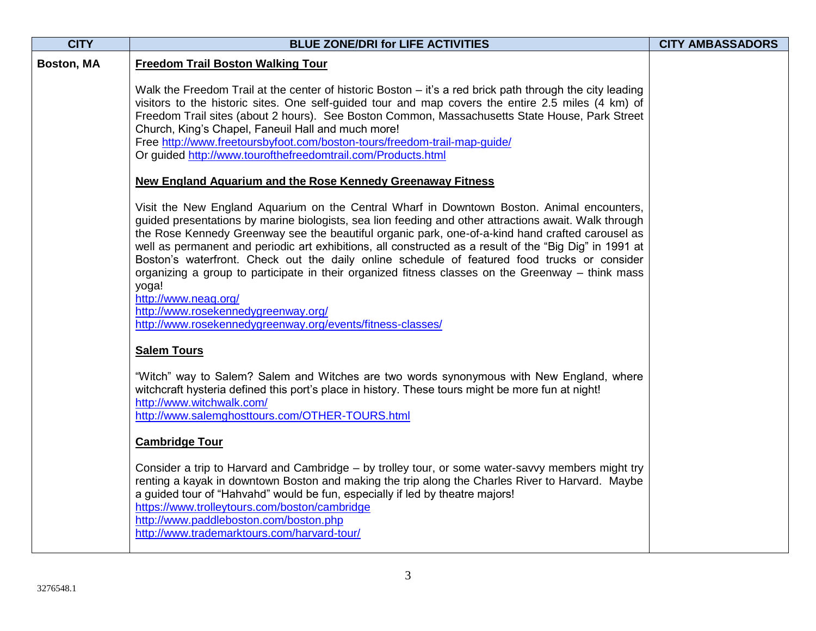| <b>CITY</b> | <b>BLUE ZONE/DRI for LIFE ACTIVITIES</b>                                                                                                                                                                                                                                                                                                                                                                                                                                                                                                                                                                                                                                                                                                                      | <b>CITY AMBASSADORS</b> |
|-------------|---------------------------------------------------------------------------------------------------------------------------------------------------------------------------------------------------------------------------------------------------------------------------------------------------------------------------------------------------------------------------------------------------------------------------------------------------------------------------------------------------------------------------------------------------------------------------------------------------------------------------------------------------------------------------------------------------------------------------------------------------------------|-------------------------|
| Boston, MA  | <b>Freedom Trail Boston Walking Tour</b>                                                                                                                                                                                                                                                                                                                                                                                                                                                                                                                                                                                                                                                                                                                      |                         |
|             | Walk the Freedom Trail at the center of historic Boston – it's a red brick path through the city leading<br>visitors to the historic sites. One self-guided tour and map covers the entire 2.5 miles (4 km) of<br>Freedom Trail sites (about 2 hours). See Boston Common, Massachusetts State House, Park Street<br>Church, King's Chapel, Faneuil Hall and much more!<br>Free http://www.freetoursbyfoot.com/boston-tours/freedom-trail-map-guide/<br>Or guided http://www.tourofthefreedomtrail.com/Products.html                                                                                                                                                                                                                                           |                         |
|             | <b>New England Aquarium and the Rose Kennedy Greenaway Fitness</b>                                                                                                                                                                                                                                                                                                                                                                                                                                                                                                                                                                                                                                                                                            |                         |
|             | Visit the New England Aquarium on the Central Wharf in Downtown Boston. Animal encounters,<br>guided presentations by marine biologists, sea lion feeding and other attractions await. Walk through<br>the Rose Kennedy Greenway see the beautiful organic park, one-of-a-kind hand crafted carousel as<br>well as permanent and periodic art exhibitions, all constructed as a result of the "Big Dig" in 1991 at<br>Boston's waterfront. Check out the daily online schedule of featured food trucks or consider<br>organizing a group to participate in their organized fitness classes on the Greenway - think mass<br>yoga!<br>http://www.neaq.org/<br>http://www.rosekennedygreenway.org/<br>http://www.rosekennedygreenway.org/events/fitness-classes/ |                         |
|             | <b>Salem Tours</b>                                                                                                                                                                                                                                                                                                                                                                                                                                                                                                                                                                                                                                                                                                                                            |                         |
|             | "Witch" way to Salem? Salem and Witches are two words synonymous with New England, where<br>witchcraft hysteria defined this port's place in history. These tours might be more fun at night!<br>http://www.witchwalk.com/<br>http://www.salemghosttours.com/OTHER-TOURS.html                                                                                                                                                                                                                                                                                                                                                                                                                                                                                 |                         |
|             | <b>Cambridge Tour</b>                                                                                                                                                                                                                                                                                                                                                                                                                                                                                                                                                                                                                                                                                                                                         |                         |
|             | Consider a trip to Harvard and Cambridge – by trolley tour, or some water-savvy members might try<br>renting a kayak in downtown Boston and making the trip along the Charles River to Harvard. Maybe<br>a guided tour of "Hahvahd" would be fun, especially if led by theatre majors!<br>https://www.trolleytours.com/boston/cambridge<br>http://www.paddleboston.com/boston.php<br>http://www.trademarktours.com/harvard-tour/                                                                                                                                                                                                                                                                                                                              |                         |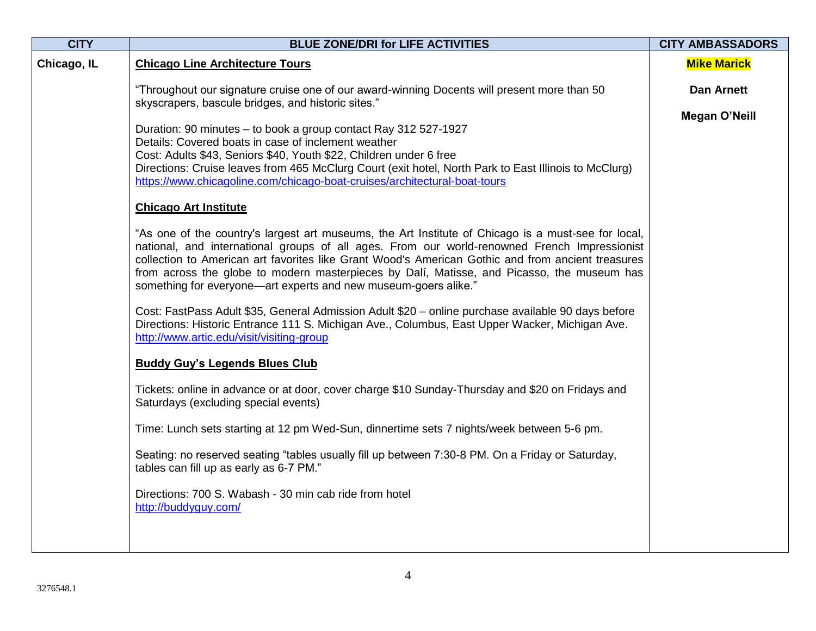| <b>CITY</b> | <b>BLUE ZONE/DRI for LIFE ACTIVITIES</b>                                                                                                                                                                                                                                                                                                                                                                                                                                  | <b>CITY AMBASSADORS</b> |
|-------------|---------------------------------------------------------------------------------------------------------------------------------------------------------------------------------------------------------------------------------------------------------------------------------------------------------------------------------------------------------------------------------------------------------------------------------------------------------------------------|-------------------------|
| Chicago, IL | <b>Chicago Line Architecture Tours</b>                                                                                                                                                                                                                                                                                                                                                                                                                                    | <b>Mike Marick</b>      |
|             | "Throughout our signature cruise one of our award-winning Docents will present more than 50<br>skyscrapers, bascule bridges, and historic sites."                                                                                                                                                                                                                                                                                                                         | <b>Dan Arnett</b>       |
|             | Duration: 90 minutes - to book a group contact Ray 312 527-1927<br>Details: Covered boats in case of inclement weather<br>Cost: Adults \$43, Seniors \$40, Youth \$22, Children under 6 free<br>Directions: Cruise leaves from 465 McClurg Court (exit hotel, North Park to East Illinois to McClurg)<br>https://www.chicagoline.com/chicago-boat-cruises/architectural-boat-tours                                                                                        | <b>Megan O'Neill</b>    |
|             | <b>Chicago Art Institute</b>                                                                                                                                                                                                                                                                                                                                                                                                                                              |                         |
|             | "As one of the country's largest art museums, the Art Institute of Chicago is a must-see for local,<br>national, and international groups of all ages. From our world-renowned French Impressionist<br>collection to American art favorites like Grant Wood's American Gothic and from ancient treasures<br>from across the globe to modern masterpieces by Dalí, Matisse, and Picasso, the museum has<br>something for everyone—art experts and new museum-goers alike." |                         |
|             | Cost: FastPass Adult \$35, General Admission Adult \$20 - online purchase available 90 days before<br>Directions: Historic Entrance 111 S. Michigan Ave., Columbus, East Upper Wacker, Michigan Ave.<br>http://www.artic.edu/visit/visiting-group                                                                                                                                                                                                                         |                         |
|             | <b>Buddy Guy's Legends Blues Club</b>                                                                                                                                                                                                                                                                                                                                                                                                                                     |                         |
|             | Tickets: online in advance or at door, cover charge \$10 Sunday-Thursday and \$20 on Fridays and<br>Saturdays (excluding special events)                                                                                                                                                                                                                                                                                                                                  |                         |
|             | Time: Lunch sets starting at 12 pm Wed-Sun, dinnertime sets 7 nights/week between 5-6 pm.                                                                                                                                                                                                                                                                                                                                                                                 |                         |
|             | Seating: no reserved seating "tables usually fill up between 7:30-8 PM. On a Friday or Saturday,<br>tables can fill up as early as 6-7 PM."                                                                                                                                                                                                                                                                                                                               |                         |
|             | Directions: 700 S. Wabash - 30 min cab ride from hotel<br>http://buddyguy.com/                                                                                                                                                                                                                                                                                                                                                                                            |                         |
|             |                                                                                                                                                                                                                                                                                                                                                                                                                                                                           |                         |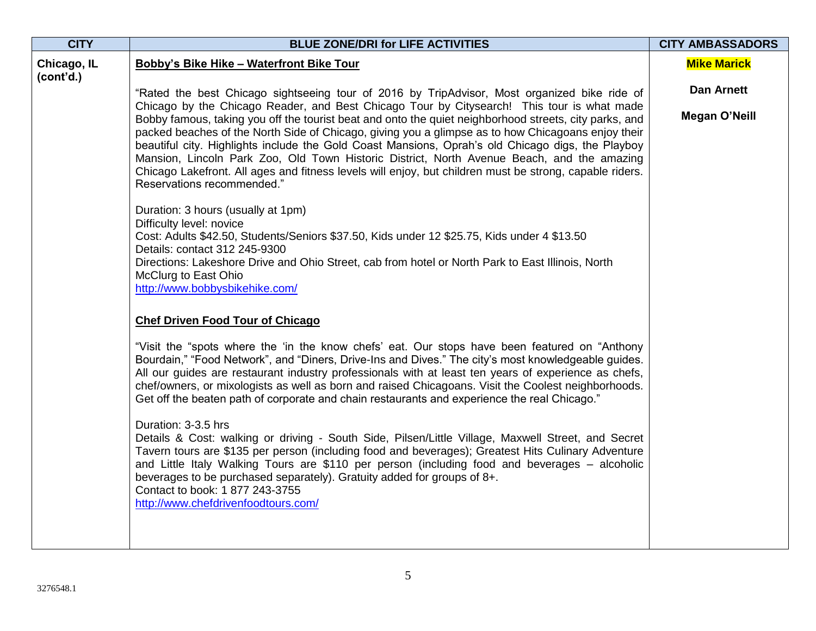| <b>CITY</b>              | <b>BLUE ZONE/DRI for LIFE ACTIVITIES</b>                                                                                                                                                                                                                                                                                                                                                                                                                                                                                                                                                                                                               | <b>CITY AMBASSADORS</b> |
|--------------------------|--------------------------------------------------------------------------------------------------------------------------------------------------------------------------------------------------------------------------------------------------------------------------------------------------------------------------------------------------------------------------------------------------------------------------------------------------------------------------------------------------------------------------------------------------------------------------------------------------------------------------------------------------------|-------------------------|
| Chicago, IL<br>(cont'd.) | <b>Bobby's Bike Hike - Waterfront Bike Tour</b>                                                                                                                                                                                                                                                                                                                                                                                                                                                                                                                                                                                                        | <b>Mike Marick</b>      |
|                          | "Rated the best Chicago sightseeing tour of 2016 by TripAdvisor, Most organized bike ride of                                                                                                                                                                                                                                                                                                                                                                                                                                                                                                                                                           | <b>Dan Arnett</b>       |
|                          | Chicago by the Chicago Reader, and Best Chicago Tour by Citysearch! This tour is what made<br>Bobby famous, taking you off the tourist beat and onto the quiet neighborhood streets, city parks, and<br>packed beaches of the North Side of Chicago, giving you a glimpse as to how Chicagoans enjoy their<br>beautiful city. Highlights include the Gold Coast Mansions, Oprah's old Chicago digs, the Playboy<br>Mansion, Lincoln Park Zoo, Old Town Historic District, North Avenue Beach, and the amazing<br>Chicago Lakefront. All ages and fitness levels will enjoy, but children must be strong, capable riders.<br>Reservations recommended." | <b>Megan O'Neill</b>    |
|                          | Duration: 3 hours (usually at 1pm)<br>Difficulty level: novice<br>Cost: Adults \$42.50, Students/Seniors \$37.50, Kids under 12 \$25.75, Kids under 4 \$13.50<br>Details: contact 312 245-9300<br>Directions: Lakeshore Drive and Ohio Street, cab from hotel or North Park to East Illinois, North                                                                                                                                                                                                                                                                                                                                                    |                         |
|                          | McClurg to East Ohio<br>http://www.bobbysbikehike.com/<br><b>Chef Driven Food Tour of Chicago</b>                                                                                                                                                                                                                                                                                                                                                                                                                                                                                                                                                      |                         |
|                          | "Visit the "spots where the 'in the know chefs' eat. Our stops have been featured on "Anthony"                                                                                                                                                                                                                                                                                                                                                                                                                                                                                                                                                         |                         |
|                          | Bourdain," "Food Network", and "Diners, Drive-Ins and Dives." The city's most knowledgeable guides.<br>All our guides are restaurant industry professionals with at least ten years of experience as chefs,<br>chef/owners, or mixologists as well as born and raised Chicagoans. Visit the Coolest neighborhoods.<br>Get off the beaten path of corporate and chain restaurants and experience the real Chicago."                                                                                                                                                                                                                                     |                         |
|                          | Duration: 3-3.5 hrs<br>Details & Cost: walking or driving - South Side, Pilsen/Little Village, Maxwell Street, and Secret<br>Tavern tours are \$135 per person (including food and beverages); Greatest Hits Culinary Adventure<br>and Little Italy Walking Tours are \$110 per person (including food and beverages – alcoholic<br>beverages to be purchased separately). Gratuity added for groups of 8+.<br>Contact to book: 1 877 243-3755<br>http://www.chefdrivenfoodtours.com/                                                                                                                                                                  |                         |
|                          |                                                                                                                                                                                                                                                                                                                                                                                                                                                                                                                                                                                                                                                        |                         |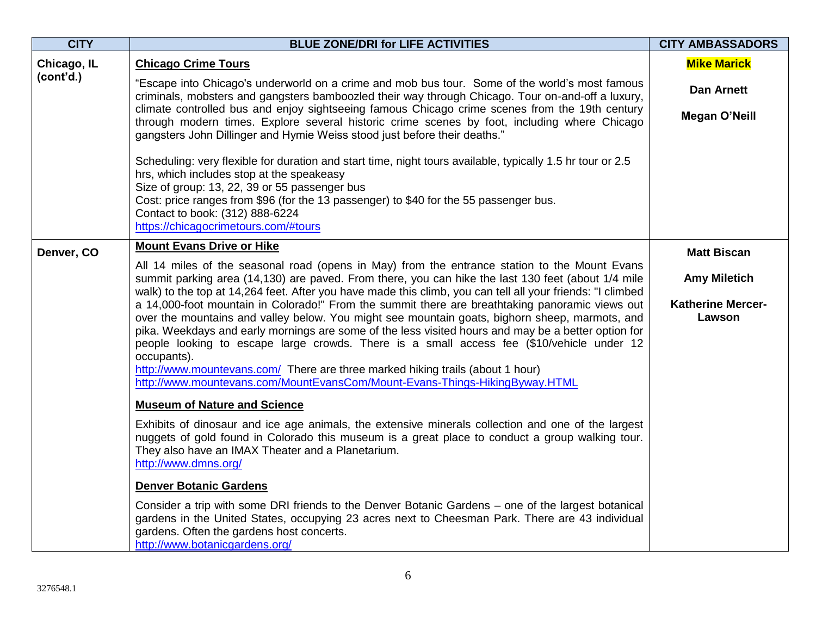| <b>CITY</b> | <b>BLUE ZONE/DRI for LIFE ACTIVITIES</b>                                                                                                                                                                                                                                                                                                                                                                                                                                                                                                                                              | <b>CITY AMBASSADORS</b>            |
|-------------|---------------------------------------------------------------------------------------------------------------------------------------------------------------------------------------------------------------------------------------------------------------------------------------------------------------------------------------------------------------------------------------------------------------------------------------------------------------------------------------------------------------------------------------------------------------------------------------|------------------------------------|
| Chicago, IL | <b>Chicago Crime Tours</b>                                                                                                                                                                                                                                                                                                                                                                                                                                                                                                                                                            | <b>Mike Marick</b>                 |
| (cont'd.)   | "Escape into Chicago's underworld on a crime and mob bus tour. Some of the world's most famous<br>criminals, mobsters and gangsters bamboozled their way through Chicago. Tour on-and-off a luxury,                                                                                                                                                                                                                                                                                                                                                                                   | <b>Dan Arnett</b>                  |
|             | climate controlled bus and enjoy sightseeing famous Chicago crime scenes from the 19th century<br>through modern times. Explore several historic crime scenes by foot, including where Chicago<br>gangsters John Dillinger and Hymie Weiss stood just before their deaths."                                                                                                                                                                                                                                                                                                           | <b>Megan O'Neill</b>               |
|             | Scheduling: very flexible for duration and start time, night tours available, typically 1.5 hr tour or 2.5<br>hrs, which includes stop at the speakeasy<br>Size of group: 13, 22, 39 or 55 passenger bus<br>Cost: price ranges from \$96 (for the 13 passenger) to \$40 for the 55 passenger bus.<br>Contact to book: (312) 888-6224<br>https://chicagocrimetours.com/#tours                                                                                                                                                                                                          |                                    |
| Denver, CO  | <b>Mount Evans Drive or Hike</b>                                                                                                                                                                                                                                                                                                                                                                                                                                                                                                                                                      | <b>Matt Biscan</b>                 |
|             | All 14 miles of the seasonal road (opens in May) from the entrance station to the Mount Evans<br>summit parking area (14,130) are paved. From there, you can hike the last 130 feet (about 1/4 mile<br>walk) to the top at 14,264 feet. After you have made this climb, you can tell all your friends: "I climbed                                                                                                                                                                                                                                                                     | <b>Amy Miletich</b>                |
|             | a 14,000-foot mountain in Colorado!" From the summit there are breathtaking panoramic views out<br>over the mountains and valley below. You might see mountain goats, bighorn sheep, marmots, and<br>pika. Weekdays and early mornings are some of the less visited hours and may be a better option for<br>people looking to escape large crowds. There is a small access fee (\$10/vehicle under 12<br>occupants).<br>http://www.mountevans.com/ There are three marked hiking trails (about 1 hour)<br>http://www.mountevans.com/MountEvansCom/Mount-Evans-Things-HikingByway.HTML | <b>Katherine Mercer-</b><br>Lawson |
|             | <b>Museum of Nature and Science</b>                                                                                                                                                                                                                                                                                                                                                                                                                                                                                                                                                   |                                    |
|             | Exhibits of dinosaur and ice age animals, the extensive minerals collection and one of the largest<br>nuggets of gold found in Colorado this museum is a great place to conduct a group walking tour.<br>They also have an IMAX Theater and a Planetarium.<br>http://www.dmns.org/                                                                                                                                                                                                                                                                                                    |                                    |
|             | Denver Botanic Gardens                                                                                                                                                                                                                                                                                                                                                                                                                                                                                                                                                                |                                    |
|             | Consider a trip with some DRI friends to the Denver Botanic Gardens - one of the largest botanical<br>gardens in the United States, occupying 23 acres next to Cheesman Park. There are 43 individual<br>gardens. Often the gardens host concerts.<br>http://www.botanicgardens.org/                                                                                                                                                                                                                                                                                                  |                                    |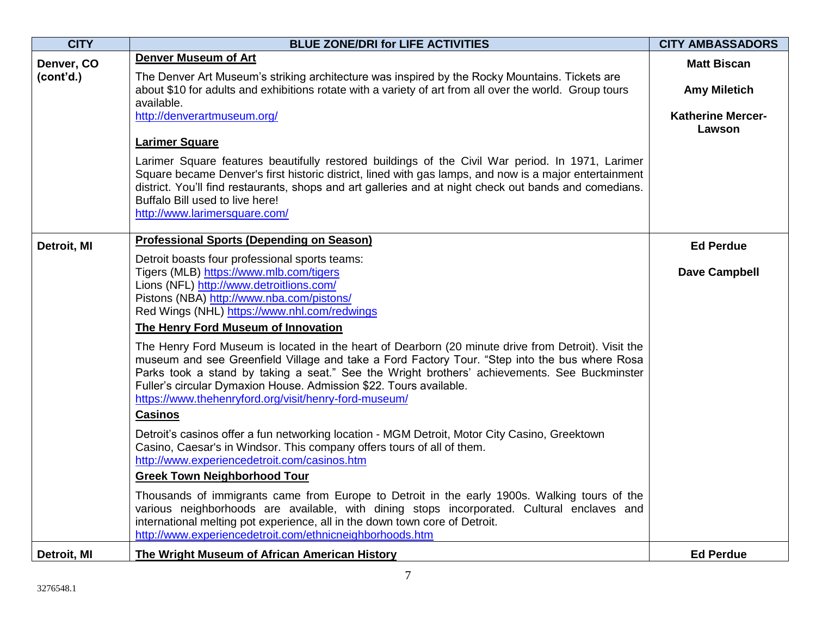| <b>CITY</b> | <b>BLUE ZONE/DRI for LIFE ACTIVITIES</b>                                                                                                                                                                                                                                                                                                                                                                                            | <b>CITY AMBASSADORS</b>            |
|-------------|-------------------------------------------------------------------------------------------------------------------------------------------------------------------------------------------------------------------------------------------------------------------------------------------------------------------------------------------------------------------------------------------------------------------------------------|------------------------------------|
| Denver, CO  | <b>Denver Museum of Art</b>                                                                                                                                                                                                                                                                                                                                                                                                         | <b>Matt Biscan</b>                 |
| (cont'd.)   | The Denver Art Museum's striking architecture was inspired by the Rocky Mountains. Tickets are<br>about \$10 for adults and exhibitions rotate with a variety of art from all over the world. Group tours<br>available.                                                                                                                                                                                                             | <b>Amy Miletich</b>                |
|             | http://denverartmuseum.org/                                                                                                                                                                                                                                                                                                                                                                                                         | <b>Katherine Mercer-</b><br>Lawson |
|             | <b>Larimer Square</b>                                                                                                                                                                                                                                                                                                                                                                                                               |                                    |
|             | Larimer Square features beautifully restored buildings of the Civil War period. In 1971, Larimer<br>Square became Denver's first historic district, lined with gas lamps, and now is a major entertainment<br>district. You'll find restaurants, shops and art galleries and at night check out bands and comedians.<br>Buffalo Bill used to live here!<br>http://www.larimersquare.com/                                            |                                    |
| Detroit, MI | <b>Professional Sports (Depending on Season)</b>                                                                                                                                                                                                                                                                                                                                                                                    | <b>Ed Perdue</b>                   |
|             | Detroit boasts four professional sports teams:                                                                                                                                                                                                                                                                                                                                                                                      |                                    |
|             | Tigers (MLB) https://www.mlb.com/tigers<br>Lions (NFL) http://www.detroitlions.com/                                                                                                                                                                                                                                                                                                                                                 | <b>Dave Campbell</b>               |
|             | Pistons (NBA) http://www.nba.com/pistons/                                                                                                                                                                                                                                                                                                                                                                                           |                                    |
|             | Red Wings (NHL) https://www.nhl.com/redwings                                                                                                                                                                                                                                                                                                                                                                                        |                                    |
|             | The Henry Ford Museum of Innovation                                                                                                                                                                                                                                                                                                                                                                                                 |                                    |
|             | The Henry Ford Museum is located in the heart of Dearborn (20 minute drive from Detroit). Visit the<br>museum and see Greenfield Village and take a Ford Factory Tour. "Step into the bus where Rosa<br>Parks took a stand by taking a seat." See the Wright brothers' achievements. See Buckminster<br>Fuller's circular Dymaxion House. Admission \$22. Tours available.<br>https://www.thehenryford.org/visit/henry-ford-museum/ |                                    |
|             | <b>Casinos</b>                                                                                                                                                                                                                                                                                                                                                                                                                      |                                    |
|             | Detroit's casinos offer a fun networking location - MGM Detroit, Motor City Casino, Greektown<br>Casino, Caesar's in Windsor. This company offers tours of all of them.<br>http://www.experiencedetroit.com/casinos.htm                                                                                                                                                                                                             |                                    |
|             | <b>Greek Town Neighborhood Tour</b>                                                                                                                                                                                                                                                                                                                                                                                                 |                                    |
|             | Thousands of immigrants came from Europe to Detroit in the early 1900s. Walking tours of the<br>various neighborhoods are available, with dining stops incorporated. Cultural enclaves and<br>international melting pot experience, all in the down town core of Detroit.<br>http://www.experiencedetroit.com/ethnicneighborhoods.htm                                                                                               |                                    |
| Detroit, MI | <b>The Wright Museum of African American History</b>                                                                                                                                                                                                                                                                                                                                                                                | <b>Ed Perdue</b>                   |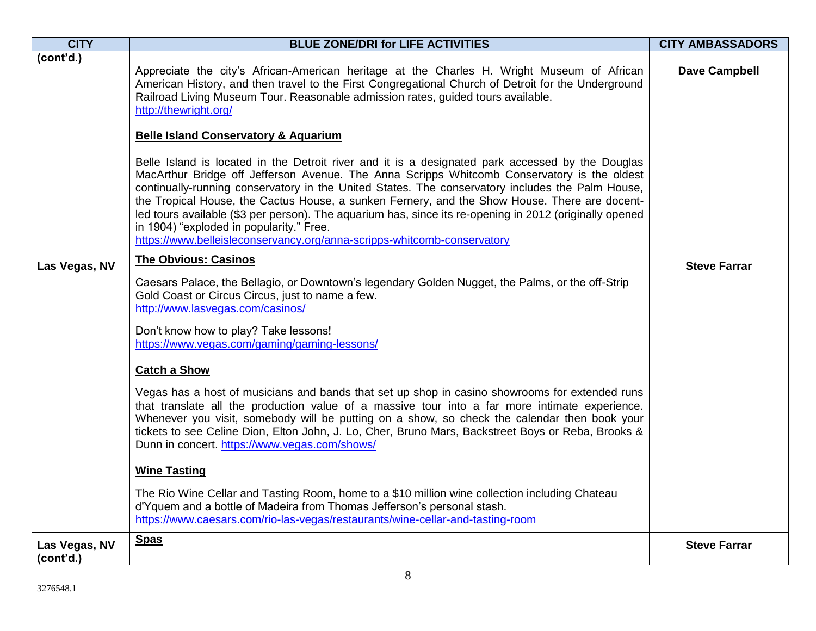| <b>CITY</b>                | <b>BLUE ZONE/DRI for LIFE ACTIVITIES</b>                                                                                                                                                                                                                                                                                                                                                                                                                                                                                                                                                                                               | <b>CITY AMBASSADORS</b> |
|----------------------------|----------------------------------------------------------------------------------------------------------------------------------------------------------------------------------------------------------------------------------------------------------------------------------------------------------------------------------------------------------------------------------------------------------------------------------------------------------------------------------------------------------------------------------------------------------------------------------------------------------------------------------------|-------------------------|
| (cont'd.)                  | Appreciate the city's African-American heritage at the Charles H. Wright Museum of African<br>American History, and then travel to the First Congregational Church of Detroit for the Underground<br>Railroad Living Museum Tour. Reasonable admission rates, guided tours available.<br>http://thewright.org/                                                                                                                                                                                                                                                                                                                         | <b>Dave Campbell</b>    |
|                            | <b>Belle Island Conservatory &amp; Aquarium</b>                                                                                                                                                                                                                                                                                                                                                                                                                                                                                                                                                                                        |                         |
|                            | Belle Island is located in the Detroit river and it is a designated park accessed by the Douglas<br>MacArthur Bridge off Jefferson Avenue. The Anna Scripps Whitcomb Conservatory is the oldest<br>continually-running conservatory in the United States. The conservatory includes the Palm House,<br>the Tropical House, the Cactus House, a sunken Fernery, and the Show House. There are docent-<br>led tours available (\$3 per person). The aquarium has, since its re-opening in 2012 (originally opened<br>in 1904) "exploded in popularity." Free.<br>https://www.belleisleconservancy.org/anna-scripps-whitcomb-conservatory |                         |
| Las Vegas, NV              | <b>The Obvious: Casinos</b>                                                                                                                                                                                                                                                                                                                                                                                                                                                                                                                                                                                                            | <b>Steve Farrar</b>     |
|                            | Caesars Palace, the Bellagio, or Downtown's legendary Golden Nugget, the Palms, or the off-Strip<br>Gold Coast or Circus Circus, just to name a few.<br>http://www.lasvegas.com/casinos/<br>Don't know how to play? Take lessons!<br>https://www.vegas.com/gaming/gaming-lessons/                                                                                                                                                                                                                                                                                                                                                      |                         |
|                            | <b>Catch a Show</b>                                                                                                                                                                                                                                                                                                                                                                                                                                                                                                                                                                                                                    |                         |
|                            | Vegas has a host of musicians and bands that set up shop in casino showrooms for extended runs<br>that translate all the production value of a massive tour into a far more intimate experience.<br>Whenever you visit, somebody will be putting on a show, so check the calendar then book your<br>tickets to see Celine Dion, Elton John, J. Lo, Cher, Bruno Mars, Backstreet Boys or Reba, Brooks &<br>Dunn in concert. https://www.vegas.com/shows/                                                                                                                                                                                |                         |
|                            | <b>Wine Tasting</b>                                                                                                                                                                                                                                                                                                                                                                                                                                                                                                                                                                                                                    |                         |
|                            | The Rio Wine Cellar and Tasting Room, home to a \$10 million wine collection including Chateau<br>d'Yquem and a bottle of Madeira from Thomas Jefferson's personal stash.<br>https://www.caesars.com/rio-las-vegas/restaurants/wine-cellar-and-tasting-room                                                                                                                                                                                                                                                                                                                                                                            |                         |
| Las Vegas, NV<br>(cont'd.) | <b>Spas</b>                                                                                                                                                                                                                                                                                                                                                                                                                                                                                                                                                                                                                            | <b>Steve Farrar</b>     |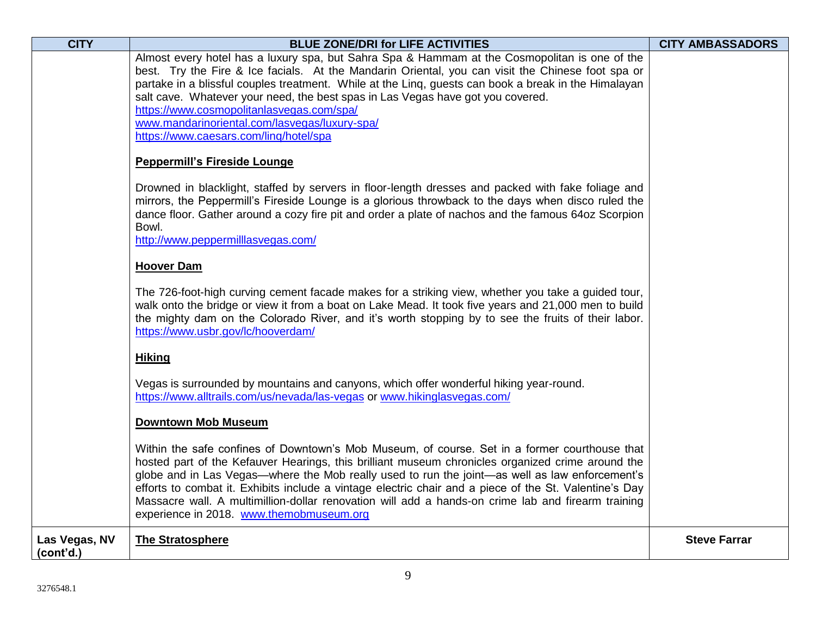| <b>CITY</b>                | <b>BLUE ZONE/DRI for LIFE ACTIVITIES</b>                                                                                                                                                                                                                                                                                                                                                                                                                                                                                                                         | <b>CITY AMBASSADORS</b> |
|----------------------------|------------------------------------------------------------------------------------------------------------------------------------------------------------------------------------------------------------------------------------------------------------------------------------------------------------------------------------------------------------------------------------------------------------------------------------------------------------------------------------------------------------------------------------------------------------------|-------------------------|
|                            | Almost every hotel has a luxury spa, but Sahra Spa & Hammam at the Cosmopolitan is one of the                                                                                                                                                                                                                                                                                                                                                                                                                                                                    |                         |
|                            | best. Try the Fire & Ice facials. At the Mandarin Oriental, you can visit the Chinese foot spa or<br>partake in a blissful couples treatment. While at the Ling, guests can book a break in the Himalayan                                                                                                                                                                                                                                                                                                                                                        |                         |
|                            | salt cave. Whatever your need, the best spas in Las Vegas have got you covered.                                                                                                                                                                                                                                                                                                                                                                                                                                                                                  |                         |
|                            | https://www.cosmopolitanlasvegas.com/spa/                                                                                                                                                                                                                                                                                                                                                                                                                                                                                                                        |                         |
|                            | www.mandarinoriental.com/lasvegas/luxury-spa/                                                                                                                                                                                                                                                                                                                                                                                                                                                                                                                    |                         |
|                            | https://www.caesars.com/ling/hotel/spa                                                                                                                                                                                                                                                                                                                                                                                                                                                                                                                           |                         |
|                            | <b>Peppermill's Fireside Lounge</b>                                                                                                                                                                                                                                                                                                                                                                                                                                                                                                                              |                         |
|                            | Drowned in blacklight, staffed by servers in floor-length dresses and packed with fake foliage and<br>mirrors, the Peppermill's Fireside Lounge is a glorious throwback to the days when disco ruled the<br>dance floor. Gather around a cozy fire pit and order a plate of nachos and the famous 64oz Scorpion<br>Bowl.<br>http://www.peppermilllasvegas.com/                                                                                                                                                                                                   |                         |
|                            | <b>Hoover Dam</b>                                                                                                                                                                                                                                                                                                                                                                                                                                                                                                                                                |                         |
|                            | The 726-foot-high curving cement facade makes for a striking view, whether you take a guided tour,<br>walk onto the bridge or view it from a boat on Lake Mead. It took five years and 21,000 men to build<br>the mighty dam on the Colorado River, and it's worth stopping by to see the fruits of their labor.<br>https://www.usbr.gov/lc/hooverdam/                                                                                                                                                                                                           |                         |
|                            | <b>Hiking</b>                                                                                                                                                                                                                                                                                                                                                                                                                                                                                                                                                    |                         |
|                            | Vegas is surrounded by mountains and canyons, which offer wonderful hiking year-round.<br>https://www.alltrails.com/us/nevada/las-vegas or www.hikinglasvegas.com/                                                                                                                                                                                                                                                                                                                                                                                               |                         |
|                            | <b>Downtown Mob Museum</b>                                                                                                                                                                                                                                                                                                                                                                                                                                                                                                                                       |                         |
|                            | Within the safe confines of Downtown's Mob Museum, of course. Set in a former courthouse that<br>hosted part of the Kefauver Hearings, this brilliant museum chronicles organized crime around the<br>globe and in Las Vegas—where the Mob really used to run the joint—as well as law enforcement's<br>efforts to combat it. Exhibits include a vintage electric chair and a piece of the St. Valentine's Day<br>Massacre wall. A multimillion-dollar renovation will add a hands-on crime lab and firearm training<br>experience in 2018. www.themobmuseum.org |                         |
| Las Vegas, NV<br>(cont'd.) | <b>The Stratosphere</b>                                                                                                                                                                                                                                                                                                                                                                                                                                                                                                                                          | <b>Steve Farrar</b>     |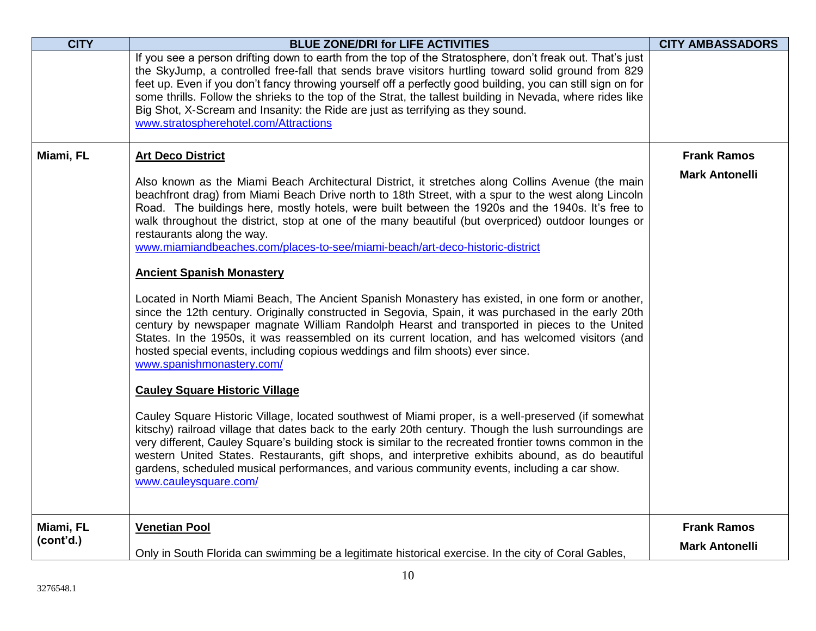| <b>CITY</b> | <b>BLUE ZONE/DRI for LIFE ACTIVITIES</b>                                                                                                                                                                                                                                                                                                                                                                                                                                                                                                                                  | <b>CITY AMBASSADORS</b> |
|-------------|---------------------------------------------------------------------------------------------------------------------------------------------------------------------------------------------------------------------------------------------------------------------------------------------------------------------------------------------------------------------------------------------------------------------------------------------------------------------------------------------------------------------------------------------------------------------------|-------------------------|
|             | If you see a person drifting down to earth from the top of the Stratosphere, don't freak out. That's just<br>the SkyJump, a controlled free-fall that sends brave visitors hurtling toward solid ground from 829<br>feet up. Even if you don't fancy throwing yourself off a perfectly good building, you can still sign on for<br>some thrills. Follow the shrieks to the top of the Strat, the tallest building in Nevada, where rides like<br>Big Shot, X-Scream and Insanity: the Ride are just as terrifying as they sound.<br>www.stratospherehotel.com/Attractions |                         |
| Miami, FL   | <b>Art Deco District</b>                                                                                                                                                                                                                                                                                                                                                                                                                                                                                                                                                  | <b>Frank Ramos</b>      |
|             | Also known as the Miami Beach Architectural District, it stretches along Collins Avenue (the main<br>beachfront drag) from Miami Beach Drive north to 18th Street, with a spur to the west along Lincoln<br>Road. The buildings here, mostly hotels, were built between the 1920s and the 1940s. It's free to<br>walk throughout the district, stop at one of the many beautiful (but overpriced) outdoor lounges or<br>restaurants along the way.<br>www.miamiandbeaches.com/places-to-see/miami-beach/art-deco-historic-district                                        | <b>Mark Antonelli</b>   |
|             | <b>Ancient Spanish Monastery</b>                                                                                                                                                                                                                                                                                                                                                                                                                                                                                                                                          |                         |
|             | Located in North Miami Beach, The Ancient Spanish Monastery has existed, in one form or another,<br>since the 12th century. Originally constructed in Segovia, Spain, it was purchased in the early 20th<br>century by newspaper magnate William Randolph Hearst and transported in pieces to the United<br>States. In the 1950s, it was reassembled on its current location, and has welcomed visitors (and<br>hosted special events, including copious weddings and film shoots) ever since.<br>www.spanishmonastery.com/                                               |                         |
|             | <b>Cauley Square Historic Village</b>                                                                                                                                                                                                                                                                                                                                                                                                                                                                                                                                     |                         |
|             | Cauley Square Historic Village, located southwest of Miami proper, is a well-preserved (if somewhat<br>kitschy) railroad village that dates back to the early 20th century. Though the lush surroundings are<br>very different, Cauley Square's building stock is similar to the recreated frontier towns common in the<br>western United States. Restaurants, gift shops, and interpretive exhibits abound, as do beautiful<br>gardens, scheduled musical performances, and various community events, including a car show.<br>www.cauleysquare.com/                     |                         |
| Miami, FL   | <b>Venetian Pool</b>                                                                                                                                                                                                                                                                                                                                                                                                                                                                                                                                                      | <b>Frank Ramos</b>      |
| (cont'd.)   | Only in South Florida can swimming be a legitimate historical exercise. In the city of Coral Gables,                                                                                                                                                                                                                                                                                                                                                                                                                                                                      | <b>Mark Antonelli</b>   |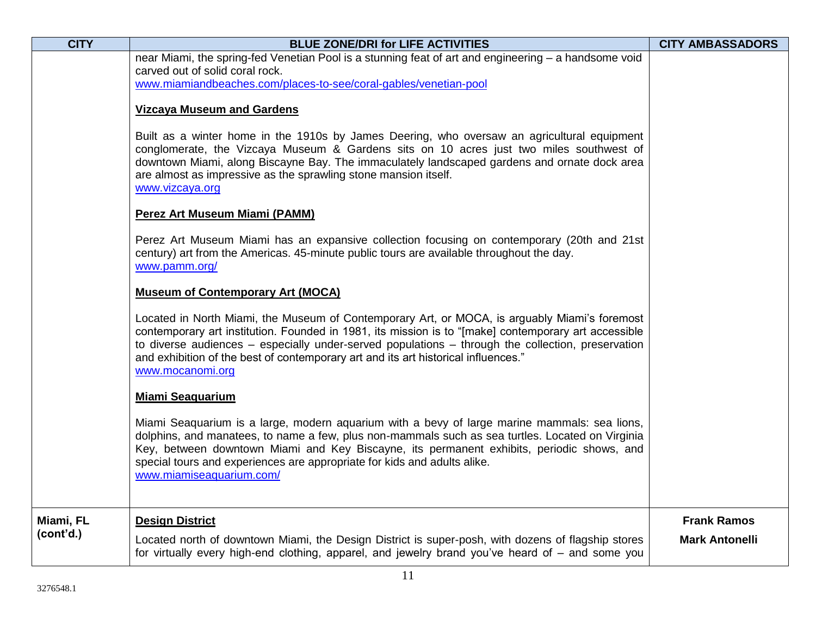| <b>CITY</b> | <b>BLUE ZONE/DRI for LIFE ACTIVITIES</b>                                                                                                                                                                                                                                                                                                                                                                                 | <b>CITY AMBASSADORS</b> |
|-------------|--------------------------------------------------------------------------------------------------------------------------------------------------------------------------------------------------------------------------------------------------------------------------------------------------------------------------------------------------------------------------------------------------------------------------|-------------------------|
|             | near Miami, the spring-fed Venetian Pool is a stunning feat of art and engineering – a handsome void<br>carved out of solid coral rock.<br>www.miamiandbeaches.com/places-to-see/coral-gables/venetian-pool                                                                                                                                                                                                              |                         |
|             | <b>Vizcaya Museum and Gardens</b>                                                                                                                                                                                                                                                                                                                                                                                        |                         |
|             | Built as a winter home in the 1910s by James Deering, who oversaw an agricultural equipment<br>conglomerate, the Vizcaya Museum & Gardens sits on 10 acres just two miles southwest of<br>downtown Miami, along Biscayne Bay. The immaculately landscaped gardens and ornate dock area<br>are almost as impressive as the sprawling stone mansion itself.<br>www.vizcaya.org                                             |                         |
|             | <b>Perez Art Museum Miami (PAMM)</b>                                                                                                                                                                                                                                                                                                                                                                                     |                         |
|             | Perez Art Museum Miami has an expansive collection focusing on contemporary (20th and 21st<br>century) art from the Americas. 45-minute public tours are available throughout the day.<br>www.pamm.org/                                                                                                                                                                                                                  |                         |
|             | <b>Museum of Contemporary Art (MOCA)</b>                                                                                                                                                                                                                                                                                                                                                                                 |                         |
|             | Located in North Miami, the Museum of Contemporary Art, or MOCA, is arguably Miami's foremost<br>contemporary art institution. Founded in 1981, its mission is to "[make] contemporary art accessible<br>to diverse audiences $-$ especially under-served populations $-$ through the collection, preservation<br>and exhibition of the best of contemporary art and its art historical influences."<br>www.mocanomi.org |                         |
|             | <b>Miami Seaquarium</b>                                                                                                                                                                                                                                                                                                                                                                                                  |                         |
|             | Miami Seaquarium is a large, modern aquarium with a bevy of large marine mammals: sea lions,<br>dolphins, and manatees, to name a few, plus non-mammals such as sea turtles. Located on Virginia<br>Key, between downtown Miami and Key Biscayne, its permanent exhibits, periodic shows, and<br>special tours and experiences are appropriate for kids and adults alike.<br>www.miamiseaquarium.com/                    |                         |
| Miami, FL   | <b>Design District</b>                                                                                                                                                                                                                                                                                                                                                                                                   | <b>Frank Ramos</b>      |
| (cont'd.)   | Located north of downtown Miami, the Design District is super-posh, with dozens of flagship stores<br>for virtually every high-end clothing, apparel, and jewelry brand you've heard of – and some you                                                                                                                                                                                                                   | <b>Mark Antonelli</b>   |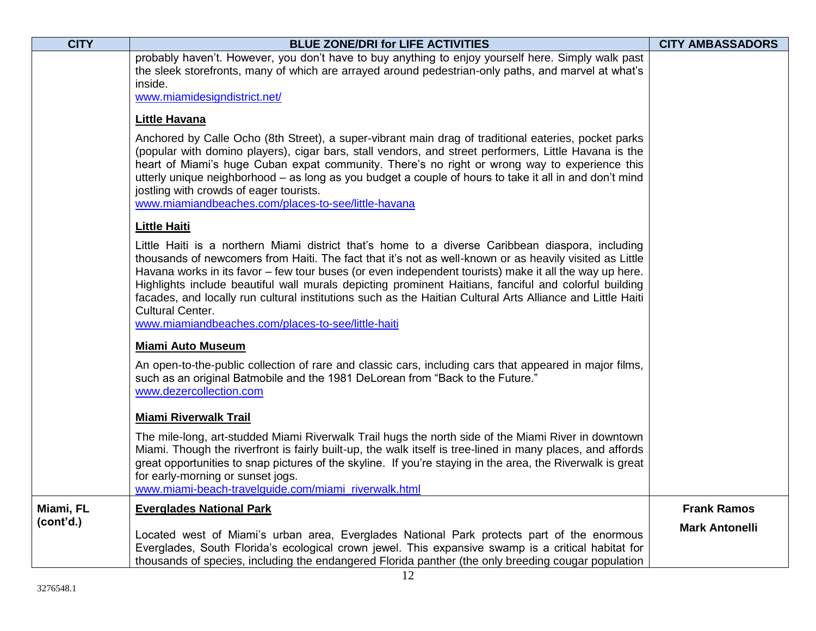| <b>CITY</b> | <b>BLUE ZONE/DRI for LIFE ACTIVITIES</b>                                                                                                                                                                                                                                                                                                                                                                                                                                                                                                                                                                                      | <b>CITY AMBASSADORS</b> |
|-------------|-------------------------------------------------------------------------------------------------------------------------------------------------------------------------------------------------------------------------------------------------------------------------------------------------------------------------------------------------------------------------------------------------------------------------------------------------------------------------------------------------------------------------------------------------------------------------------------------------------------------------------|-------------------------|
|             | probably haven't. However, you don't have to buy anything to enjoy yourself here. Simply walk past<br>the sleek storefronts, many of which are arrayed around pedestrian-only paths, and marvel at what's<br>inside.<br>www.miamidesigndistrict.net/                                                                                                                                                                                                                                                                                                                                                                          |                         |
|             | <b>Little Havana</b>                                                                                                                                                                                                                                                                                                                                                                                                                                                                                                                                                                                                          |                         |
|             | Anchored by Calle Ocho (8th Street), a super-vibrant main drag of traditional eateries, pocket parks<br>(popular with domino players), cigar bars, stall vendors, and street performers, Little Havana is the<br>heart of Miami's huge Cuban expat community. There's no right or wrong way to experience this<br>utterly unique neighborhood - as long as you budget a couple of hours to take it all in and don't mind<br>jostling with crowds of eager tourists.<br>www.miamiandbeaches.com/places-to-see/little-havana                                                                                                    |                         |
|             | <b>Little Haiti</b>                                                                                                                                                                                                                                                                                                                                                                                                                                                                                                                                                                                                           |                         |
|             | Little Haiti is a northern Miami district that's home to a diverse Caribbean diaspora, including<br>thousands of newcomers from Haiti. The fact that it's not as well-known or as heavily visited as Little<br>Havana works in its favor – few tour buses (or even independent tourists) make it all the way up here.<br>Highlights include beautiful wall murals depicting prominent Haitians, fanciful and colorful building<br>facades, and locally run cultural institutions such as the Haitian Cultural Arts Alliance and Little Haiti<br><b>Cultural Center.</b><br>www.miamiandbeaches.com/places-to-see/little-haiti |                         |
|             | <b>Miami Auto Museum</b>                                                                                                                                                                                                                                                                                                                                                                                                                                                                                                                                                                                                      |                         |
|             | An open-to-the-public collection of rare and classic cars, including cars that appeared in major films,<br>such as an original Batmobile and the 1981 DeLorean from "Back to the Future."<br>www.dezercollection.com                                                                                                                                                                                                                                                                                                                                                                                                          |                         |
|             | <b>Miami Riverwalk Trail</b>                                                                                                                                                                                                                                                                                                                                                                                                                                                                                                                                                                                                  |                         |
|             | The mile-long, art-studded Miami Riverwalk Trail hugs the north side of the Miami River in downtown<br>Miami. Though the riverfront is fairly built-up, the walk itself is tree-lined in many places, and affords<br>great opportunities to snap pictures of the skyline. If you're staying in the area, the Riverwalk is great<br>for early-morning or sunset jogs.<br>www.miami-beach-travelguide.com/miami_riverwalk.html                                                                                                                                                                                                  |                         |
| Miami, FL   | <b>Everglades National Park</b>                                                                                                                                                                                                                                                                                                                                                                                                                                                                                                                                                                                               | <b>Frank Ramos</b>      |
| (cont'd.)   | Located west of Miami's urban area, Everglades National Park protects part of the enormous<br>Everglades, South Florida's ecological crown jewel. This expansive swamp is a critical habitat for<br>thousands of species, including the endangered Florida panther (the only breeding cougar population                                                                                                                                                                                                                                                                                                                       | <b>Mark Antonelli</b>   |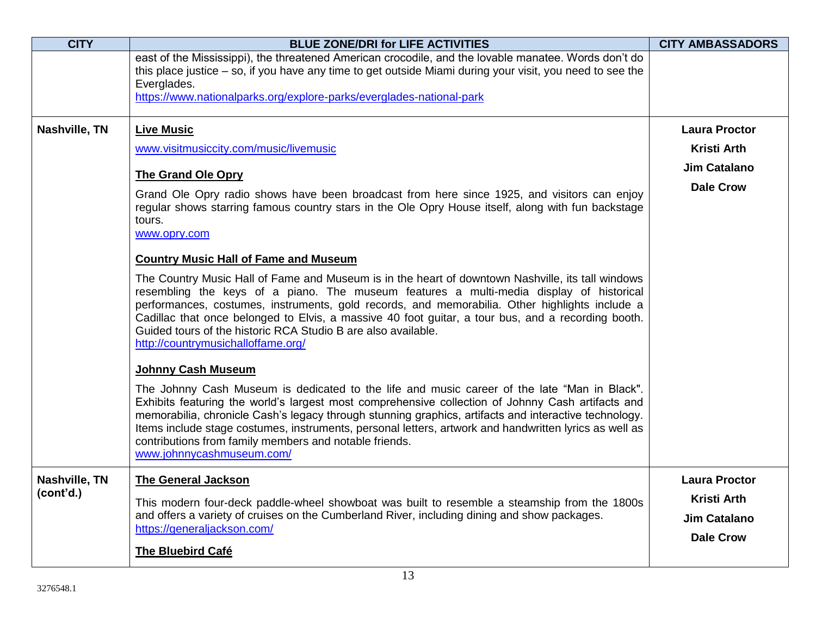| <b>CITY</b>   | <b>BLUE ZONE/DRI for LIFE ACTIVITIES</b>                                                                                                                                                                                                                                                                                                                                                                                                                                                                    | <b>CITY AMBASSADORS</b> |
|---------------|-------------------------------------------------------------------------------------------------------------------------------------------------------------------------------------------------------------------------------------------------------------------------------------------------------------------------------------------------------------------------------------------------------------------------------------------------------------------------------------------------------------|-------------------------|
|               | east of the Mississippi), the threatened American crocodile, and the lovable manatee. Words don't do<br>this place justice $-$ so, if you have any time to get outside Miami during your visit, you need to see the                                                                                                                                                                                                                                                                                         |                         |
|               | Everglades.                                                                                                                                                                                                                                                                                                                                                                                                                                                                                                 |                         |
|               | https://www.nationalparks.org/explore-parks/everglades-national-park                                                                                                                                                                                                                                                                                                                                                                                                                                        |                         |
|               |                                                                                                                                                                                                                                                                                                                                                                                                                                                                                                             |                         |
| Nashville, TN | <b>Live Music</b>                                                                                                                                                                                                                                                                                                                                                                                                                                                                                           | <b>Laura Proctor</b>    |
|               | www.visitmusiccity.com/music/livemusic                                                                                                                                                                                                                                                                                                                                                                                                                                                                      | <b>Kristi Arth</b>      |
|               | <b>The Grand Ole Opry</b>                                                                                                                                                                                                                                                                                                                                                                                                                                                                                   | <b>Jim Catalano</b>     |
|               | Grand Ole Opry radio shows have been broadcast from here since 1925, and visitors can enjoy                                                                                                                                                                                                                                                                                                                                                                                                                 | <b>Dale Crow</b>        |
|               | regular shows starring famous country stars in the Ole Opry House itself, along with fun backstage<br>tours.                                                                                                                                                                                                                                                                                                                                                                                                |                         |
|               | www.opry.com                                                                                                                                                                                                                                                                                                                                                                                                                                                                                                |                         |
|               | <b>Country Music Hall of Fame and Museum</b>                                                                                                                                                                                                                                                                                                                                                                                                                                                                |                         |
|               | The Country Music Hall of Fame and Museum is in the heart of downtown Nashville, its tall windows<br>resembling the keys of a piano. The museum features a multi-media display of historical<br>performances, costumes, instruments, gold records, and memorabilia. Other highlights include a<br>Cadillac that once belonged to Elvis, a massive 40 foot guitar, a tour bus, and a recording booth.<br>Guided tours of the historic RCA Studio B are also available.<br>http://countrymusichalloffame.org/ |                         |
|               | <b>Johnny Cash Museum</b>                                                                                                                                                                                                                                                                                                                                                                                                                                                                                   |                         |
|               | The Johnny Cash Museum is dedicated to the life and music career of the late "Man in Black".<br>Exhibits featuring the world's largest most comprehensive collection of Johnny Cash artifacts and<br>memorabilia, chronicle Cash's legacy through stunning graphics, artifacts and interactive technology.<br>Items include stage costumes, instruments, personal letters, artwork and handwritten lyrics as well as<br>contributions from family members and notable friends.<br>www.johnnycashmuseum.com/ |                         |
| Nashville, TN | <b>The General Jackson</b>                                                                                                                                                                                                                                                                                                                                                                                                                                                                                  | <b>Laura Proctor</b>    |
| (cont'd.)     | This modern four-deck paddle-wheel showboat was built to resemble a steamship from the 1800s                                                                                                                                                                                                                                                                                                                                                                                                                | <b>Kristi Arth</b>      |
|               | and offers a variety of cruises on the Cumberland River, including dining and show packages.                                                                                                                                                                                                                                                                                                                                                                                                                | <b>Jim Catalano</b>     |
|               | https://generaljackson.com/                                                                                                                                                                                                                                                                                                                                                                                                                                                                                 | <b>Dale Crow</b>        |
|               | <b>The Bluebird Café</b>                                                                                                                                                                                                                                                                                                                                                                                                                                                                                    |                         |
|               |                                                                                                                                                                                                                                                                                                                                                                                                                                                                                                             |                         |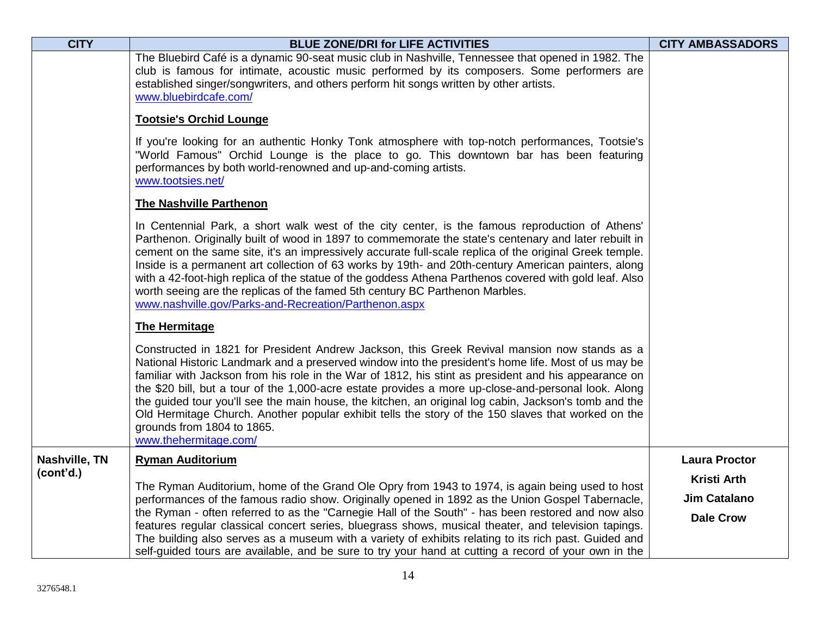| <b>CITY</b>   | <b>BLUE ZONE/DRI for LIFE ACTIVITIES</b>                                                                                                                                                                                                                                                                                                                                                                                                                                                                                                                                                                                                                                                  | <b>CITY AMBASSADORS</b> |
|---------------|-------------------------------------------------------------------------------------------------------------------------------------------------------------------------------------------------------------------------------------------------------------------------------------------------------------------------------------------------------------------------------------------------------------------------------------------------------------------------------------------------------------------------------------------------------------------------------------------------------------------------------------------------------------------------------------------|-------------------------|
|               | The Bluebird Café is a dynamic 90-seat music club in Nashville, Tennessee that opened in 1982. The<br>club is famous for intimate, acoustic music performed by its composers. Some performers are<br>established singer/songwriters, and others perform hit songs written by other artists.<br>www.bluebirdcafe.com/                                                                                                                                                                                                                                                                                                                                                                      |                         |
|               | <b>Tootsie's Orchid Lounge</b>                                                                                                                                                                                                                                                                                                                                                                                                                                                                                                                                                                                                                                                            |                         |
|               | If you're looking for an authentic Honky Tonk atmosphere with top-notch performances, Tootsie's<br>"World Famous" Orchid Lounge is the place to go. This downtown bar has been featuring<br>performances by both world-renowned and up-and-coming artists.<br>www.tootsies.net/                                                                                                                                                                                                                                                                                                                                                                                                           |                         |
|               | <b>The Nashville Parthenon</b>                                                                                                                                                                                                                                                                                                                                                                                                                                                                                                                                                                                                                                                            |                         |
|               | In Centennial Park, a short walk west of the city center, is the famous reproduction of Athens'<br>Parthenon. Originally built of wood in 1897 to commemorate the state's centenary and later rebuilt in<br>cement on the same site, it's an impressively accurate full-scale replica of the original Greek temple.<br>Inside is a permanent art collection of 63 works by 19th- and 20th-century American painters, along<br>with a 42-foot-high replica of the statue of the goddess Athena Parthenos covered with gold leaf. Also<br>worth seeing are the replicas of the famed 5th century BC Parthenon Marbles.<br>www.nashville.gov/Parks-and-Recreation/Parthenon.aspx             |                         |
|               | <b>The Hermitage</b>                                                                                                                                                                                                                                                                                                                                                                                                                                                                                                                                                                                                                                                                      |                         |
|               | Constructed in 1821 for President Andrew Jackson, this Greek Revival mansion now stands as a<br>National Historic Landmark and a preserved window into the president's home life. Most of us may be<br>familiar with Jackson from his role in the War of 1812, his stint as president and his appearance on<br>the \$20 bill, but a tour of the 1,000-acre estate provides a more up-close-and-personal look. Along<br>the guided tour you'll see the main house, the kitchen, an original log cabin, Jackson's tomb and the<br>Old Hermitage Church. Another popular exhibit tells the story of the 150 slaves that worked on the<br>grounds from 1804 to 1865.<br>www.thehermitage.com/ |                         |
| Nashville, TN | <b>Ryman Auditorium</b>                                                                                                                                                                                                                                                                                                                                                                                                                                                                                                                                                                                                                                                                   | <b>Laura Proctor</b>    |
| (cont'd.)     | The Ryman Auditorium, home of the Grand Ole Opry from 1943 to 1974, is again being used to host                                                                                                                                                                                                                                                                                                                                                                                                                                                                                                                                                                                           | <b>Kristi Arth</b>      |
|               | performances of the famous radio show. Originally opened in 1892 as the Union Gospel Tabernacle,                                                                                                                                                                                                                                                                                                                                                                                                                                                                                                                                                                                          | <b>Jim Catalano</b>     |
|               | the Ryman - often referred to as the "Carnegie Hall of the South" - has been restored and now also<br>features regular classical concert series, bluegrass shows, musical theater, and television tapings.<br>The building also serves as a museum with a variety of exhibits relating to its rich past. Guided and<br>self-guided tours are available, and be sure to try your hand at cutting a record of your own in the                                                                                                                                                                                                                                                               | <b>Dale Crow</b>        |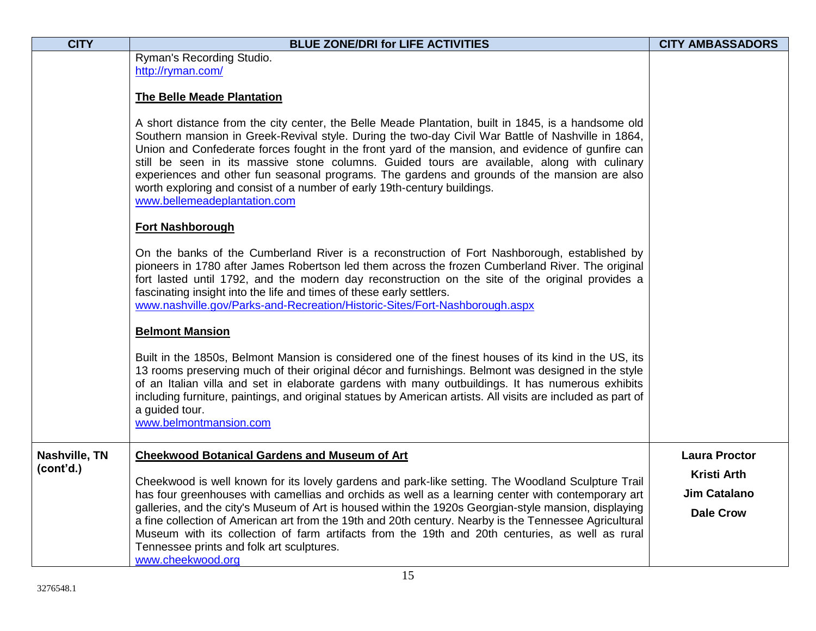| <b>CITY</b>   | <b>BLUE ZONE/DRI for LIFE ACTIVITIES</b>                                                                                                                                                                                                                                                                                                                                                                                                                                                                                                                                                                                  | <b>CITY AMBASSADORS</b>                                       |
|---------------|---------------------------------------------------------------------------------------------------------------------------------------------------------------------------------------------------------------------------------------------------------------------------------------------------------------------------------------------------------------------------------------------------------------------------------------------------------------------------------------------------------------------------------------------------------------------------------------------------------------------------|---------------------------------------------------------------|
|               | Ryman's Recording Studio.                                                                                                                                                                                                                                                                                                                                                                                                                                                                                                                                                                                                 |                                                               |
|               | http://ryman.com/                                                                                                                                                                                                                                                                                                                                                                                                                                                                                                                                                                                                         |                                                               |
|               | <b>The Belle Meade Plantation</b>                                                                                                                                                                                                                                                                                                                                                                                                                                                                                                                                                                                         |                                                               |
|               | A short distance from the city center, the Belle Meade Plantation, built in 1845, is a handsome old<br>Southern mansion in Greek-Revival style. During the two-day Civil War Battle of Nashville in 1864,<br>Union and Confederate forces fought in the front yard of the mansion, and evidence of gunfire can<br>still be seen in its massive stone columns. Guided tours are available, along with culinary<br>experiences and other fun seasonal programs. The gardens and grounds of the mansion are also<br>worth exploring and consist of a number of early 19th-century buildings.<br>www.bellemeadeplantation.com |                                                               |
|               | <b>Fort Nashborough</b>                                                                                                                                                                                                                                                                                                                                                                                                                                                                                                                                                                                                   |                                                               |
|               | On the banks of the Cumberland River is a reconstruction of Fort Nashborough, established by<br>pioneers in 1780 after James Robertson led them across the frozen Cumberland River. The original<br>fort lasted until 1792, and the modern day reconstruction on the site of the original provides a<br>fascinating insight into the life and times of these early settlers.<br>www.nashville.gov/Parks-and-Recreation/Historic-Sites/Fort-Nashborough.aspx                                                                                                                                                               |                                                               |
|               | <b>Belmont Mansion</b>                                                                                                                                                                                                                                                                                                                                                                                                                                                                                                                                                                                                    |                                                               |
|               | Built in the 1850s, Belmont Mansion is considered one of the finest houses of its kind in the US, its<br>13 rooms preserving much of their original décor and furnishings. Belmont was designed in the style<br>of an Italian villa and set in elaborate gardens with many outbuildings. It has numerous exhibits<br>including furniture, paintings, and original statues by American artists. All visits are included as part of<br>a guided tour.<br>www.belmontmansion.com                                                                                                                                             |                                                               |
| Nashville, TN | <b>Cheekwood Botanical Gardens and Museum of Art</b>                                                                                                                                                                                                                                                                                                                                                                                                                                                                                                                                                                      | <b>Laura Proctor</b>                                          |
| (cont'd.)     | Cheekwood is well known for its lovely gardens and park-like setting. The Woodland Sculpture Trail<br>has four greenhouses with camellias and orchids as well as a learning center with contemporary art<br>galleries, and the city's Museum of Art is housed within the 1920s Georgian-style mansion, displaying<br>a fine collection of American art from the 19th and 20th century. Nearby is the Tennessee Agricultural<br>Museum with its collection of farm artifacts from the 19th and 20th centuries, as well as rural<br>Tennessee prints and folk art sculptures.<br>www.cheekwood.org                          | <b>Kristi Arth</b><br><b>Jim Catalano</b><br><b>Dale Crow</b> |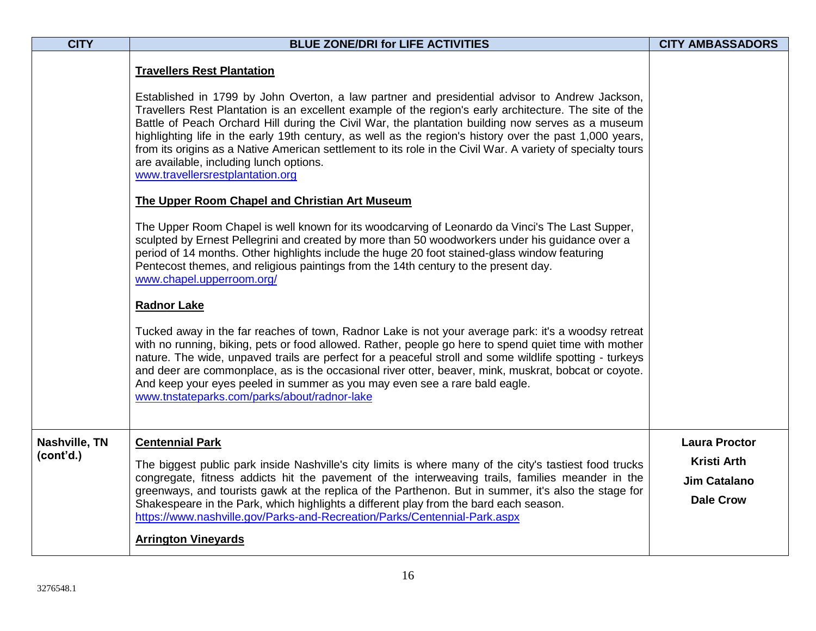| <b>CITY</b>                | <b>BLUE ZONE/DRI for LIFE ACTIVITIES</b>                                                                                                                                                                                                                                                                                                                                                                                                                                                                                                                                                                                                                                                                                                                                                                                                                                                                                                                                                                                                                                                                                                                                                                                                                                                                                                                                                                                                                                                                                                                                                                                                                                                                                        | <b>CITY AMBASSADORS</b>                                                               |
|----------------------------|---------------------------------------------------------------------------------------------------------------------------------------------------------------------------------------------------------------------------------------------------------------------------------------------------------------------------------------------------------------------------------------------------------------------------------------------------------------------------------------------------------------------------------------------------------------------------------------------------------------------------------------------------------------------------------------------------------------------------------------------------------------------------------------------------------------------------------------------------------------------------------------------------------------------------------------------------------------------------------------------------------------------------------------------------------------------------------------------------------------------------------------------------------------------------------------------------------------------------------------------------------------------------------------------------------------------------------------------------------------------------------------------------------------------------------------------------------------------------------------------------------------------------------------------------------------------------------------------------------------------------------------------------------------------------------------------------------------------------------|---------------------------------------------------------------------------------------|
|                            | <b>Travellers Rest Plantation</b><br>Established in 1799 by John Overton, a law partner and presidential advisor to Andrew Jackson,<br>Travellers Rest Plantation is an excellent example of the region's early architecture. The site of the<br>Battle of Peach Orchard Hill during the Civil War, the plantation building now serves as a museum<br>highlighting life in the early 19th century, as well as the region's history over the past 1,000 years,<br>from its origins as a Native American settlement to its role in the Civil War. A variety of specialty tours<br>are available, including lunch options.<br>www.travellersrestplantation.org<br>The Upper Room Chapel and Christian Art Museum<br>The Upper Room Chapel is well known for its woodcarving of Leonardo da Vinci's The Last Supper,<br>sculpted by Ernest Pellegrini and created by more than 50 woodworkers under his guidance over a<br>period of 14 months. Other highlights include the huge 20 foot stained-glass window featuring<br>Pentecost themes, and religious paintings from the 14th century to the present day.<br>www.chapel.upperroom.org/<br><b>Radnor Lake</b><br>Tucked away in the far reaches of town, Radnor Lake is not your average park: it's a woodsy retreat<br>with no running, biking, pets or food allowed. Rather, people go here to spend quiet time with mother<br>nature. The wide, unpaved trails are perfect for a peaceful stroll and some wildlife spotting - turkeys<br>and deer are commonplace, as is the occasional river otter, beaver, mink, muskrat, bobcat or coyote.<br>And keep your eyes peeled in summer as you may even see a rare bald eagle.<br>www.tnstateparks.com/parks/about/radnor-lake |                                                                                       |
| Nashville, TN<br>(cont'd.) | <b>Centennial Park</b><br>The biggest public park inside Nashville's city limits is where many of the city's tastiest food trucks<br>congregate, fitness addicts hit the pavement of the interweaving trails, families meander in the<br>greenways, and tourists gawk at the replica of the Parthenon. But in summer, it's also the stage for<br>Shakespeare in the Park, which highlights a different play from the bard each season.<br>https://www.nashville.gov/Parks-and-Recreation/Parks/Centennial-Park.aspx<br><b>Arrington Vineyards</b>                                                                                                                                                                                                                                                                                                                                                                                                                                                                                                                                                                                                                                                                                                                                                                                                                                                                                                                                                                                                                                                                                                                                                                               | <b>Laura Proctor</b><br><b>Kristi Arth</b><br><b>Jim Catalano</b><br><b>Dale Crow</b> |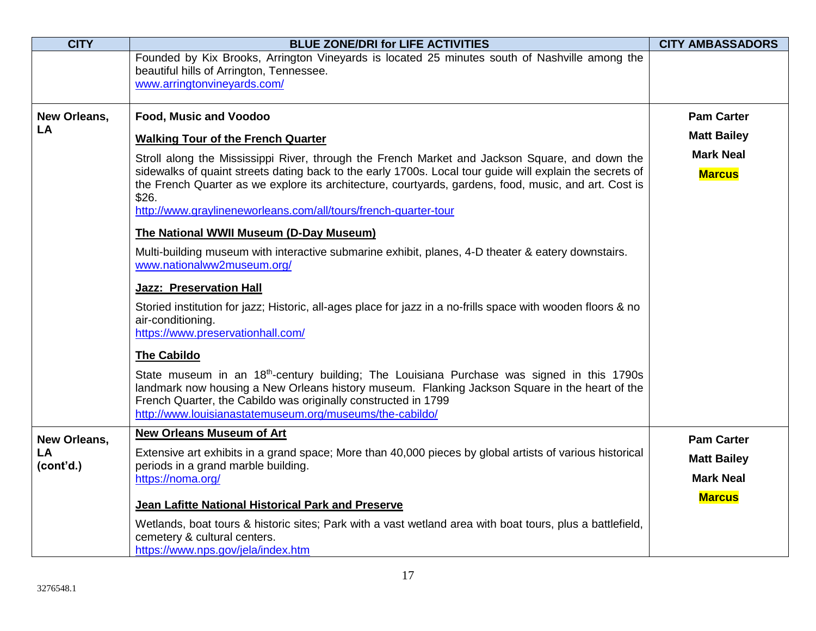| <b>CITY</b>        | <b>BLUE ZONE/DRI for LIFE ACTIVITIES</b>                                                                                                                                                                                                                                                                                               | <b>CITY AMBASSADORS</b>                |
|--------------------|----------------------------------------------------------------------------------------------------------------------------------------------------------------------------------------------------------------------------------------------------------------------------------------------------------------------------------------|----------------------------------------|
|                    | Founded by Kix Brooks, Arrington Vineyards is located 25 minutes south of Nashville among the                                                                                                                                                                                                                                          |                                        |
|                    | beautiful hills of Arrington, Tennessee.<br>www.arringtonvineyards.com/                                                                                                                                                                                                                                                                |                                        |
|                    |                                                                                                                                                                                                                                                                                                                                        |                                        |
| New Orleans,<br>LA | Food, Music and Voodoo                                                                                                                                                                                                                                                                                                                 | <b>Pam Carter</b>                      |
|                    | <b>Walking Tour of the French Quarter</b>                                                                                                                                                                                                                                                                                              | <b>Matt Bailey</b>                     |
|                    | Stroll along the Mississippi River, through the French Market and Jackson Square, and down the                                                                                                                                                                                                                                         | <b>Mark Neal</b>                       |
|                    | sidewalks of quaint streets dating back to the early 1700s. Local tour guide will explain the secrets of<br>the French Quarter as we explore its architecture, courtyards, gardens, food, music, and art. Cost is<br>\$26.                                                                                                             | <b>Marcus</b>                          |
|                    | http://www.graylineneworleans.com/all/tours/french-quarter-tour                                                                                                                                                                                                                                                                        |                                        |
|                    | The National WWII Museum (D-Day Museum)                                                                                                                                                                                                                                                                                                |                                        |
|                    | Multi-building museum with interactive submarine exhibit, planes, 4-D theater & eatery downstairs.<br>www.nationalww2museum.org/                                                                                                                                                                                                       |                                        |
|                    | <b>Jazz: Preservation Hall</b>                                                                                                                                                                                                                                                                                                         |                                        |
|                    | Storied institution for jazz; Historic, all-ages place for jazz in a no-frills space with wooden floors & no<br>air-conditioning.<br>https://www.preservationhall.com/                                                                                                                                                                 |                                        |
|                    | <b>The Cabildo</b>                                                                                                                                                                                                                                                                                                                     |                                        |
|                    | State museum in an 18 <sup>th</sup> -century building; The Louisiana Purchase was signed in this 1790s<br>landmark now housing a New Orleans history museum. Flanking Jackson Square in the heart of the<br>French Quarter, the Cabildo was originally constructed in 1799<br>http://www.louisianastatemuseum.org/museums/the-cabildo/ |                                        |
| New Orleans,       | <b>New Orleans Museum of Art</b>                                                                                                                                                                                                                                                                                                       | <b>Pam Carter</b>                      |
| LA<br>(cont'd.)    | Extensive art exhibits in a grand space; More than 40,000 pieces by global artists of various historical<br>periods in a grand marble building.<br>https://noma.org/                                                                                                                                                                   | <b>Matt Bailey</b><br><b>Mark Neal</b> |
|                    |                                                                                                                                                                                                                                                                                                                                        | <b>Marcus</b>                          |
|                    | Jean Lafitte National Historical Park and Preserve                                                                                                                                                                                                                                                                                     |                                        |
|                    | Wetlands, boat tours & historic sites; Park with a vast wetland area with boat tours, plus a battlefield,<br>cemetery & cultural centers.                                                                                                                                                                                              |                                        |
|                    | https://www.nps.gov/jela/index.htm                                                                                                                                                                                                                                                                                                     |                                        |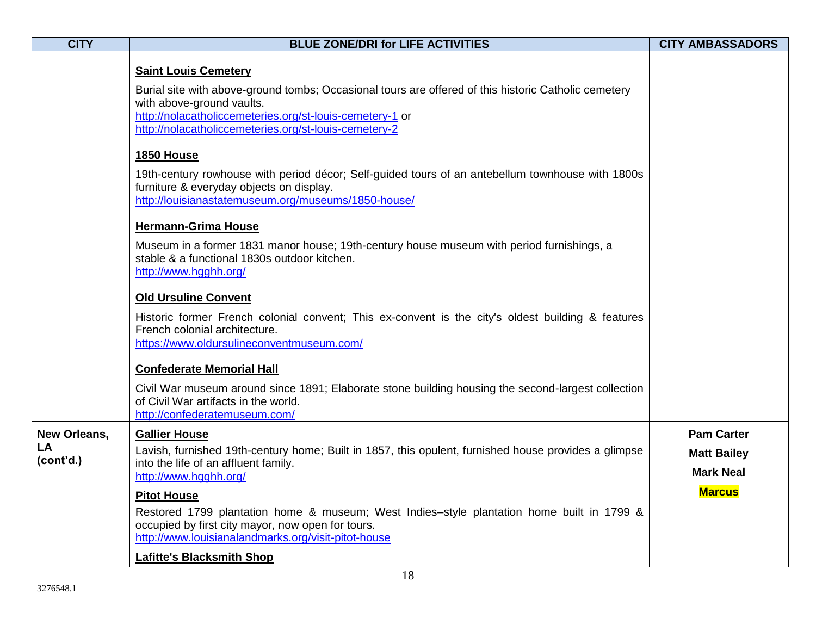| <b>CITY</b>                            | <b>BLUE ZONE/DRI for LIFE ACTIVITIES</b>                                                                                                                                                                                                                                              | <b>CITY AMBASSADORS</b>                                     |
|----------------------------------------|---------------------------------------------------------------------------------------------------------------------------------------------------------------------------------------------------------------------------------------------------------------------------------------|-------------------------------------------------------------|
|                                        | <b>Saint Louis Cemetery</b><br>Burial site with above-ground tombs; Occasional tours are offered of this historic Catholic cemetery<br>with above-ground vaults.<br>http://nolacatholiccemeteries.org/st-louis-cemetery-1 or<br>http://nolacatholiccemeteries.org/st-louis-cemetery-2 |                                                             |
|                                        | <b>1850 House</b><br>19th-century rowhouse with period décor; Self-guided tours of an antebellum townhouse with 1800s<br>furniture & everyday objects on display.<br>http://louisianastatemuseum.org/museums/1850-house/                                                              |                                                             |
|                                        | <b>Hermann-Grima House</b><br>Museum in a former 1831 manor house; 19th-century house museum with period furnishings, a<br>stable & a functional 1830s outdoor kitchen.<br>http://www.hgghh.org/                                                                                      |                                                             |
|                                        | <b>Old Ursuline Convent</b><br>Historic former French colonial convent; This ex-convent is the city's oldest building & features<br>French colonial architecture.<br>https://www.oldursulineconventmuseum.com/                                                                        |                                                             |
|                                        | <b>Confederate Memorial Hall</b><br>Civil War museum around since 1891; Elaborate stone building housing the second-largest collection<br>of Civil War artifacts in the world.<br>http://confederatemuseum.com/                                                                       |                                                             |
| <b>New Orleans,</b><br>LA<br>(cont'd.) | <b>Gallier House</b><br>Lavish, furnished 19th-century home; Built in 1857, this opulent, furnished house provides a glimpse<br>into the life of an affluent family.<br>http://www.hgghh.org/                                                                                         | <b>Pam Carter</b><br><b>Matt Bailey</b><br><b>Mark Neal</b> |
|                                        | <b>Pitot House</b><br>Restored 1799 plantation home & museum; West Indies-style plantation home built in 1799 &<br>occupied by first city mayor, now open for tours.<br>http://www.louisianalandmarks.org/visit-pitot-house<br><b>Lafitte's Blacksmith Shop</b>                       | <b>Marcus</b>                                               |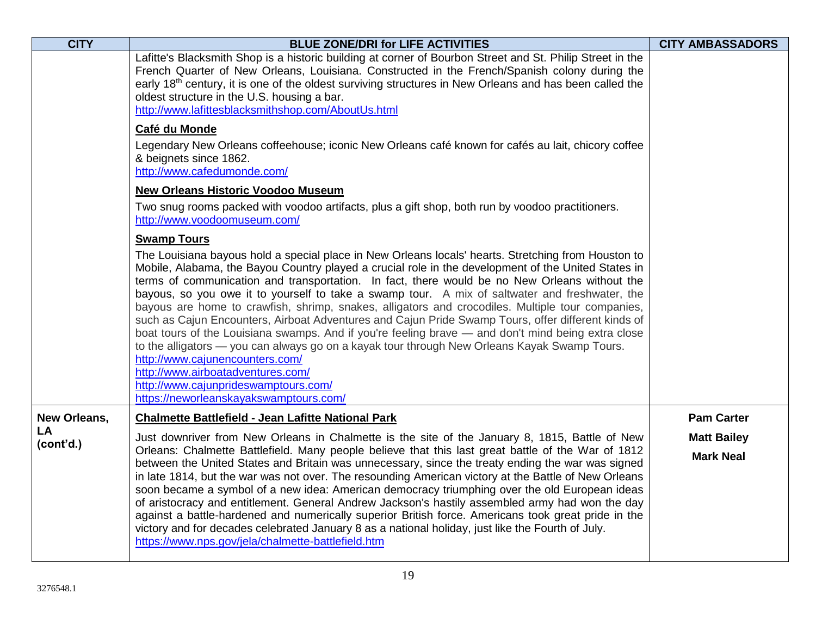| <b>CITY</b>            | <b>BLUE ZONE/DRI for LIFE ACTIVITIES</b>                                                                                                                                                                                                                                                                                                                                                                                                                                                                                                                                                                                                                                                                                                                                                                                                                                                                                                                                                | <b>CITY AMBASSADORS</b> |
|------------------------|-----------------------------------------------------------------------------------------------------------------------------------------------------------------------------------------------------------------------------------------------------------------------------------------------------------------------------------------------------------------------------------------------------------------------------------------------------------------------------------------------------------------------------------------------------------------------------------------------------------------------------------------------------------------------------------------------------------------------------------------------------------------------------------------------------------------------------------------------------------------------------------------------------------------------------------------------------------------------------------------|-------------------------|
|                        | Lafitte's Blacksmith Shop is a historic building at corner of Bourbon Street and St. Philip Street in the<br>French Quarter of New Orleans, Louisiana. Constructed in the French/Spanish colony during the<br>early 18 <sup>th</sup> century, it is one of the oldest surviving structures in New Orleans and has been called the<br>oldest structure in the U.S. housing a bar.<br>http://www.lafittesblacksmithshop.com/AboutUs.html                                                                                                                                                                                                                                                                                                                                                                                                                                                                                                                                                  |                         |
|                        | Café du Monde                                                                                                                                                                                                                                                                                                                                                                                                                                                                                                                                                                                                                                                                                                                                                                                                                                                                                                                                                                           |                         |
|                        | Legendary New Orleans coffeehouse; iconic New Orleans café known for cafés au lait, chicory coffee<br>& beignets since 1862.<br>http://www.cafedumonde.com/                                                                                                                                                                                                                                                                                                                                                                                                                                                                                                                                                                                                                                                                                                                                                                                                                             |                         |
|                        | <b>New Orleans Historic Voodoo Museum</b>                                                                                                                                                                                                                                                                                                                                                                                                                                                                                                                                                                                                                                                                                                                                                                                                                                                                                                                                               |                         |
|                        | Two snug rooms packed with voodoo artifacts, plus a gift shop, both run by voodoo practitioners.<br>http://www.voodoomuseum.com/                                                                                                                                                                                                                                                                                                                                                                                                                                                                                                                                                                                                                                                                                                                                                                                                                                                        |                         |
|                        | <b>Swamp Tours</b>                                                                                                                                                                                                                                                                                                                                                                                                                                                                                                                                                                                                                                                                                                                                                                                                                                                                                                                                                                      |                         |
|                        | The Louisiana bayous hold a special place in New Orleans locals' hearts. Stretching from Houston to<br>Mobile, Alabama, the Bayou Country played a crucial role in the development of the United States in<br>terms of communication and transportation. In fact, there would be no New Orleans without the<br>bayous, so you owe it to yourself to take a swamp tour. A mix of saltwater and freshwater, the<br>bayous are home to crawfish, shrimp, snakes, alligators and crocodiles. Multiple tour companies,<br>such as Cajun Encounters, Airboat Adventures and Cajun Pride Swamp Tours, offer different kinds of<br>boat tours of the Louisiana swamps. And if you're feeling brave — and don't mind being extra close<br>to the alligators — you can always go on a kayak tour through New Orleans Kayak Swamp Tours.<br>http://www.cajunencounters.com/<br>http://www.airboatadventures.com/<br>http://www.cajunprideswamptours.com/<br>https://neworleanskayakswamptours.com/ |                         |
| New Orleans,           | <b>Chalmette Battlefield - Jean Lafitte National Park</b>                                                                                                                                                                                                                                                                                                                                                                                                                                                                                                                                                                                                                                                                                                                                                                                                                                                                                                                               | <b>Pam Carter</b>       |
| <b>LA</b><br>(cont'd.) | Just downriver from New Orleans in Chalmette is the site of the January 8, 1815, Battle of New                                                                                                                                                                                                                                                                                                                                                                                                                                                                                                                                                                                                                                                                                                                                                                                                                                                                                          | <b>Matt Bailey</b>      |
|                        | Orleans: Chalmette Battlefield. Many people believe that this last great battle of the War of 1812<br>between the United States and Britain was unnecessary, since the treaty ending the war was signed<br>in late 1814, but the war was not over. The resounding American victory at the Battle of New Orleans<br>soon became a symbol of a new idea: American democracy triumphing over the old European ideas<br>of aristocracy and entitlement. General Andrew Jackson's hastily assembled army had won the day<br>against a battle-hardened and numerically superior British force. Americans took great pride in the<br>victory and for decades celebrated January 8 as a national holiday, just like the Fourth of July.<br>https://www.nps.gov/jela/chalmette-battlefield.htm                                                                                                                                                                                                   | <b>Mark Neal</b>        |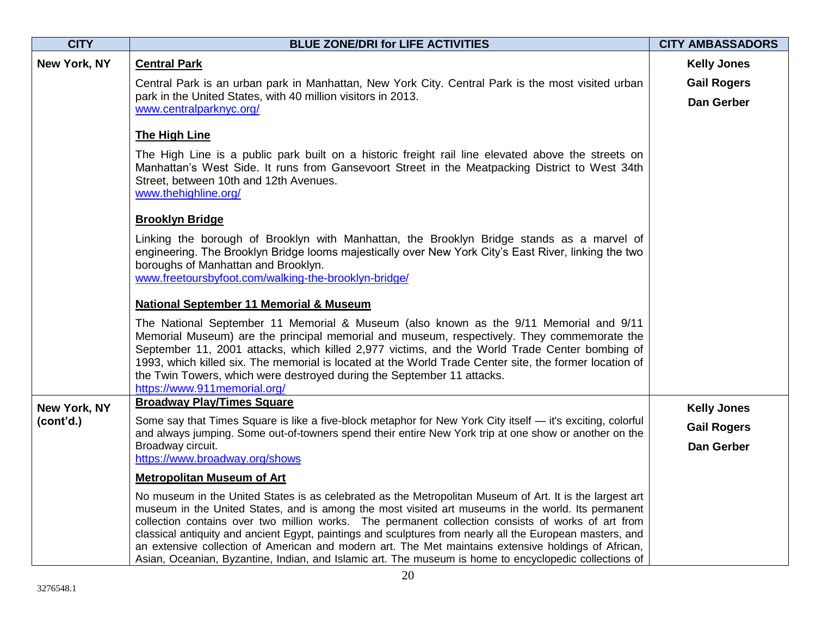| <b>CITY</b>  | <b>BLUE ZONE/DRI for LIFE ACTIVITIES</b>                                                                                                                                                                                                                                                                                                                                                                                                                                                                                                                                                                                                            | <b>CITY AMBASSADORS</b> |
|--------------|-----------------------------------------------------------------------------------------------------------------------------------------------------------------------------------------------------------------------------------------------------------------------------------------------------------------------------------------------------------------------------------------------------------------------------------------------------------------------------------------------------------------------------------------------------------------------------------------------------------------------------------------------------|-------------------------|
| New York, NY | <b>Central Park</b>                                                                                                                                                                                                                                                                                                                                                                                                                                                                                                                                                                                                                                 | <b>Kelly Jones</b>      |
|              | Central Park is an urban park in Manhattan, New York City. Central Park is the most visited urban                                                                                                                                                                                                                                                                                                                                                                                                                                                                                                                                                   | <b>Gail Rogers</b>      |
|              | park in the United States, with 40 million visitors in 2013.<br>www.centralparknyc.org/                                                                                                                                                                                                                                                                                                                                                                                                                                                                                                                                                             | Dan Gerber              |
|              | <b>The High Line</b>                                                                                                                                                                                                                                                                                                                                                                                                                                                                                                                                                                                                                                |                         |
|              | The High Line is a public park built on a historic freight rail line elevated above the streets on<br>Manhattan's West Side. It runs from Gansevoort Street in the Meatpacking District to West 34th<br>Street, between 10th and 12th Avenues.<br>www.thehighline.org/                                                                                                                                                                                                                                                                                                                                                                              |                         |
|              | <b>Brooklyn Bridge</b>                                                                                                                                                                                                                                                                                                                                                                                                                                                                                                                                                                                                                              |                         |
|              | Linking the borough of Brooklyn with Manhattan, the Brooklyn Bridge stands as a marvel of<br>engineering. The Brooklyn Bridge looms majestically over New York City's East River, linking the two<br>boroughs of Manhattan and Brooklyn.<br>www.freetoursbyfoot.com/walking-the-brooklyn-bridge/                                                                                                                                                                                                                                                                                                                                                    |                         |
|              | <b>National September 11 Memorial &amp; Museum</b>                                                                                                                                                                                                                                                                                                                                                                                                                                                                                                                                                                                                  |                         |
|              | The National September 11 Memorial & Museum (also known as the 9/11 Memorial and 9/11<br>Memorial Museum) are the principal memorial and museum, respectively. They commemorate the<br>September 11, 2001 attacks, which killed 2,977 victims, and the World Trade Center bombing of<br>1993, which killed six. The memorial is located at the World Trade Center site, the former location of<br>the Twin Towers, which were destroyed during the September 11 attacks.<br>https://www.911memorial.org/                                                                                                                                            |                         |
| New York, NY | <b>Broadway Play/Times Square</b>                                                                                                                                                                                                                                                                                                                                                                                                                                                                                                                                                                                                                   | <b>Kelly Jones</b>      |
| (cont'd.)    | Some say that Times Square is like a five-block metaphor for New York City itself - it's exciting, colorful<br>and always jumping. Some out-of-towners spend their entire New York trip at one show or another on the                                                                                                                                                                                                                                                                                                                                                                                                                               | <b>Gail Rogers</b>      |
|              | Broadway circuit.<br>https://www.broadway.org/shows                                                                                                                                                                                                                                                                                                                                                                                                                                                                                                                                                                                                 | <b>Dan Gerber</b>       |
|              | <b>Metropolitan Museum of Art</b>                                                                                                                                                                                                                                                                                                                                                                                                                                                                                                                                                                                                                   |                         |
|              | No museum in the United States is as celebrated as the Metropolitan Museum of Art. It is the largest art<br>museum in the United States, and is among the most visited art museums in the world. Its permanent<br>collection contains over two million works. The permanent collection consists of works of art from<br>classical antiquity and ancient Egypt, paintings and sculptures from nearly all the European masters, and<br>an extensive collection of American and modern art. The Met maintains extensive holdings of African,<br>Asian, Oceanian, Byzantine, Indian, and Islamic art. The museum is home to encyclopedic collections of |                         |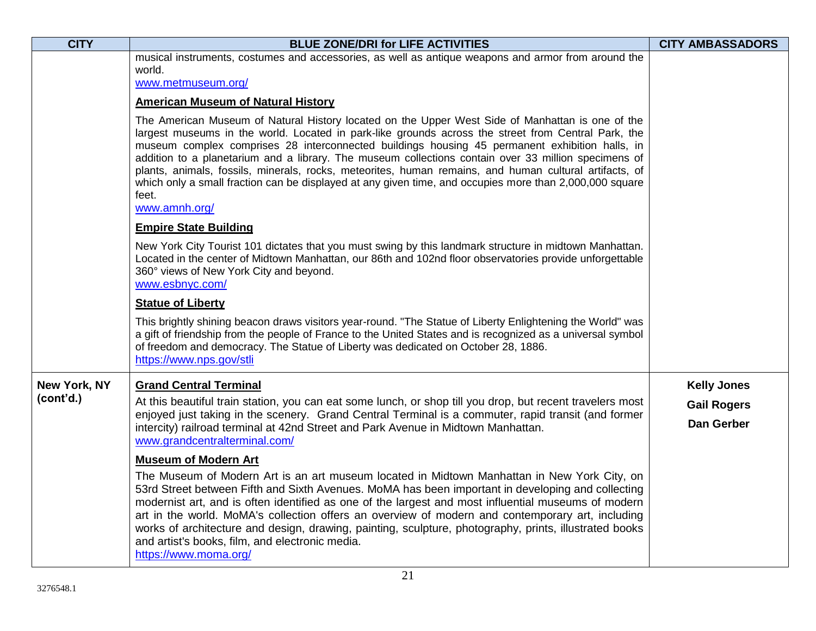| <b>CITY</b>  | <b>BLUE ZONE/DRI for LIFE ACTIVITIES</b>                                                                                                                                                                                                                                                                                                                                                                                                                                                                                                                                                                                                                         | <b>CITY AMBASSADORS</b> |
|--------------|------------------------------------------------------------------------------------------------------------------------------------------------------------------------------------------------------------------------------------------------------------------------------------------------------------------------------------------------------------------------------------------------------------------------------------------------------------------------------------------------------------------------------------------------------------------------------------------------------------------------------------------------------------------|-------------------------|
|              | musical instruments, costumes and accessories, as well as antique weapons and armor from around the<br>world.                                                                                                                                                                                                                                                                                                                                                                                                                                                                                                                                                    |                         |
|              | www.metmuseum.org/                                                                                                                                                                                                                                                                                                                                                                                                                                                                                                                                                                                                                                               |                         |
|              | <b>American Museum of Natural History</b>                                                                                                                                                                                                                                                                                                                                                                                                                                                                                                                                                                                                                        |                         |
|              | The American Museum of Natural History located on the Upper West Side of Manhattan is one of the<br>largest museums in the world. Located in park-like grounds across the street from Central Park, the<br>museum complex comprises 28 interconnected buildings housing 45 permanent exhibition halls, in<br>addition to a planetarium and a library. The museum collections contain over 33 million specimens of<br>plants, animals, fossils, minerals, rocks, meteorites, human remains, and human cultural artifacts, of<br>which only a small fraction can be displayed at any given time, and occupies more than 2,000,000 square<br>feet.<br>www.amnh.org/ |                         |
|              | <b>Empire State Building</b>                                                                                                                                                                                                                                                                                                                                                                                                                                                                                                                                                                                                                                     |                         |
|              | New York City Tourist 101 dictates that you must swing by this landmark structure in midtown Manhattan.<br>Located in the center of Midtown Manhattan, our 86th and 102nd floor observatories provide unforgettable<br>360° views of New York City and beyond.<br>www.esbnyc.com/                                                                                                                                                                                                                                                                                                                                                                                |                         |
|              | <b>Statue of Liberty</b>                                                                                                                                                                                                                                                                                                                                                                                                                                                                                                                                                                                                                                         |                         |
|              | This brightly shining beacon draws visitors year-round. "The Statue of Liberty Enlightening the World" was<br>a gift of friendship from the people of France to the United States and is recognized as a universal symbol<br>of freedom and democracy. The Statue of Liberty was dedicated on October 28, 1886.<br>https://www.nps.gov/stli                                                                                                                                                                                                                                                                                                                      |                         |
| New York, NY | <b>Grand Central Terminal</b>                                                                                                                                                                                                                                                                                                                                                                                                                                                                                                                                                                                                                                    | <b>Kelly Jones</b>      |
| (cont'd.)    | At this beautiful train station, you can eat some lunch, or shop till you drop, but recent travelers most                                                                                                                                                                                                                                                                                                                                                                                                                                                                                                                                                        | <b>Gail Rogers</b>      |
|              | enjoyed just taking in the scenery. Grand Central Terminal is a commuter, rapid transit (and former<br>intercity) railroad terminal at 42nd Street and Park Avenue in Midtown Manhattan.<br>www.grandcentralterminal.com/                                                                                                                                                                                                                                                                                                                                                                                                                                        | Dan Gerber              |
|              | <b>Museum of Modern Art</b><br>The Museum of Modern Art is an art museum located in Midtown Manhattan in New York City, on<br>53rd Street between Fifth and Sixth Avenues. MoMA has been important in developing and collecting<br>modernist art, and is often identified as one of the largest and most influential museums of modern<br>art in the world. MoMA's collection offers an overview of modern and contemporary art, including<br>works of architecture and design, drawing, painting, sculpture, photography, prints, illustrated books<br>and artist's books, film, and electronic media.<br>https://www.moma.org/                                 |                         |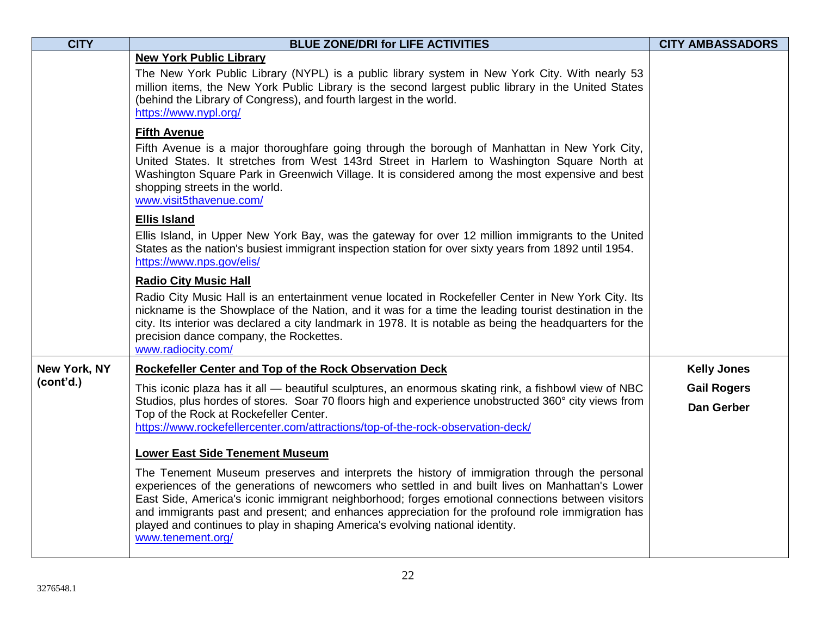| <b>CITY</b>  | <b>BLUE ZONE/DRI for LIFE ACTIVITIES</b>                                                                                                                                                                                                                                                                                                                                                                                                                                                                       | <b>CITY AMBASSADORS</b>          |
|--------------|----------------------------------------------------------------------------------------------------------------------------------------------------------------------------------------------------------------------------------------------------------------------------------------------------------------------------------------------------------------------------------------------------------------------------------------------------------------------------------------------------------------|----------------------------------|
|              | <b>New York Public Library</b><br>The New York Public Library (NYPL) is a public library system in New York City. With nearly 53<br>million items, the New York Public Library is the second largest public library in the United States<br>(behind the Library of Congress), and fourth largest in the world.<br>https://www.nypl.org/                                                                                                                                                                        |                                  |
|              | <b>Fifth Avenue</b><br>Fifth Avenue is a major thoroughfare going through the borough of Manhattan in New York City,<br>United States. It stretches from West 143rd Street in Harlem to Washington Square North at<br>Washington Square Park in Greenwich Village. It is considered among the most expensive and best<br>shopping streets in the world.<br>www.visit5thavenue.com/                                                                                                                             |                                  |
|              | <b>Ellis Island</b>                                                                                                                                                                                                                                                                                                                                                                                                                                                                                            |                                  |
|              | Ellis Island, in Upper New York Bay, was the gateway for over 12 million immigrants to the United<br>States as the nation's busiest immigrant inspection station for over sixty years from 1892 until 1954.<br>https://www.nps.gov/elis/                                                                                                                                                                                                                                                                       |                                  |
|              | <b>Radio City Music Hall</b>                                                                                                                                                                                                                                                                                                                                                                                                                                                                                   |                                  |
|              | Radio City Music Hall is an entertainment venue located in Rockefeller Center in New York City. Its<br>nickname is the Showplace of the Nation, and it was for a time the leading tourist destination in the<br>city. Its interior was declared a city landmark in 1978. It is notable as being the headquarters for the<br>precision dance company, the Rockettes.<br>www.radiocity.com/                                                                                                                      |                                  |
| New York, NY | Rockefeller Center and Top of the Rock Observation Deck                                                                                                                                                                                                                                                                                                                                                                                                                                                        | <b>Kelly Jones</b>               |
| (cont'd.)    | This iconic plaza has it all — beautiful sculptures, an enormous skating rink, a fishbowl view of NBC<br>Studios, plus hordes of stores. Soar 70 floors high and experience unobstructed 360° city views from<br>Top of the Rock at Rockefeller Center.<br>https://www.rockefellercenter.com/attractions/top-of-the-rock-observation-deck/                                                                                                                                                                     | <b>Gail Rogers</b><br>Dan Gerber |
|              | <b>Lower East Side Tenement Museum</b>                                                                                                                                                                                                                                                                                                                                                                                                                                                                         |                                  |
|              | The Tenement Museum preserves and interprets the history of immigration through the personal<br>experiences of the generations of newcomers who settled in and built lives on Manhattan's Lower<br>East Side, America's iconic immigrant neighborhood; forges emotional connections between visitors<br>and immigrants past and present; and enhances appreciation for the profound role immigration has<br>played and continues to play in shaping America's evolving national identity.<br>www.tenement.org/ |                                  |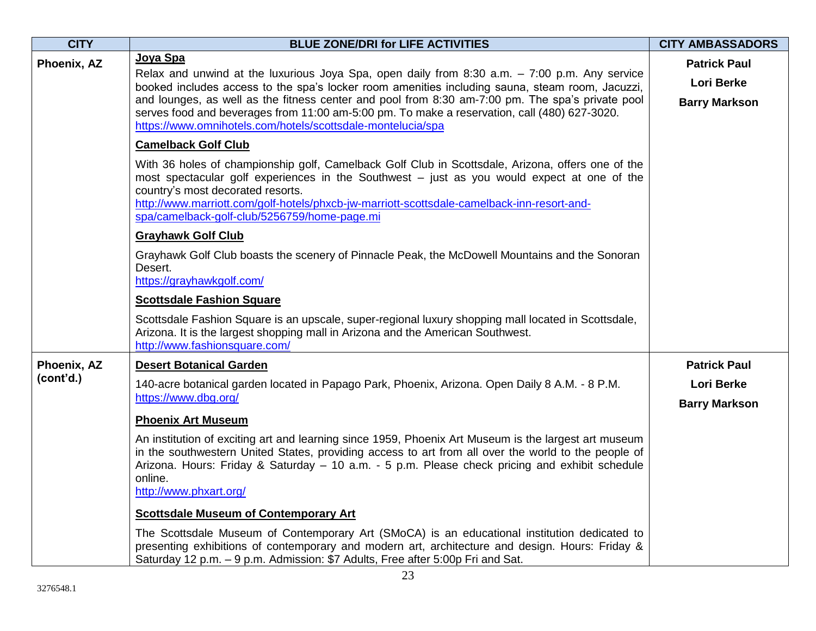| <b>CITY</b> | <b>BLUE ZONE/DRI for LIFE ACTIVITIES</b>                                                                                                                                                                                                                                                                                                                                            | <b>CITY AMBASSADORS</b>                   |
|-------------|-------------------------------------------------------------------------------------------------------------------------------------------------------------------------------------------------------------------------------------------------------------------------------------------------------------------------------------------------------------------------------------|-------------------------------------------|
| Phoenix, AZ | Joya Spa<br>Relax and unwind at the luxurious Joya Spa, open daily from 8:30 a.m. $-7:00$ p.m. Any service<br>booked includes access to the spa's locker room amenities including sauna, steam room, Jacuzzi,                                                                                                                                                                       | <b>Patrick Paul</b><br><b>Lori Berke</b>  |
|             | and lounges, as well as the fitness center and pool from 8:30 am-7:00 pm. The spa's private pool<br>serves food and beverages from 11:00 am-5:00 pm. To make a reservation, call (480) 627-3020.<br>https://www.omnihotels.com/hotels/scottsdale-montelucia/spa                                                                                                                     | <b>Barry Markson</b>                      |
|             | <b>Camelback Golf Club</b>                                                                                                                                                                                                                                                                                                                                                          |                                           |
|             | With 36 holes of championship golf, Camelback Golf Club in Scottsdale, Arizona, offers one of the<br>most spectacular golf experiences in the Southwest – just as you would expect at one of the<br>country's most decorated resorts.<br>http://www.marriott.com/golf-hotels/phxcb-jw-marriott-scottsdale-camelback-inn-resort-and-<br>spa/camelback-golf-club/5256759/home-page.mi |                                           |
|             | <b>Grayhawk Golf Club</b>                                                                                                                                                                                                                                                                                                                                                           |                                           |
|             | Grayhawk Golf Club boasts the scenery of Pinnacle Peak, the McDowell Mountains and the Sonoran<br>Desert.<br>https://grayhawkgolf.com/                                                                                                                                                                                                                                              |                                           |
|             | <b>Scottsdale Fashion Square</b>                                                                                                                                                                                                                                                                                                                                                    |                                           |
|             | Scottsdale Fashion Square is an upscale, super-regional luxury shopping mall located in Scottsdale,<br>Arizona. It is the largest shopping mall in Arizona and the American Southwest.<br>http://www.fashionsquare.com/                                                                                                                                                             |                                           |
| Phoenix, AZ | <b>Desert Botanical Garden</b>                                                                                                                                                                                                                                                                                                                                                      | <b>Patrick Paul</b>                       |
| (cont'd.)   | 140-acre botanical garden located in Papago Park, Phoenix, Arizona. Open Daily 8 A.M. - 8 P.M.<br>https://www.dbg.org/                                                                                                                                                                                                                                                              | <b>Lori Berke</b><br><b>Barry Markson</b> |
|             | <b>Phoenix Art Museum</b>                                                                                                                                                                                                                                                                                                                                                           |                                           |
|             | An institution of exciting art and learning since 1959, Phoenix Art Museum is the largest art museum<br>in the southwestern United States, providing access to art from all over the world to the people of<br>Arizona. Hours: Friday & Saturday – 10 a.m. - 5 p.m. Please check pricing and exhibit schedule<br>online.<br>http://www.phxart.org/                                  |                                           |
|             | <b>Scottsdale Museum of Contemporary Art</b>                                                                                                                                                                                                                                                                                                                                        |                                           |
|             | The Scottsdale Museum of Contemporary Art (SMoCA) is an educational institution dedicated to<br>presenting exhibitions of contemporary and modern art, architecture and design. Hours: Friday &<br>Saturday 12 p.m. - 9 p.m. Admission: \$7 Adults, Free after 5:00p Fri and Sat.                                                                                                   |                                           |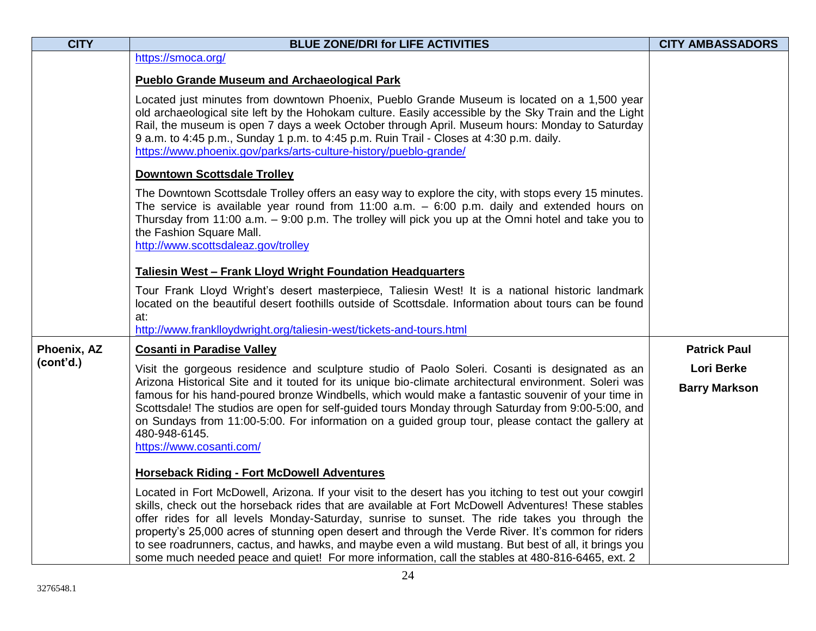| <b>CITY</b> | <b>BLUE ZONE/DRI for LIFE ACTIVITIES</b>                                                                                                                                                                                                                                                                                                                                                                                                                                                                                                                                                                                           | <b>CITY AMBASSADORS</b>                   |
|-------------|------------------------------------------------------------------------------------------------------------------------------------------------------------------------------------------------------------------------------------------------------------------------------------------------------------------------------------------------------------------------------------------------------------------------------------------------------------------------------------------------------------------------------------------------------------------------------------------------------------------------------------|-------------------------------------------|
|             | https://smoca.org/                                                                                                                                                                                                                                                                                                                                                                                                                                                                                                                                                                                                                 |                                           |
|             | <b>Pueblo Grande Museum and Archaeological Park</b>                                                                                                                                                                                                                                                                                                                                                                                                                                                                                                                                                                                |                                           |
|             | Located just minutes from downtown Phoenix, Pueblo Grande Museum is located on a 1,500 year<br>old archaeological site left by the Hohokam culture. Easily accessible by the Sky Train and the Light<br>Rail, the museum is open 7 days a week October through April. Museum hours: Monday to Saturday<br>9 a.m. to 4:45 p.m., Sunday 1 p.m. to 4:45 p.m. Ruin Trail - Closes at 4:30 p.m. daily.<br>https://www.phoenix.gov/parks/arts-culture-history/pueblo-grande/                                                                                                                                                             |                                           |
|             | <b>Downtown Scottsdale Trolley</b>                                                                                                                                                                                                                                                                                                                                                                                                                                                                                                                                                                                                 |                                           |
|             | The Downtown Scottsdale Trolley offers an easy way to explore the city, with stops every 15 minutes.<br>The service is available year round from $11:00$ a.m. $-$ 6:00 p.m. daily and extended hours on<br>Thursday from 11:00 a.m. - 9:00 p.m. The trolley will pick you up at the Omni hotel and take you to<br>the Fashion Square Mall.                                                                                                                                                                                                                                                                                         |                                           |
|             | http://www.scottsdaleaz.gov/trolley                                                                                                                                                                                                                                                                                                                                                                                                                                                                                                                                                                                                |                                           |
|             | <b>Taliesin West - Frank Lloyd Wright Foundation Headquarters</b>                                                                                                                                                                                                                                                                                                                                                                                                                                                                                                                                                                  |                                           |
|             | Tour Frank Lloyd Wright's desert masterpiece, Taliesin West! It is a national historic landmark<br>located on the beautiful desert foothills outside of Scottsdale. Information about tours can be found<br>at:                                                                                                                                                                                                                                                                                                                                                                                                                    |                                           |
|             | http://www.franklloydwright.org/taliesin-west/tickets-and-tours.html                                                                                                                                                                                                                                                                                                                                                                                                                                                                                                                                                               |                                           |
| Phoenix, AZ | <b>Cosanti in Paradise Valley</b>                                                                                                                                                                                                                                                                                                                                                                                                                                                                                                                                                                                                  | <b>Patrick Paul</b>                       |
| (cont'd.)   | Visit the gorgeous residence and sculpture studio of Paolo Soleri. Cosanti is designated as an<br>Arizona Historical Site and it touted for its unique bio-climate architectural environment. Soleri was<br>famous for his hand-poured bronze Windbells, which would make a fantastic souvenir of your time in<br>Scottsdale! The studios are open for self-guided tours Monday through Saturday from 9:00-5:00, and<br>on Sundays from 11:00-5:00. For information on a guided group tour, please contact the gallery at<br>480-948-6145.<br>https://www.cosanti.com/                                                             | <b>Lori Berke</b><br><b>Barry Markson</b> |
|             | <b>Horseback Riding - Fort McDowell Adventures</b>                                                                                                                                                                                                                                                                                                                                                                                                                                                                                                                                                                                 |                                           |
|             | Located in Fort McDowell, Arizona. If your visit to the desert has you itching to test out your cowgirl<br>skills, check out the horseback rides that are available at Fort McDowell Adventures! These stables<br>offer rides for all levels Monday-Saturday, sunrise to sunset. The ride takes you through the<br>property's 25,000 acres of stunning open desert and through the Verde River. It's common for riders<br>to see roadrunners, cactus, and hawks, and maybe even a wild mustang. But best of all, it brings you<br>some much needed peace and quiet! For more information, call the stables at 480-816-6465, ext. 2 |                                           |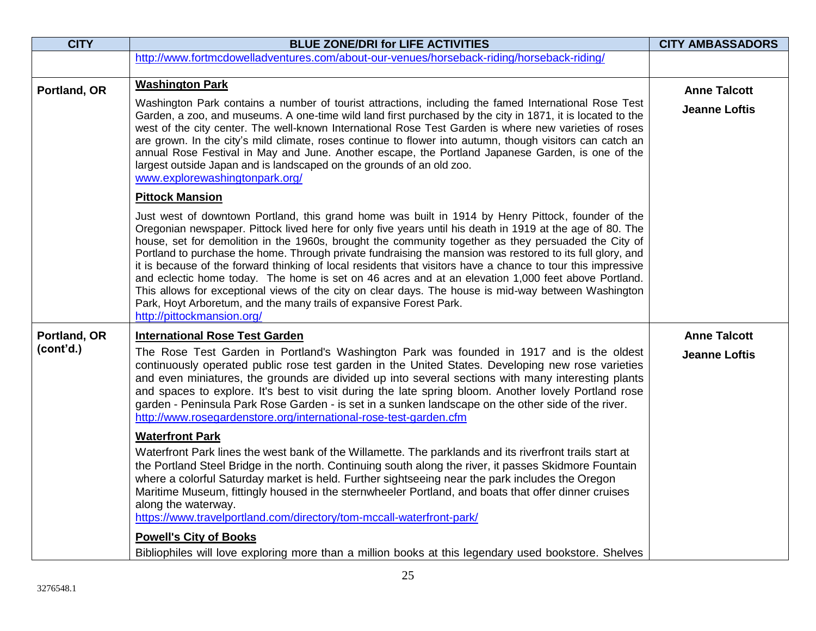| <b>CITY</b>               | <b>BLUE ZONE/DRI for LIFE ACTIVITIES</b>                                                                                                                                                                                                                                                                                                                                                                                                                                                                                                                                                                                                                                                                                                                                                                                                                                                                                                                                                                                                                                                                                                                                                                                                                                                                                                                                                                                                                                                                                                                                                    | <b>CITY AMBASSADORS</b>                     |
|---------------------------|---------------------------------------------------------------------------------------------------------------------------------------------------------------------------------------------------------------------------------------------------------------------------------------------------------------------------------------------------------------------------------------------------------------------------------------------------------------------------------------------------------------------------------------------------------------------------------------------------------------------------------------------------------------------------------------------------------------------------------------------------------------------------------------------------------------------------------------------------------------------------------------------------------------------------------------------------------------------------------------------------------------------------------------------------------------------------------------------------------------------------------------------------------------------------------------------------------------------------------------------------------------------------------------------------------------------------------------------------------------------------------------------------------------------------------------------------------------------------------------------------------------------------------------------------------------------------------------------|---------------------------------------------|
|                           | http://www.fortmcdowelladventures.com/about-our-venues/horseback-riding/horseback-riding/                                                                                                                                                                                                                                                                                                                                                                                                                                                                                                                                                                                                                                                                                                                                                                                                                                                                                                                                                                                                                                                                                                                                                                                                                                                                                                                                                                                                                                                                                                   |                                             |
| Portland, OR              | <b>Washington Park</b><br>Washington Park contains a number of tourist attractions, including the famed International Rose Test<br>Garden, a zoo, and museums. A one-time wild land first purchased by the city in 1871, it is located to the<br>west of the city center. The well-known International Rose Test Garden is where new varieties of roses<br>are grown. In the city's mild climate, roses continue to flower into autumn, though visitors can catch an<br>annual Rose Festival in May and June. Another escape, the Portland Japanese Garden, is one of the<br>largest outside Japan and is landscaped on the grounds of an old zoo.<br>www.explorewashingtonpark.org/<br><b>Pittock Mansion</b><br>Just west of downtown Portland, this grand home was built in 1914 by Henry Pittock, founder of the<br>Oregonian newspaper. Pittock lived here for only five years until his death in 1919 at the age of 80. The<br>house, set for demolition in the 1960s, brought the community together as they persuaded the City of<br>Portland to purchase the home. Through private fundraising the mansion was restored to its full glory, and<br>it is because of the forward thinking of local residents that visitors have a chance to tour this impressive<br>and eclectic home today. The home is set on 46 acres and at an elevation 1,000 feet above Portland.<br>This allows for exceptional views of the city on clear days. The house is mid-way between Washington<br>Park, Hoyt Arboretum, and the many trails of expansive Forest Park.<br>http://pittockmansion.org/ | <b>Anne Talcott</b><br><b>Jeanne Loftis</b> |
| Portland, OR<br>(cont'd.) | <b>International Rose Test Garden</b><br>The Rose Test Garden in Portland's Washington Park was founded in 1917 and is the oldest<br>continuously operated public rose test garden in the United States. Developing new rose varieties<br>and even miniatures, the grounds are divided up into several sections with many interesting plants<br>and spaces to explore. It's best to visit during the late spring bloom. Another lovely Portland rose<br>garden - Peninsula Park Rose Garden - is set in a sunken landscape on the other side of the river.<br>http://www.rosegardenstore.org/international-rose-test-garden.cfm<br><b>Waterfront Park</b><br>Waterfront Park lines the west bank of the Willamette. The parklands and its riverfront trails start at<br>the Portland Steel Bridge in the north. Continuing south along the river, it passes Skidmore Fountain<br>where a colorful Saturday market is held. Further sightseeing near the park includes the Oregon<br>Maritime Museum, fittingly housed in the sternwheeler Portland, and boats that offer dinner cruises<br>along the waterway.<br>https://www.travelportland.com/directory/tom-mccall-waterfront-park/<br><b>Powell's City of Books</b><br>Bibliophiles will love exploring more than a million books at this legendary used bookstore. Shelves                                                                                                                                                                                                                                                             | <b>Anne Talcott</b><br><b>Jeanne Loftis</b> |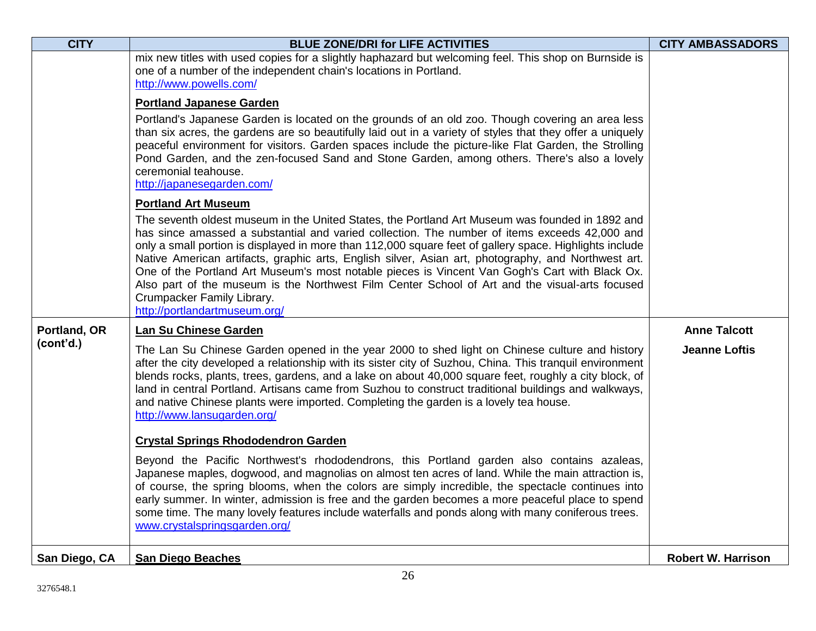| <b>CITY</b>   | <b>BLUE ZONE/DRI for LIFE ACTIVITIES</b>                                                                                                                                                                                                                                                                                                                                                                                                                                                                                                                                                                                                                                                                            | <b>CITY AMBASSADORS</b>   |
|---------------|---------------------------------------------------------------------------------------------------------------------------------------------------------------------------------------------------------------------------------------------------------------------------------------------------------------------------------------------------------------------------------------------------------------------------------------------------------------------------------------------------------------------------------------------------------------------------------------------------------------------------------------------------------------------------------------------------------------------|---------------------------|
|               | mix new titles with used copies for a slightly haphazard but welcoming feel. This shop on Burnside is<br>one of a number of the independent chain's locations in Portland.<br>http://www.powells.com/                                                                                                                                                                                                                                                                                                                                                                                                                                                                                                               |                           |
|               | <b>Portland Japanese Garden</b><br>Portland's Japanese Garden is located on the grounds of an old zoo. Though covering an area less<br>than six acres, the gardens are so beautifully laid out in a variety of styles that they offer a uniquely<br>peaceful environment for visitors. Garden spaces include the picture-like Flat Garden, the Strolling<br>Pond Garden, and the zen-focused Sand and Stone Garden, among others. There's also a lovely<br>ceremonial teahouse.<br>http://japanesegarden.com/                                                                                                                                                                                                       |                           |
|               | <b>Portland Art Museum</b><br>The seventh oldest museum in the United States, the Portland Art Museum was founded in 1892 and<br>has since amassed a substantial and varied collection. The number of items exceeds 42,000 and<br>only a small portion is displayed in more than 112,000 square feet of gallery space. Highlights include<br>Native American artifacts, graphic arts, English silver, Asian art, photography, and Northwest art.<br>One of the Portland Art Museum's most notable pieces is Vincent Van Gogh's Cart with Black Ox.<br>Also part of the museum is the Northwest Film Center School of Art and the visual-arts focused<br>Crumpacker Family Library.<br>http://portlandartmuseum.org/ |                           |
| Portland, OR  | Lan Su Chinese Garden                                                                                                                                                                                                                                                                                                                                                                                                                                                                                                                                                                                                                                                                                               | <b>Anne Talcott</b>       |
| (cont'd.)     | The Lan Su Chinese Garden opened in the year 2000 to shed light on Chinese culture and history<br>after the city developed a relationship with its sister city of Suzhou, China. This tranquil environment<br>blends rocks, plants, trees, gardens, and a lake on about 40,000 square feet, roughly a city block, of<br>land in central Portland. Artisans came from Suzhou to construct traditional buildings and walkways,<br>and native Chinese plants were imported. Completing the garden is a lovely tea house.<br>http://www.lansugarden.org/                                                                                                                                                                | <b>Jeanne Loftis</b>      |
|               | <b>Crystal Springs Rhododendron Garden</b>                                                                                                                                                                                                                                                                                                                                                                                                                                                                                                                                                                                                                                                                          |                           |
|               | Beyond the Pacific Northwest's rhododendrons, this Portland garden also contains azaleas,<br>Japanese maples, dogwood, and magnolias on almost ten acres of land. While the main attraction is,<br>of course, the spring blooms, when the colors are simply incredible, the spectacle continues into<br>early summer. In winter, admission is free and the garden becomes a more peaceful place to spend<br>some time. The many lovely features include waterfalls and ponds along with many coniferous trees.<br>www.crystalspringsgarden.org/                                                                                                                                                                     |                           |
| San Diego, CA | <b>San Diego Beaches</b>                                                                                                                                                                                                                                                                                                                                                                                                                                                                                                                                                                                                                                                                                            | <b>Robert W. Harrison</b> |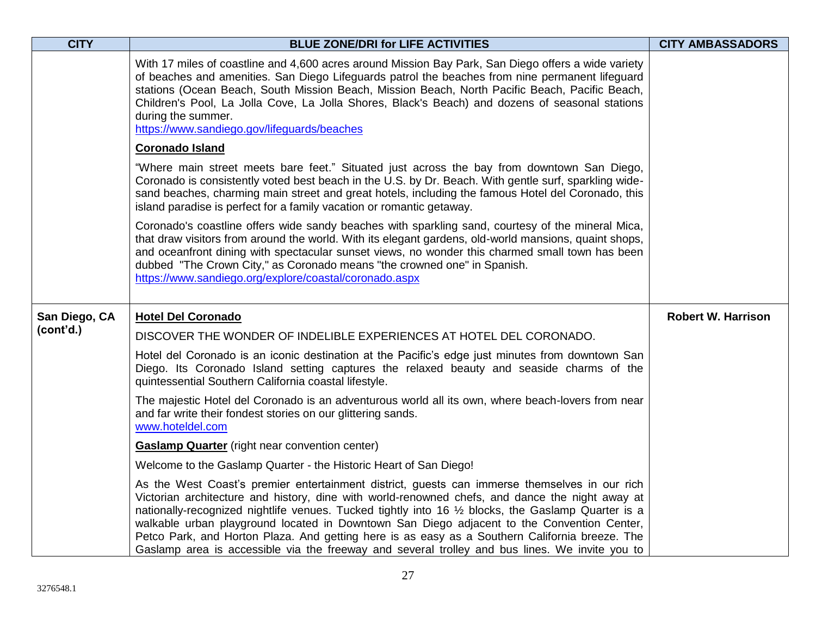| <b>CITY</b>   | <b>BLUE ZONE/DRI for LIFE ACTIVITIES</b>                                                                                                                                                                                                                                                                                                                                                                                                                                                                                                                                                                  | <b>CITY AMBASSADORS</b>   |
|---------------|-----------------------------------------------------------------------------------------------------------------------------------------------------------------------------------------------------------------------------------------------------------------------------------------------------------------------------------------------------------------------------------------------------------------------------------------------------------------------------------------------------------------------------------------------------------------------------------------------------------|---------------------------|
|               | With 17 miles of coastline and 4,600 acres around Mission Bay Park, San Diego offers a wide variety<br>of beaches and amenities. San Diego Lifeguards patrol the beaches from nine permanent lifeguard<br>stations (Ocean Beach, South Mission Beach, Mission Beach, North Pacific Beach, Pacific Beach,<br>Children's Pool, La Jolla Cove, La Jolla Shores, Black's Beach) and dozens of seasonal stations<br>during the summer.<br>https://www.sandiego.gov/lifeguards/beaches                                                                                                                          |                           |
|               | <b>Coronado Island</b>                                                                                                                                                                                                                                                                                                                                                                                                                                                                                                                                                                                    |                           |
|               | "Where main street meets bare feet." Situated just across the bay from downtown San Diego,<br>Coronado is consistently voted best beach in the U.S. by Dr. Beach. With gentle surf, sparkling wide-<br>sand beaches, charming main street and great hotels, including the famous Hotel del Coronado, this<br>island paradise is perfect for a family vacation or romantic getaway.                                                                                                                                                                                                                        |                           |
|               | Coronado's coastline offers wide sandy beaches with sparkling sand, courtesy of the mineral Mica,<br>that draw visitors from around the world. With its elegant gardens, old-world mansions, quaint shops,<br>and oceanfront dining with spectacular sunset views, no wonder this charmed small town has been<br>dubbed "The Crown City," as Coronado means "the crowned one" in Spanish.<br>https://www.sandiego.org/explore/coastal/coronado.aspx                                                                                                                                                       |                           |
| San Diego, CA | <b>Hotel Del Coronado</b>                                                                                                                                                                                                                                                                                                                                                                                                                                                                                                                                                                                 | <b>Robert W. Harrison</b> |
| (cont'd.)     | DISCOVER THE WONDER OF INDELIBLE EXPERIENCES AT HOTEL DEL CORONADO.                                                                                                                                                                                                                                                                                                                                                                                                                                                                                                                                       |                           |
|               | Hotel del Coronado is an iconic destination at the Pacific's edge just minutes from downtown San<br>Diego. Its Coronado Island setting captures the relaxed beauty and seaside charms of the<br>quintessential Southern California coastal lifestyle.                                                                                                                                                                                                                                                                                                                                                     |                           |
|               | The majestic Hotel del Coronado is an adventurous world all its own, where beach-lovers from near<br>and far write their fondest stories on our glittering sands.<br>www.hoteldel.com                                                                                                                                                                                                                                                                                                                                                                                                                     |                           |
|               | <b>Gaslamp Quarter</b> (right near convention center)                                                                                                                                                                                                                                                                                                                                                                                                                                                                                                                                                     |                           |
|               | Welcome to the Gaslamp Quarter - the Historic Heart of San Diego!                                                                                                                                                                                                                                                                                                                                                                                                                                                                                                                                         |                           |
|               | As the West Coast's premier entertainment district, guests can immerse themselves in our rich<br>Victorian architecture and history, dine with world-renowned chefs, and dance the night away at<br>nationally-recognized nightlife venues. Tucked tightly into 16 1/2 blocks, the Gaslamp Quarter is a<br>walkable urban playground located in Downtown San Diego adjacent to the Convention Center,<br>Petco Park, and Horton Plaza. And getting here is as easy as a Southern California breeze. The<br>Gaslamp area is accessible via the freeway and several trolley and bus lines. We invite you to |                           |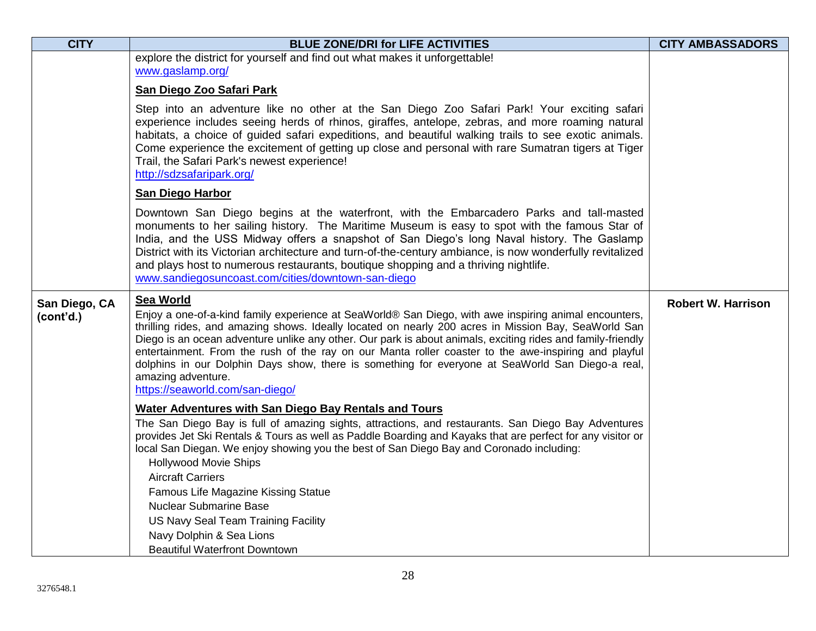| <b>CITY</b>                | <b>BLUE ZONE/DRI for LIFE ACTIVITIES</b>                                                                                                                                                                                                                                                                                                                                                                                                                                                                                                                                                                                     | <b>CITY AMBASSADORS</b>   |
|----------------------------|------------------------------------------------------------------------------------------------------------------------------------------------------------------------------------------------------------------------------------------------------------------------------------------------------------------------------------------------------------------------------------------------------------------------------------------------------------------------------------------------------------------------------------------------------------------------------------------------------------------------------|---------------------------|
|                            | explore the district for yourself and find out what makes it unforgettable!                                                                                                                                                                                                                                                                                                                                                                                                                                                                                                                                                  |                           |
|                            | www.gaslamp.org/                                                                                                                                                                                                                                                                                                                                                                                                                                                                                                                                                                                                             |                           |
|                            | San Diego Zoo Safari Park                                                                                                                                                                                                                                                                                                                                                                                                                                                                                                                                                                                                    |                           |
|                            | Step into an adventure like no other at the San Diego Zoo Safari Park! Your exciting safari<br>experience includes seeing herds of rhinos, giraffes, antelope, zebras, and more roaming natural<br>habitats, a choice of guided safari expeditions, and beautiful walking trails to see exotic animals.<br>Come experience the excitement of getting up close and personal with rare Sumatran tigers at Tiger<br>Trail, the Safari Park's newest experience!<br>http://sdzsafaripark.org/                                                                                                                                    |                           |
|                            | <b>San Diego Harbor</b>                                                                                                                                                                                                                                                                                                                                                                                                                                                                                                                                                                                                      |                           |
|                            | Downtown San Diego begins at the waterfront, with the Embarcadero Parks and tall-masted<br>monuments to her sailing history. The Maritime Museum is easy to spot with the famous Star of<br>India, and the USS Midway offers a snapshot of San Diego's long Naval history. The Gaslamp<br>District with its Victorian architecture and turn-of-the-century ambiance, is now wonderfully revitalized<br>and plays host to numerous restaurants, boutique shopping and a thriving nightlife.<br>www.sandiegosuncoast.com/cities/downtown-san-diego                                                                             |                           |
| San Diego, CA<br>(cont'd.) | Sea World<br>Enjoy a one-of-a-kind family experience at SeaWorld® San Diego, with awe inspiring animal encounters,<br>thrilling rides, and amazing shows. Ideally located on nearly 200 acres in Mission Bay, SeaWorld San<br>Diego is an ocean adventure unlike any other. Our park is about animals, exciting rides and family-friendly<br>entertainment. From the rush of the ray on our Manta roller coaster to the awe-inspiring and playful<br>dolphins in our Dolphin Days show, there is something for everyone at SeaWorld San Diego-a real,<br>amazing adventure.<br>https://seaworld.com/san-diego/               | <b>Robert W. Harrison</b> |
|                            | <b>Water Adventures with San Diego Bay Rentals and Tours</b><br>The San Diego Bay is full of amazing sights, attractions, and restaurants. San Diego Bay Adventures<br>provides Jet Ski Rentals & Tours as well as Paddle Boarding and Kayaks that are perfect for any visitor or<br>local San Diegan. We enjoy showing you the best of San Diego Bay and Coronado including:<br><b>Hollywood Movie Ships</b><br><b>Aircraft Carriers</b><br>Famous Life Magazine Kissing Statue<br><b>Nuclear Submarine Base</b><br>US Navy Seal Team Training Facility<br>Navy Dolphin & Sea Lions<br><b>Beautiful Waterfront Downtown</b> |                           |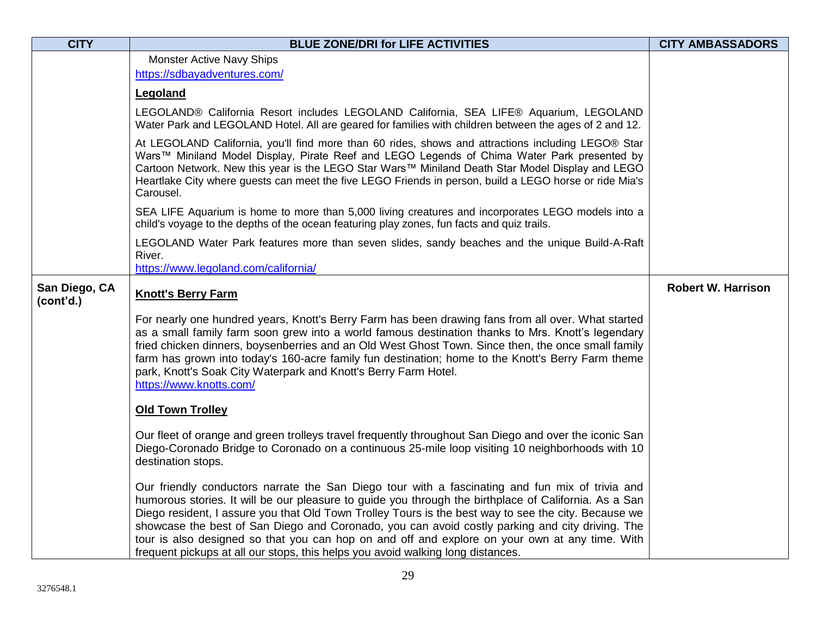| <b>CITY</b>                | <b>BLUE ZONE/DRI for LIFE ACTIVITIES</b>                                                                                                                                                                                                                                                                                                                                                                                                                                                                                                                                                                 | <b>CITY AMBASSADORS</b>   |
|----------------------------|----------------------------------------------------------------------------------------------------------------------------------------------------------------------------------------------------------------------------------------------------------------------------------------------------------------------------------------------------------------------------------------------------------------------------------------------------------------------------------------------------------------------------------------------------------------------------------------------------------|---------------------------|
|                            | Monster Active Navy Ships                                                                                                                                                                                                                                                                                                                                                                                                                                                                                                                                                                                |                           |
|                            | https://sdbayadventures.com/                                                                                                                                                                                                                                                                                                                                                                                                                                                                                                                                                                             |                           |
|                            | Legoland                                                                                                                                                                                                                                                                                                                                                                                                                                                                                                                                                                                                 |                           |
|                            | LEGOLAND® California Resort includes LEGOLAND California, SEA LIFE® Aquarium, LEGOLAND<br>Water Park and LEGOLAND Hotel. All are geared for families with children between the ages of 2 and 12.                                                                                                                                                                                                                                                                                                                                                                                                         |                           |
|                            | At LEGOLAND California, you'll find more than 60 rides, shows and attractions including LEGO® Star<br>Wars™ Miniland Model Display, Pirate Reef and LEGO Legends of Chima Water Park presented by<br>Cartoon Network. New this year is the LEGO Star Wars™ Miniland Death Star Model Display and LEGO<br>Heartlake City where guests can meet the five LEGO Friends in person, build a LEGO horse or ride Mia's<br>Carousel.                                                                                                                                                                             |                           |
|                            | SEA LIFE Aquarium is home to more than 5,000 living creatures and incorporates LEGO models into a<br>child's voyage to the depths of the ocean featuring play zones, fun facts and quiz trails.                                                                                                                                                                                                                                                                                                                                                                                                          |                           |
|                            | LEGOLAND Water Park features more than seven slides, sandy beaches and the unique Build-A-Raft<br>River.<br>https://www.legoland.com/california/                                                                                                                                                                                                                                                                                                                                                                                                                                                         |                           |
| San Diego, CA<br>(cont'd.) | <b>Knott's Berry Farm</b>                                                                                                                                                                                                                                                                                                                                                                                                                                                                                                                                                                                | <b>Robert W. Harrison</b> |
|                            | For nearly one hundred years, Knott's Berry Farm has been drawing fans from all over. What started<br>as a small family farm soon grew into a world famous destination thanks to Mrs. Knott's legendary<br>fried chicken dinners, boysenberries and an Old West Ghost Town. Since then, the once small family<br>farm has grown into today's 160-acre family fun destination; home to the Knott's Berry Farm theme<br>park, Knott's Soak City Waterpark and Knott's Berry Farm Hotel.<br>https://www.knotts.com/                                                                                         |                           |
|                            | <b>Old Town Trolley</b>                                                                                                                                                                                                                                                                                                                                                                                                                                                                                                                                                                                  |                           |
|                            | Our fleet of orange and green trolleys travel frequently throughout San Diego and over the iconic San<br>Diego-Coronado Bridge to Coronado on a continuous 25-mile loop visiting 10 neighborhoods with 10<br>destination stops.                                                                                                                                                                                                                                                                                                                                                                          |                           |
|                            | Our friendly conductors narrate the San Diego tour with a fascinating and fun mix of trivia and<br>humorous stories. It will be our pleasure to guide you through the birthplace of California. As a San<br>Diego resident, I assure you that Old Town Trolley Tours is the best way to see the city. Because we<br>showcase the best of San Diego and Coronado, you can avoid costly parking and city driving. The<br>tour is also designed so that you can hop on and off and explore on your own at any time. With<br>frequent pickups at all our stops, this helps you avoid walking long distances. |                           |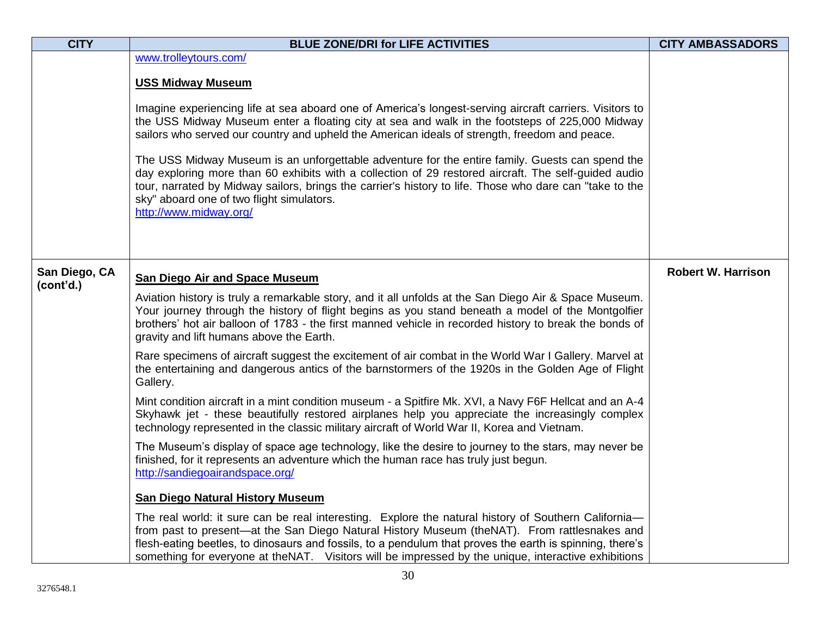| <b>CITY</b>                | <b>BLUE ZONE/DRI for LIFE ACTIVITIES</b>                                                                                                                                                                                                                                                                                                                                                                                                                                                                                                                                                                                                                                                                                                                                                                                                                                                                                                                                                                                                                                                                                                                                                                                                                                                                                             | <b>CITY AMBASSADORS</b>   |
|----------------------------|--------------------------------------------------------------------------------------------------------------------------------------------------------------------------------------------------------------------------------------------------------------------------------------------------------------------------------------------------------------------------------------------------------------------------------------------------------------------------------------------------------------------------------------------------------------------------------------------------------------------------------------------------------------------------------------------------------------------------------------------------------------------------------------------------------------------------------------------------------------------------------------------------------------------------------------------------------------------------------------------------------------------------------------------------------------------------------------------------------------------------------------------------------------------------------------------------------------------------------------------------------------------------------------------------------------------------------------|---------------------------|
|                            | www.trolleytours.com/<br><b>USS Midway Museum</b><br>Imagine experiencing life at sea aboard one of America's longest-serving aircraft carriers. Visitors to<br>the USS Midway Museum enter a floating city at sea and walk in the footsteps of 225,000 Midway<br>sailors who served our country and upheld the American ideals of strength, freedom and peace.<br>The USS Midway Museum is an unforgettable adventure for the entire family. Guests can spend the<br>day exploring more than 60 exhibits with a collection of 29 restored aircraft. The self-guided audio<br>tour, narrated by Midway sailors, brings the carrier's history to life. Those who dare can "take to the<br>sky" aboard one of two flight simulators.<br>http://www.midway.org/                                                                                                                                                                                                                                                                                                                                                                                                                                                                                                                                                                         |                           |
| San Diego, CA<br>(cont'd.) | <b>San Diego Air and Space Museum</b><br>Aviation history is truly a remarkable story, and it all unfolds at the San Diego Air & Space Museum.<br>Your journey through the history of flight begins as you stand beneath a model of the Montgolfier<br>brothers' hot air balloon of 1783 - the first manned vehicle in recorded history to break the bonds of<br>gravity and lift humans above the Earth.<br>Rare specimens of aircraft suggest the excitement of air combat in the World War I Gallery. Marvel at<br>the entertaining and dangerous antics of the barnstormers of the 1920s in the Golden Age of Flight<br>Gallery.<br>Mint condition aircraft in a mint condition museum - a Spitfire Mk. XVI, a Navy F6F Hellcat and an A-4<br>Skyhawk jet - these beautifully restored airplanes help you appreciate the increasingly complex<br>technology represented in the classic military aircraft of World War II, Korea and Vietnam.<br>The Museum's display of space age technology, like the desire to journey to the stars, may never be<br>finished, for it represents an adventure which the human race has truly just begun.<br>http://sandiegoairandspace.org/<br><b>San Diego Natural History Museum</b><br>The real world: it sure can be real interesting. Explore the natural history of Southern California- | <b>Robert W. Harrison</b> |
|                            | from past to present-at the San Diego Natural History Museum (theNAT). From rattlesnakes and<br>flesh-eating beetles, to dinosaurs and fossils, to a pendulum that proves the earth is spinning, there's<br>something for everyone at theNAT. Visitors will be impressed by the unique, interactive exhibitions                                                                                                                                                                                                                                                                                                                                                                                                                                                                                                                                                                                                                                                                                                                                                                                                                                                                                                                                                                                                                      |                           |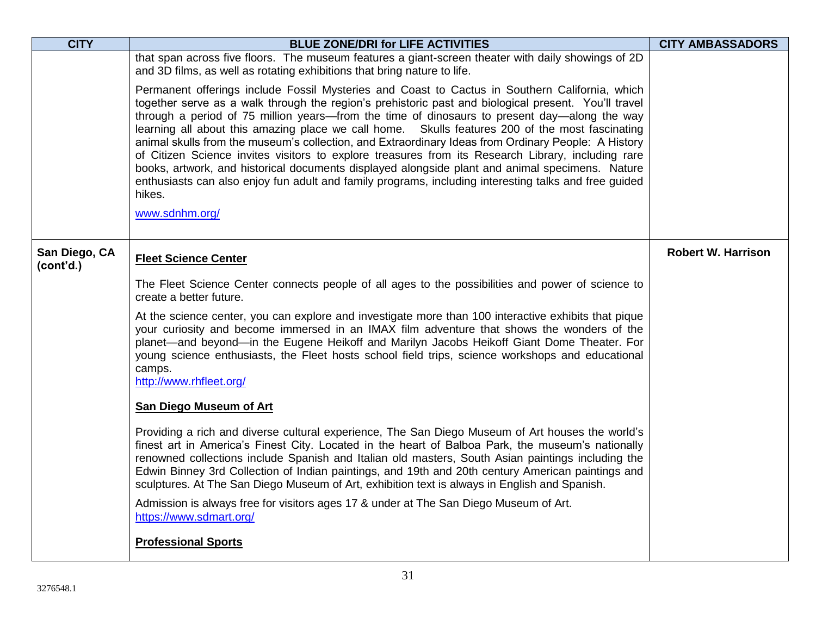| <b>CITY</b>                | <b>BLUE ZONE/DRI for LIFE ACTIVITIES</b>                                                                                                                                                                                                                                                                                                                                                                                                                                                                                                                                                                                                                                                                                                                                                                                                                       | <b>CITY AMBASSADORS</b>   |
|----------------------------|----------------------------------------------------------------------------------------------------------------------------------------------------------------------------------------------------------------------------------------------------------------------------------------------------------------------------------------------------------------------------------------------------------------------------------------------------------------------------------------------------------------------------------------------------------------------------------------------------------------------------------------------------------------------------------------------------------------------------------------------------------------------------------------------------------------------------------------------------------------|---------------------------|
|                            | that span across five floors. The museum features a giant-screen theater with daily showings of 2D<br>and 3D films, as well as rotating exhibitions that bring nature to life.                                                                                                                                                                                                                                                                                                                                                                                                                                                                                                                                                                                                                                                                                 |                           |
|                            | Permanent offerings include Fossil Mysteries and Coast to Cactus in Southern California, which<br>together serve as a walk through the region's prehistoric past and biological present. You'll travel<br>through a period of 75 million years—from the time of dinosaurs to present day—along the way<br>learning all about this amazing place we call home. Skulls features 200 of the most fascinating<br>animal skulls from the museum's collection, and Extraordinary Ideas from Ordinary People: A History<br>of Citizen Science invites visitors to explore treasures from its Research Library, including rare<br>books, artwork, and historical documents displayed alongside plant and animal specimens. Nature<br>enthusiasts can also enjoy fun adult and family programs, including interesting talks and free guided<br>hikes.<br>www.sdnhm.org/ |                           |
| San Diego, CA<br>(cont'd.) | <b>Fleet Science Center</b>                                                                                                                                                                                                                                                                                                                                                                                                                                                                                                                                                                                                                                                                                                                                                                                                                                    | <b>Robert W. Harrison</b> |
|                            | The Fleet Science Center connects people of all ages to the possibilities and power of science to<br>create a better future.                                                                                                                                                                                                                                                                                                                                                                                                                                                                                                                                                                                                                                                                                                                                   |                           |
|                            | At the science center, you can explore and investigate more than 100 interactive exhibits that pique<br>your curiosity and become immersed in an IMAX film adventure that shows the wonders of the<br>planet—and beyond—in the Eugene Heikoff and Marilyn Jacobs Heikoff Giant Dome Theater. For<br>young science enthusiasts, the Fleet hosts school field trips, science workshops and educational<br>camps.<br>http://www.rhfleet.org/                                                                                                                                                                                                                                                                                                                                                                                                                      |                           |
|                            | <b>San Diego Museum of Art</b>                                                                                                                                                                                                                                                                                                                                                                                                                                                                                                                                                                                                                                                                                                                                                                                                                                 |                           |
|                            | Providing a rich and diverse cultural experience, The San Diego Museum of Art houses the world's<br>finest art in America's Finest City. Located in the heart of Balboa Park, the museum's nationally<br>renowned collections include Spanish and Italian old masters, South Asian paintings including the<br>Edwin Binney 3rd Collection of Indian paintings, and 19th and 20th century American paintings and<br>sculptures. At The San Diego Museum of Art, exhibition text is always in English and Spanish.                                                                                                                                                                                                                                                                                                                                               |                           |
|                            | Admission is always free for visitors ages 17 & under at The San Diego Museum of Art.<br>https://www.sdmart.org/                                                                                                                                                                                                                                                                                                                                                                                                                                                                                                                                                                                                                                                                                                                                               |                           |
|                            | <b>Professional Sports</b>                                                                                                                                                                                                                                                                                                                                                                                                                                                                                                                                                                                                                                                                                                                                                                                                                                     |                           |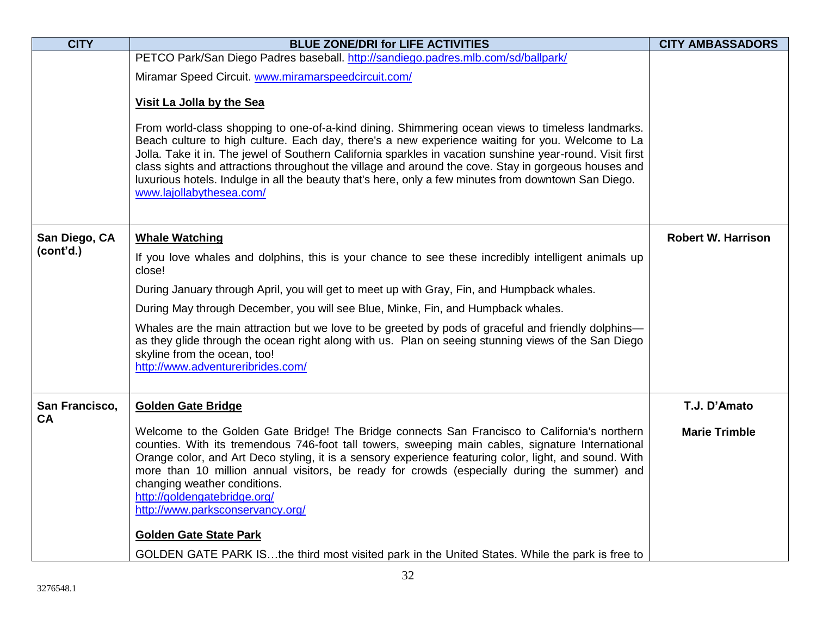| <b>CITY</b>    | <b>BLUE ZONE/DRI for LIFE ACTIVITIES</b>                                                                                                                                                                                                                                                                                                                                                                                                                                                                                                                      | <b>CITY AMBASSADORS</b>   |
|----------------|---------------------------------------------------------------------------------------------------------------------------------------------------------------------------------------------------------------------------------------------------------------------------------------------------------------------------------------------------------------------------------------------------------------------------------------------------------------------------------------------------------------------------------------------------------------|---------------------------|
|                | PETCO Park/San Diego Padres baseball. http://sandiego.padres.mlb.com/sd/ballpark/                                                                                                                                                                                                                                                                                                                                                                                                                                                                             |                           |
|                | Miramar Speed Circuit. www.miramarspeedcircuit.com/                                                                                                                                                                                                                                                                                                                                                                                                                                                                                                           |                           |
|                | Visit La Jolla by the Sea                                                                                                                                                                                                                                                                                                                                                                                                                                                                                                                                     |                           |
|                | From world-class shopping to one-of-a-kind dining. Shimmering ocean views to timeless landmarks.<br>Beach culture to high culture. Each day, there's a new experience waiting for you. Welcome to La<br>Jolla. Take it in. The jewel of Southern California sparkles in vacation sunshine year-round. Visit first<br>class sights and attractions throughout the village and around the cove. Stay in gorgeous houses and<br>luxurious hotels. Indulge in all the beauty that's here, only a few minutes from downtown San Diego.<br>www.lajollabythesea.com/ |                           |
| San Diego, CA  | <b>Whale Watching</b>                                                                                                                                                                                                                                                                                                                                                                                                                                                                                                                                         | <b>Robert W. Harrison</b> |
| (cont'd.)      | If you love whales and dolphins, this is your chance to see these incredibly intelligent animals up<br>close!                                                                                                                                                                                                                                                                                                                                                                                                                                                 |                           |
|                | During January through April, you will get to meet up with Gray, Fin, and Humpback whales.                                                                                                                                                                                                                                                                                                                                                                                                                                                                    |                           |
|                | During May through December, you will see Blue, Minke, Fin, and Humpback whales.                                                                                                                                                                                                                                                                                                                                                                                                                                                                              |                           |
|                | Whales are the main attraction but we love to be greeted by pods of graceful and friendly dolphins-<br>as they glide through the ocean right along with us. Plan on seeing stunning views of the San Diego<br>skyline from the ocean, too!<br>http://www.adventureribrides.com/                                                                                                                                                                                                                                                                               |                           |
| San Francisco, | <b>Golden Gate Bridge</b>                                                                                                                                                                                                                                                                                                                                                                                                                                                                                                                                     | T.J. D'Amato              |
| <b>CA</b>      | Welcome to the Golden Gate Bridge! The Bridge connects San Francisco to California's northern<br>counties. With its tremendous 746-foot tall towers, sweeping main cables, signature International<br>Orange color, and Art Deco styling, it is a sensory experience featuring color, light, and sound. With<br>more than 10 million annual visitors, be ready for crowds (especially during the summer) and<br>changing weather conditions.<br>http://goldengatebridge.org/<br>http://www.parksconservancy.org/<br><b>Golden Gate State Park</b>             | <b>Marie Trimble</b>      |
|                | GOLDEN GATE PARK ISthe third most visited park in the United States. While the park is free to                                                                                                                                                                                                                                                                                                                                                                                                                                                                |                           |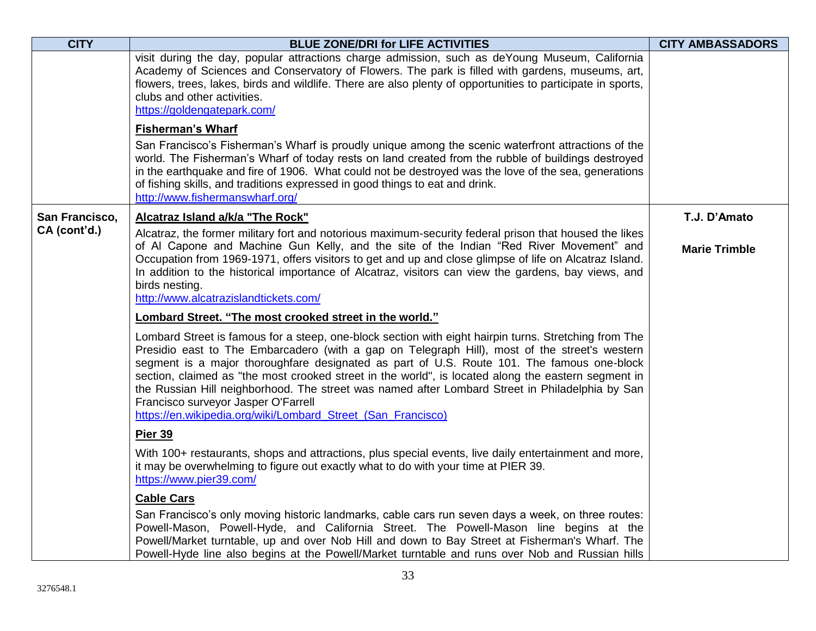| <b>CITY</b>    | <b>BLUE ZONE/DRI for LIFE ACTIVITIES</b>                                                                                                                                                                                                                                                                                                                                                                                                                                                                                                                                                                              | <b>CITY AMBASSADORS</b> |
|----------------|-----------------------------------------------------------------------------------------------------------------------------------------------------------------------------------------------------------------------------------------------------------------------------------------------------------------------------------------------------------------------------------------------------------------------------------------------------------------------------------------------------------------------------------------------------------------------------------------------------------------------|-------------------------|
|                | visit during the day, popular attractions charge admission, such as deYoung Museum, California<br>Academy of Sciences and Conservatory of Flowers. The park is filled with gardens, museums, art,<br>flowers, trees, lakes, birds and wildlife. There are also plenty of opportunities to participate in sports,<br>clubs and other activities.<br>https://goldengatepark.com/                                                                                                                                                                                                                                        |                         |
|                | <b>Fisherman's Wharf</b>                                                                                                                                                                                                                                                                                                                                                                                                                                                                                                                                                                                              |                         |
|                | San Francisco's Fisherman's Wharf is proudly unique among the scenic waterfront attractions of the<br>world. The Fisherman's Wharf of today rests on land created from the rubble of buildings destroyed<br>in the earthquake and fire of 1906. What could not be destroyed was the love of the sea, generations<br>of fishing skills, and traditions expressed in good things to eat and drink.<br>http://www.fishermanswharf.org/                                                                                                                                                                                   |                         |
| San Francisco, | Alcatraz Island a/k/a "The Rock"                                                                                                                                                                                                                                                                                                                                                                                                                                                                                                                                                                                      | T.J. D'Amato            |
| CA (cont'd.)   | Alcatraz, the former military fort and notorious maximum-security federal prison that housed the likes<br>of AI Capone and Machine Gun Kelly, and the site of the Indian "Red River Movement" and<br>Occupation from 1969-1971, offers visitors to get and up and close glimpse of life on Alcatraz Island.<br>In addition to the historical importance of Alcatraz, visitors can view the gardens, bay views, and<br>birds nesting.<br>http://www.alcatrazislandtickets.com/                                                                                                                                         | <b>Marie Trimble</b>    |
|                | Lombard Street. "The most crooked street in the world."                                                                                                                                                                                                                                                                                                                                                                                                                                                                                                                                                               |                         |
|                | Lombard Street is famous for a steep, one-block section with eight hairpin turns. Stretching from The<br>Presidio east to The Embarcadero (with a gap on Telegraph Hill), most of the street's western<br>segment is a major thoroughfare designated as part of U.S. Route 101. The famous one-block<br>section, claimed as "the most crooked street in the world", is located along the eastern segment in<br>the Russian Hill neighborhood. The street was named after Lombard Street in Philadelphia by San<br>Francisco surveyor Jasper O'Farrell<br>https://en.wikipedia.org/wiki/Lombard_Street_(San_Francisco) |                         |
|                | Pier 39                                                                                                                                                                                                                                                                                                                                                                                                                                                                                                                                                                                                               |                         |
|                | With 100+ restaurants, shops and attractions, plus special events, live daily entertainment and more,<br>it may be overwhelming to figure out exactly what to do with your time at PIER 39.<br>https://www.pier39.com/                                                                                                                                                                                                                                                                                                                                                                                                |                         |
|                | <b>Cable Cars</b>                                                                                                                                                                                                                                                                                                                                                                                                                                                                                                                                                                                                     |                         |
|                | San Francisco's only moving historic landmarks, cable cars run seven days a week, on three routes:<br>Powell-Mason, Powell-Hyde, and California Street. The Powell-Mason line begins at the<br>Powell/Market turntable, up and over Nob Hill and down to Bay Street at Fisherman's Wharf. The<br>Powell-Hyde line also begins at the Powell/Market turntable and runs over Nob and Russian hills                                                                                                                                                                                                                      |                         |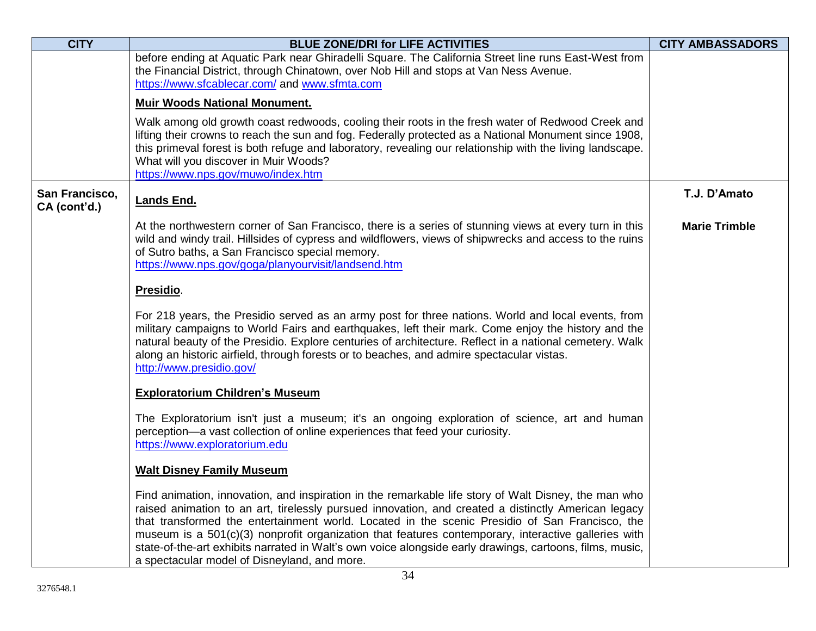| <b>CITY</b>                    | <b>BLUE ZONE/DRI for LIFE ACTIVITIES</b>                                                                                                                                                                                                                                                                                                                                                                                                                                                                                                                                         | <b>CITY AMBASSADORS</b> |
|--------------------------------|----------------------------------------------------------------------------------------------------------------------------------------------------------------------------------------------------------------------------------------------------------------------------------------------------------------------------------------------------------------------------------------------------------------------------------------------------------------------------------------------------------------------------------------------------------------------------------|-------------------------|
|                                | before ending at Aquatic Park near Ghiradelli Square. The California Street line runs East-West from                                                                                                                                                                                                                                                                                                                                                                                                                                                                             |                         |
|                                | the Financial District, through Chinatown, over Nob Hill and stops at Van Ness Avenue.<br>https://www.sfcablecar.com/ and www.sfmta.com                                                                                                                                                                                                                                                                                                                                                                                                                                          |                         |
|                                | <b>Muir Woods National Monument.</b>                                                                                                                                                                                                                                                                                                                                                                                                                                                                                                                                             |                         |
|                                |                                                                                                                                                                                                                                                                                                                                                                                                                                                                                                                                                                                  |                         |
|                                | Walk among old growth coast redwoods, cooling their roots in the fresh water of Redwood Creek and<br>lifting their crowns to reach the sun and fog. Federally protected as a National Monument since 1908,                                                                                                                                                                                                                                                                                                                                                                       |                         |
|                                | this primeval forest is both refuge and laboratory, revealing our relationship with the living landscape.                                                                                                                                                                                                                                                                                                                                                                                                                                                                        |                         |
|                                | What will you discover in Muir Woods?                                                                                                                                                                                                                                                                                                                                                                                                                                                                                                                                            |                         |
|                                | https://www.nps.gov/muwo/index.htm                                                                                                                                                                                                                                                                                                                                                                                                                                                                                                                                               |                         |
| San Francisco,<br>CA (cont'd.) | Lands End.                                                                                                                                                                                                                                                                                                                                                                                                                                                                                                                                                                       | T.J. D'Amato            |
|                                | At the northwestern corner of San Francisco, there is a series of stunning views at every turn in this<br>wild and windy trail. Hillsides of cypress and wildflowers, views of shipwrecks and access to the ruins<br>of Sutro baths, a San Francisco special memory.<br>https://www.nps.gov/goga/planyourvisit/landsend.htm                                                                                                                                                                                                                                                      | <b>Marie Trimble</b>    |
|                                |                                                                                                                                                                                                                                                                                                                                                                                                                                                                                                                                                                                  |                         |
|                                | Presidio.                                                                                                                                                                                                                                                                                                                                                                                                                                                                                                                                                                        |                         |
|                                | For 218 years, the Presidio served as an army post for three nations. World and local events, from<br>military campaigns to World Fairs and earthquakes, left their mark. Come enjoy the history and the<br>natural beauty of the Presidio. Explore centuries of architecture. Reflect in a national cemetery. Walk<br>along an historic airfield, through forests or to beaches, and admire spectacular vistas.<br>http://www.presidio.gov/                                                                                                                                     |                         |
|                                | <b>Exploratorium Children's Museum</b>                                                                                                                                                                                                                                                                                                                                                                                                                                                                                                                                           |                         |
|                                | The Exploratorium isn't just a museum; it's an ongoing exploration of science, art and human<br>perception-a vast collection of online experiences that feed your curiosity.<br>https://www.exploratorium.edu                                                                                                                                                                                                                                                                                                                                                                    |                         |
|                                | <b>Walt Disney Family Museum</b>                                                                                                                                                                                                                                                                                                                                                                                                                                                                                                                                                 |                         |
|                                | Find animation, innovation, and inspiration in the remarkable life story of Walt Disney, the man who<br>raised animation to an art, tirelessly pursued innovation, and created a distinctly American legacy<br>that transformed the entertainment world. Located in the scenic Presidio of San Francisco, the<br>museum is a 501(c)(3) nonprofit organization that features contemporary, interactive galleries with<br>state-of-the-art exhibits narrated in Walt's own voice alongside early drawings, cartoons, films, music,<br>a spectacular model of Disneyland, and more. |                         |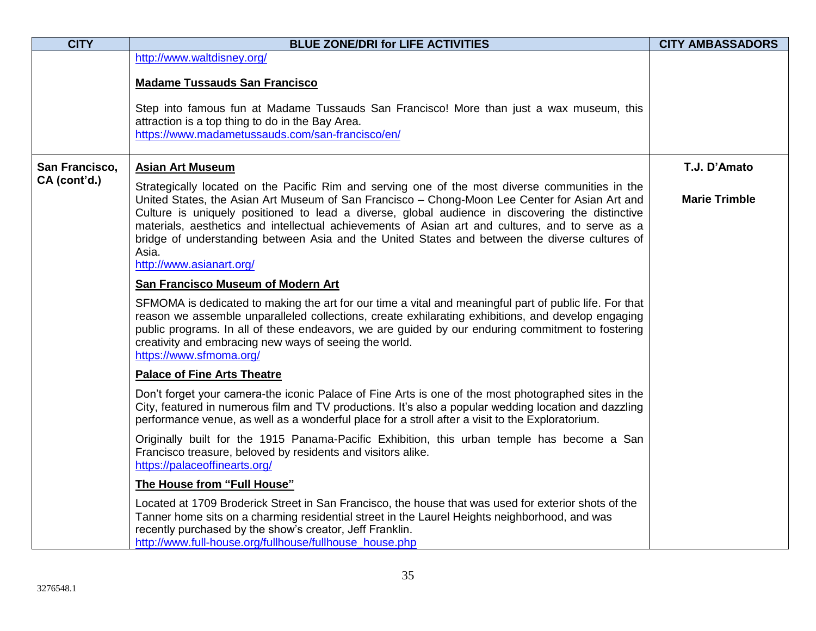| <b>CITY</b>    | <b>BLUE ZONE/DRI for LIFE ACTIVITIES</b>                                                                                                                                                                                                                                                                                                                                                                                                                                                                                                         | <b>CITY AMBASSADORS</b> |
|----------------|--------------------------------------------------------------------------------------------------------------------------------------------------------------------------------------------------------------------------------------------------------------------------------------------------------------------------------------------------------------------------------------------------------------------------------------------------------------------------------------------------------------------------------------------------|-------------------------|
|                | http://www.waltdisney.org/                                                                                                                                                                                                                                                                                                                                                                                                                                                                                                                       |                         |
|                | <b>Madame Tussauds San Francisco</b>                                                                                                                                                                                                                                                                                                                                                                                                                                                                                                             |                         |
|                | Step into famous fun at Madame Tussauds San Francisco! More than just a wax museum, this<br>attraction is a top thing to do in the Bay Area.<br>https://www.madametussauds.com/san-francisco/en/                                                                                                                                                                                                                                                                                                                                                 |                         |
| San Francisco, | <b>Asian Art Museum</b>                                                                                                                                                                                                                                                                                                                                                                                                                                                                                                                          | T.J. D'Amato            |
| CA (cont'd.)   | Strategically located on the Pacific Rim and serving one of the most diverse communities in the<br>United States, the Asian Art Museum of San Francisco - Chong-Moon Lee Center for Asian Art and<br>Culture is uniquely positioned to lead a diverse, global audience in discovering the distinctive<br>materials, aesthetics and intellectual achievements of Asian art and cultures, and to serve as a<br>bridge of understanding between Asia and the United States and between the diverse cultures of<br>Asia.<br>http://www.asianart.org/ | <b>Marie Trimble</b>    |
|                | <b>San Francisco Museum of Modern Art</b>                                                                                                                                                                                                                                                                                                                                                                                                                                                                                                        |                         |
|                | SFMOMA is dedicated to making the art for our time a vital and meaningful part of public life. For that<br>reason we assemble unparalleled collections, create exhilarating exhibitions, and develop engaging<br>public programs. In all of these endeavors, we are guided by our enduring commitment to fostering<br>creativity and embracing new ways of seeing the world.<br>https://www.sfmoma.org/                                                                                                                                          |                         |
|                | <b>Palace of Fine Arts Theatre</b>                                                                                                                                                                                                                                                                                                                                                                                                                                                                                                               |                         |
|                | Don't forget your camera-the iconic Palace of Fine Arts is one of the most photographed sites in the<br>City, featured in numerous film and TV productions. It's also a popular wedding location and dazzling<br>performance venue, as well as a wonderful place for a stroll after a visit to the Exploratorium.                                                                                                                                                                                                                                |                         |
|                | Originally built for the 1915 Panama-Pacific Exhibition, this urban temple has become a San<br>Francisco treasure, beloved by residents and visitors alike.<br>https://palaceoffinearts.org/                                                                                                                                                                                                                                                                                                                                                     |                         |
|                | The House from "Full House"                                                                                                                                                                                                                                                                                                                                                                                                                                                                                                                      |                         |
|                | Located at 1709 Broderick Street in San Francisco, the house that was used for exterior shots of the<br>Tanner home sits on a charming residential street in the Laurel Heights neighborhood, and was<br>recently purchased by the show's creator, Jeff Franklin.<br>http://www.full-house.org/fullhouse/fullhouse house.php                                                                                                                                                                                                                     |                         |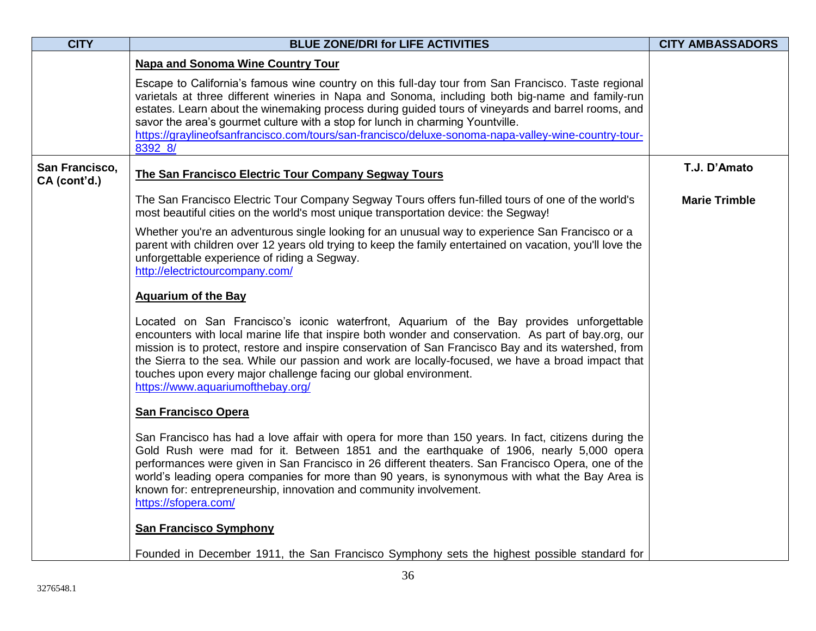| <b>CITY</b>                    | <b>BLUE ZONE/DRI for LIFE ACTIVITIES</b>                                                                                                                                                                                                                                                                                                                                                                                                                                                                                 | <b>CITY AMBASSADORS</b> |
|--------------------------------|--------------------------------------------------------------------------------------------------------------------------------------------------------------------------------------------------------------------------------------------------------------------------------------------------------------------------------------------------------------------------------------------------------------------------------------------------------------------------------------------------------------------------|-------------------------|
|                                | <b>Napa and Sonoma Wine Country Tour</b>                                                                                                                                                                                                                                                                                                                                                                                                                                                                                 |                         |
|                                | Escape to California's famous wine country on this full-day tour from San Francisco. Taste regional<br>varietals at three different wineries in Napa and Sonoma, including both big-name and family-run<br>estates. Learn about the winemaking process during guided tours of vineyards and barrel rooms, and<br>savor the area's gourmet culture with a stop for lunch in charming Yountville.<br>https://graylineofsanfrancisco.com/tours/san-francisco/deluxe-sonoma-napa-valley-wine-country-tour-<br>8392_8/        |                         |
| San Francisco,<br>CA (cont'd.) | The San Francisco Electric Tour Company Segway Tours                                                                                                                                                                                                                                                                                                                                                                                                                                                                     | T.J. D'Amato            |
|                                | The San Francisco Electric Tour Company Segway Tours offers fun-filled tours of one of the world's<br>most beautiful cities on the world's most unique transportation device: the Segway!                                                                                                                                                                                                                                                                                                                                | <b>Marie Trimble</b>    |
|                                | Whether you're an adventurous single looking for an unusual way to experience San Francisco or a<br>parent with children over 12 years old trying to keep the family entertained on vacation, you'll love the<br>unforgettable experience of riding a Segway.<br>http://electrictourcompany.com/                                                                                                                                                                                                                         |                         |
|                                | <b>Aquarium of the Bay</b>                                                                                                                                                                                                                                                                                                                                                                                                                                                                                               |                         |
|                                | Located on San Francisco's iconic waterfront, Aquarium of the Bay provides unforgettable<br>encounters with local marine life that inspire both wonder and conservation. As part of bay.org, our<br>mission is to protect, restore and inspire conservation of San Francisco Bay and its watershed, from<br>the Sierra to the sea. While our passion and work are locally-focused, we have a broad impact that<br>touches upon every major challenge facing our global environment.<br>https://www.aquariumofthebay.org/ |                         |
|                                | <b>San Francisco Opera</b>                                                                                                                                                                                                                                                                                                                                                                                                                                                                                               |                         |
|                                | San Francisco has had a love affair with opera for more than 150 years. In fact, citizens during the<br>Gold Rush were mad for it. Between 1851 and the earthquake of 1906, nearly 5,000 opera<br>performances were given in San Francisco in 26 different theaters. San Francisco Opera, one of the<br>world's leading opera companies for more than 90 years, is synonymous with what the Bay Area is<br>known for: entrepreneurship, innovation and community involvement.<br>https://sfopera.com/                    |                         |
|                                | <b>San Francisco Symphony</b>                                                                                                                                                                                                                                                                                                                                                                                                                                                                                            |                         |
|                                | Founded in December 1911, the San Francisco Symphony sets the highest possible standard for                                                                                                                                                                                                                                                                                                                                                                                                                              |                         |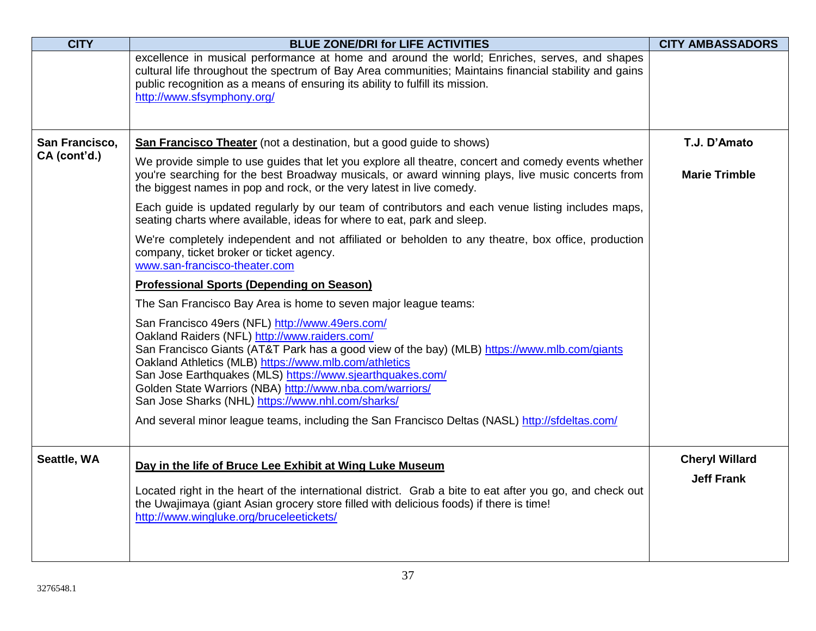| <b>CITY</b>    | <b>BLUE ZONE/DRI for LIFE ACTIVITIES</b>                                                                                                                                                                                                                                                                                                                                                                                                | <b>CITY AMBASSADORS</b>                    |
|----------------|-----------------------------------------------------------------------------------------------------------------------------------------------------------------------------------------------------------------------------------------------------------------------------------------------------------------------------------------------------------------------------------------------------------------------------------------|--------------------------------------------|
|                | excellence in musical performance at home and around the world; Enriches, serves, and shapes<br>cultural life throughout the spectrum of Bay Area communities; Maintains financial stability and gains<br>public recognition as a means of ensuring its ability to fulfill its mission.<br>http://www.sfsymphony.org/                                                                                                                   |                                            |
| San Francisco, | <b>San Francisco Theater</b> (not a destination, but a good guide to shows)                                                                                                                                                                                                                                                                                                                                                             | T.J. D'Amato                               |
| CA (cont'd.)   | We provide simple to use guides that let you explore all theatre, concert and comedy events whether<br>you're searching for the best Broadway musicals, or award winning plays, live music concerts from<br>the biggest names in pop and rock, or the very latest in live comedy.                                                                                                                                                       | <b>Marie Trimble</b>                       |
|                | Each guide is updated regularly by our team of contributors and each venue listing includes maps,<br>seating charts where available, ideas for where to eat, park and sleep.                                                                                                                                                                                                                                                            |                                            |
|                | We're completely independent and not affiliated or beholden to any theatre, box office, production<br>company, ticket broker or ticket agency.<br>www.san-francisco-theater.com                                                                                                                                                                                                                                                         |                                            |
|                | <b>Professional Sports (Depending on Season)</b>                                                                                                                                                                                                                                                                                                                                                                                        |                                            |
|                | The San Francisco Bay Area is home to seven major league teams:                                                                                                                                                                                                                                                                                                                                                                         |                                            |
|                | San Francisco 49ers (NFL) http://www.49ers.com/<br>Oakland Raiders (NFL) http://www.raiders.com/<br>San Francisco Giants (AT&T Park has a good view of the bay) (MLB) https://www.mlb.com/giants<br>Oakland Athletics (MLB) https://www.mlb.com/athletics<br>San Jose Earthquakes (MLS) https://www.sjearthquakes.com/<br>Golden State Warriors (NBA) http://www.nba.com/warriors/<br>San Jose Sharks (NHL) https://www.nhl.com/sharks/ |                                            |
|                | And several minor league teams, including the San Francisco Deltas (NASL) http://sfdeltas.com/                                                                                                                                                                                                                                                                                                                                          |                                            |
| Seattle, WA    | Day in the life of Bruce Lee Exhibit at Wing Luke Museum<br>Located right in the heart of the international district. Grab a bite to eat after you go, and check out<br>the Uwajimaya (giant Asian grocery store filled with delicious foods) if there is time!<br>http://www.wingluke.org/bruceleetickets/                                                                                                                             | <b>Cheryl Willard</b><br><b>Jeff Frank</b> |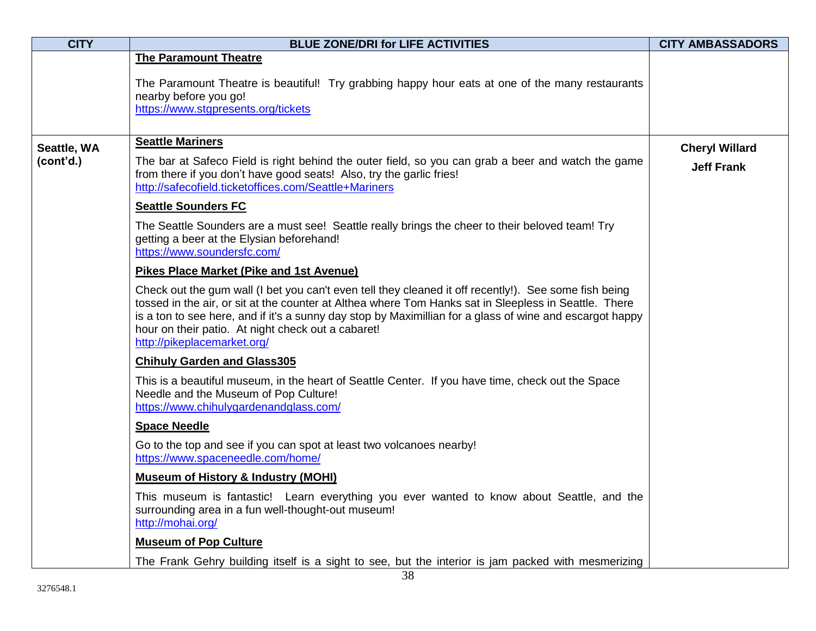| <b>CITY</b> | <b>BLUE ZONE/DRI for LIFE ACTIVITIES</b>                                                                                                                                                                                                                                                                                                                                                                        | <b>CITY AMBASSADORS</b> |
|-------------|-----------------------------------------------------------------------------------------------------------------------------------------------------------------------------------------------------------------------------------------------------------------------------------------------------------------------------------------------------------------------------------------------------------------|-------------------------|
|             | <b>The Paramount Theatre</b><br>The Paramount Theatre is beautiful! Try grabbing happy hour eats at one of the many restaurants<br>nearby before you go!                                                                                                                                                                                                                                                        |                         |
|             | https://www.stgpresents.org/tickets                                                                                                                                                                                                                                                                                                                                                                             |                         |
| Seattle, WA | <b>Seattle Mariners</b>                                                                                                                                                                                                                                                                                                                                                                                         | <b>Cheryl Willard</b>   |
| (cont'd.)   | The bar at Safeco Field is right behind the outer field, so you can grab a beer and watch the game<br>from there if you don't have good seats! Also, try the garlic fries!<br>http://safecofield.ticketoffices.com/Seattle+Mariners                                                                                                                                                                             | <b>Jeff Frank</b>       |
|             | <b>Seattle Sounders FC</b>                                                                                                                                                                                                                                                                                                                                                                                      |                         |
|             | The Seattle Sounders are a must see! Seattle really brings the cheer to their beloved team! Try<br>getting a beer at the Elysian beforehand!<br>https://www.soundersfc.com/                                                                                                                                                                                                                                     |                         |
|             | <b>Pikes Place Market (Pike and 1st Avenue)</b>                                                                                                                                                                                                                                                                                                                                                                 |                         |
|             | Check out the gum wall (I bet you can't even tell they cleaned it off recently!). See some fish being<br>tossed in the air, or sit at the counter at Althea where Tom Hanks sat in Sleepless in Seattle. There<br>is a ton to see here, and if it's a sunny day stop by Maximillian for a glass of wine and escargot happy<br>hour on their patio. At night check out a cabaret!<br>http://pikeplacemarket.org/ |                         |
|             | <b>Chihuly Garden and Glass305</b>                                                                                                                                                                                                                                                                                                                                                                              |                         |
|             | This is a beautiful museum, in the heart of Seattle Center. If you have time, check out the Space<br>Needle and the Museum of Pop Culture!<br>https://www.chihulygardenandglass.com/                                                                                                                                                                                                                            |                         |
|             | <b>Space Needle</b>                                                                                                                                                                                                                                                                                                                                                                                             |                         |
|             | Go to the top and see if you can spot at least two volcanoes nearby!<br>https://www.spaceneedle.com/home/                                                                                                                                                                                                                                                                                                       |                         |
|             | <b>Museum of History &amp; Industry (MOHI)</b>                                                                                                                                                                                                                                                                                                                                                                  |                         |
|             | This museum is fantastic! Learn everything you ever wanted to know about Seattle, and the<br>surrounding area in a fun well-thought-out museum!<br>http://mohai.org/                                                                                                                                                                                                                                            |                         |
|             | <b>Museum of Pop Culture</b>                                                                                                                                                                                                                                                                                                                                                                                    |                         |
|             | The Frank Gehry building itself is a sight to see, but the interior is jam packed with mesmerizing                                                                                                                                                                                                                                                                                                              |                         |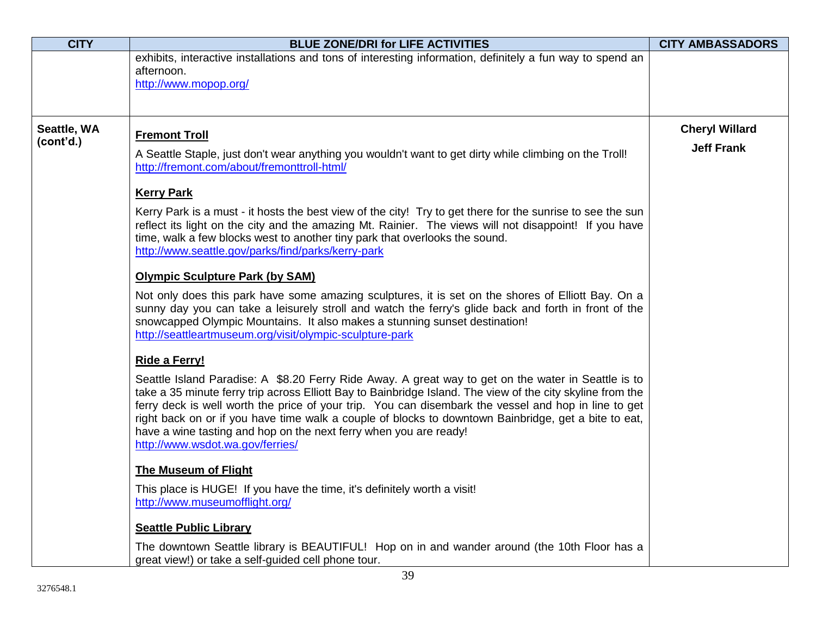| <b>CITY</b>              | <b>BLUE ZONE/DRI for LIFE ACTIVITIES</b>                                                                                                                                                                                                                                                                                                                                                                                                                                                                                                   | <b>CITY AMBASSADORS</b> |
|--------------------------|--------------------------------------------------------------------------------------------------------------------------------------------------------------------------------------------------------------------------------------------------------------------------------------------------------------------------------------------------------------------------------------------------------------------------------------------------------------------------------------------------------------------------------------------|-------------------------|
|                          | exhibits, interactive installations and tons of interesting information, definitely a fun way to spend an<br>afternoon.<br>http://www.mopop.org/                                                                                                                                                                                                                                                                                                                                                                                           |                         |
|                          |                                                                                                                                                                                                                                                                                                                                                                                                                                                                                                                                            |                         |
| Seattle, WA<br>(cont'd.) | <b>Fremont Troll</b>                                                                                                                                                                                                                                                                                                                                                                                                                                                                                                                       | <b>Cheryl Willard</b>   |
|                          | A Seattle Staple, just don't wear anything you wouldn't want to get dirty while climbing on the Troll!<br>http://fremont.com/about/fremonttroll-html/                                                                                                                                                                                                                                                                                                                                                                                      | <b>Jeff Frank</b>       |
|                          | <b>Kerry Park</b>                                                                                                                                                                                                                                                                                                                                                                                                                                                                                                                          |                         |
|                          | Kerry Park is a must - it hosts the best view of the city! Try to get there for the sunrise to see the sun<br>reflect its light on the city and the amazing Mt. Rainier. The views will not disappoint! If you have<br>time, walk a few blocks west to another tiny park that overlooks the sound.<br>http://www.seattle.gov/parks/find/parks/kerry-park                                                                                                                                                                                   |                         |
|                          | <b>Olympic Sculpture Park (by SAM)</b>                                                                                                                                                                                                                                                                                                                                                                                                                                                                                                     |                         |
|                          | Not only does this park have some amazing sculptures, it is set on the shores of Elliott Bay. On a<br>sunny day you can take a leisurely stroll and watch the ferry's glide back and forth in front of the<br>snowcapped Olympic Mountains. It also makes a stunning sunset destination!<br>http://seattleartmuseum.org/visit/olympic-sculpture-park                                                                                                                                                                                       |                         |
|                          | Ride a Ferry!                                                                                                                                                                                                                                                                                                                                                                                                                                                                                                                              |                         |
|                          | Seattle Island Paradise: A \$8.20 Ferry Ride Away. A great way to get on the water in Seattle is to<br>take a 35 minute ferry trip across Elliott Bay to Bainbridge Island. The view of the city skyline from the<br>ferry deck is well worth the price of your trip. You can disembark the vessel and hop in line to get<br>right back on or if you have time walk a couple of blocks to downtown Bainbridge, get a bite to eat,<br>have a wine tasting and hop on the next ferry when you are ready!<br>http://www.wsdot.wa.gov/ferries/ |                         |
|                          | <b>The Museum of Flight</b>                                                                                                                                                                                                                                                                                                                                                                                                                                                                                                                |                         |
|                          | This place is HUGE! If you have the time, it's definitely worth a visit!<br>http://www.museumofflight.org/                                                                                                                                                                                                                                                                                                                                                                                                                                 |                         |
|                          | <b>Seattle Public Library</b>                                                                                                                                                                                                                                                                                                                                                                                                                                                                                                              |                         |
|                          | The downtown Seattle library is BEAUTIFUL! Hop on in and wander around (the 10th Floor has a<br>great view!) or take a self-guided cell phone tour.<br>20                                                                                                                                                                                                                                                                                                                                                                                  |                         |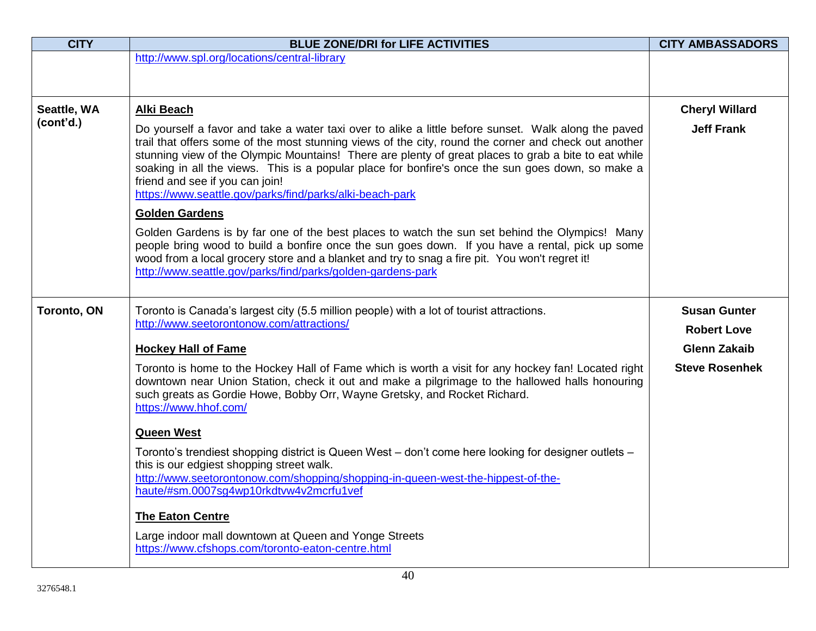| <b>CITY</b>        | <b>BLUE ZONE/DRI for LIFE ACTIVITIES</b>                                                                                                                                                                                                                                                                                                                                                                                                                                                                                  | <b>CITY AMBASSADORS</b> |
|--------------------|---------------------------------------------------------------------------------------------------------------------------------------------------------------------------------------------------------------------------------------------------------------------------------------------------------------------------------------------------------------------------------------------------------------------------------------------------------------------------------------------------------------------------|-------------------------|
|                    | http://www.spl.org/locations/central-library                                                                                                                                                                                                                                                                                                                                                                                                                                                                              |                         |
|                    |                                                                                                                                                                                                                                                                                                                                                                                                                                                                                                                           |                         |
|                    |                                                                                                                                                                                                                                                                                                                                                                                                                                                                                                                           |                         |
| Seattle, WA        | Alki Beach                                                                                                                                                                                                                                                                                                                                                                                                                                                                                                                | <b>Cheryl Willard</b>   |
| (cont'd.)          | Do yourself a favor and take a water taxi over to alike a little before sunset. Walk along the paved<br>trail that offers some of the most stunning views of the city, round the corner and check out another<br>stunning view of the Olympic Mountains! There are plenty of great places to grab a bite to eat while<br>soaking in all the views. This is a popular place for bonfire's once the sun goes down, so make a<br>friend and see if you can join!<br>https://www.seattle.gov/parks/find/parks/alki-beach-park | <b>Jeff Frank</b>       |
|                    | <b>Golden Gardens</b>                                                                                                                                                                                                                                                                                                                                                                                                                                                                                                     |                         |
|                    | Golden Gardens is by far one of the best places to watch the sun set behind the Olympics! Many<br>people bring wood to build a bonfire once the sun goes down. If you have a rental, pick up some<br>wood from a local grocery store and a blanket and try to snag a fire pit. You won't regret it!<br>http://www.seattle.gov/parks/find/parks/golden-gardens-park                                                                                                                                                        |                         |
|                    |                                                                                                                                                                                                                                                                                                                                                                                                                                                                                                                           |                         |
| <b>Toronto, ON</b> | Toronto is Canada's largest city (5.5 million people) with a lot of tourist attractions.                                                                                                                                                                                                                                                                                                                                                                                                                                  | <b>Susan Gunter</b>     |
|                    | http://www.seetorontonow.com/attractions/                                                                                                                                                                                                                                                                                                                                                                                                                                                                                 | <b>Robert Love</b>      |
|                    | <b>Hockey Hall of Fame</b>                                                                                                                                                                                                                                                                                                                                                                                                                                                                                                | <b>Glenn Zakaib</b>     |
|                    | Toronto is home to the Hockey Hall of Fame which is worth a visit for any hockey fan! Located right<br>downtown near Union Station, check it out and make a pilgrimage to the hallowed halls honouring<br>such greats as Gordie Howe, Bobby Orr, Wayne Gretsky, and Rocket Richard.<br>https://www.hhof.com/                                                                                                                                                                                                              | <b>Steve Rosenhek</b>   |
|                    | <b>Queen West</b>                                                                                                                                                                                                                                                                                                                                                                                                                                                                                                         |                         |
|                    | Toronto's trendiest shopping district is Queen West - don't come here looking for designer outlets -<br>this is our edgiest shopping street walk.<br>http://www.seetorontonow.com/shopping/shopping-in-queen-west-the-hippest-of-the-<br>haute/#sm.0007sg4wp10rkdtvw4v2mcrfu1vef                                                                                                                                                                                                                                          |                         |
|                    | <b>The Eaton Centre</b>                                                                                                                                                                                                                                                                                                                                                                                                                                                                                                   |                         |
|                    | Large indoor mall downtown at Queen and Yonge Streets<br>https://www.cfshops.com/toronto-eaton-centre.html                                                                                                                                                                                                                                                                                                                                                                                                                |                         |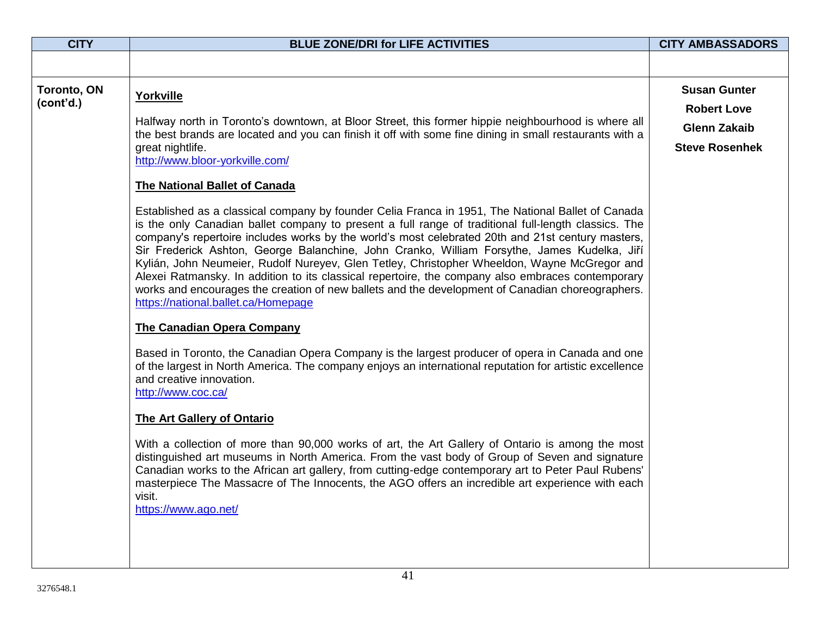| <b>CITY</b>              | <b>BLUE ZONE/DRI for LIFE ACTIVITIES</b>                                                                                                                                                                                                                                                                                                                                                                                                                                                                                                                                                                                                                                                                                                                                                                                                                                                                                                                                                                                                                                                                                                                                                                                                                                                                                                                                                                                                                                                                                                                                                                                                                                                                                                                                                                                                                                          | <b>CITY AMBASSADORS</b>                                                                   |
|--------------------------|-----------------------------------------------------------------------------------------------------------------------------------------------------------------------------------------------------------------------------------------------------------------------------------------------------------------------------------------------------------------------------------------------------------------------------------------------------------------------------------------------------------------------------------------------------------------------------------------------------------------------------------------------------------------------------------------------------------------------------------------------------------------------------------------------------------------------------------------------------------------------------------------------------------------------------------------------------------------------------------------------------------------------------------------------------------------------------------------------------------------------------------------------------------------------------------------------------------------------------------------------------------------------------------------------------------------------------------------------------------------------------------------------------------------------------------------------------------------------------------------------------------------------------------------------------------------------------------------------------------------------------------------------------------------------------------------------------------------------------------------------------------------------------------------------------------------------------------------------------------------------------------|-------------------------------------------------------------------------------------------|
|                          |                                                                                                                                                                                                                                                                                                                                                                                                                                                                                                                                                                                                                                                                                                                                                                                                                                                                                                                                                                                                                                                                                                                                                                                                                                                                                                                                                                                                                                                                                                                                                                                                                                                                                                                                                                                                                                                                                   |                                                                                           |
| Toronto, ON<br>(cont'd.) | Yorkville<br>Halfway north in Toronto's downtown, at Bloor Street, this former hippie neighbourhood is where all<br>the best brands are located and you can finish it off with some fine dining in small restaurants with a<br>great nightlife.<br>http://www.bloor-yorkville.com/<br><b>The National Ballet of Canada</b><br>Established as a classical company by founder Celia Franca in 1951, The National Ballet of Canada<br>is the only Canadian ballet company to present a full range of traditional full-length classics. The<br>company's repertoire includes works by the world's most celebrated 20th and 21st century masters,<br>Sir Frederick Ashton, George Balanchine, John Cranko, William Forsythe, James Kudelka, Jiří<br>Kylián, John Neumeier, Rudolf Nureyev, Glen Tetley, Christopher Wheeldon, Wayne McGregor and<br>Alexei Ratmansky. In addition to its classical repertoire, the company also embraces contemporary<br>works and encourages the creation of new ballets and the development of Canadian choreographers.<br>https://national.ballet.ca/Homepage<br><b>The Canadian Opera Company</b><br>Based in Toronto, the Canadian Opera Company is the largest producer of opera in Canada and one<br>of the largest in North America. The company enjoys an international reputation for artistic excellence<br>and creative innovation.<br>http://www.coc.ca/<br>The Art Gallery of Ontario<br>With a collection of more than 90,000 works of art, the Art Gallery of Ontario is among the most<br>distinguished art museums in North America. From the vast body of Group of Seven and signature<br>Canadian works to the African art gallery, from cutting-edge contemporary art to Peter Paul Rubens'<br>masterpiece The Massacre of The Innocents, the AGO offers an incredible art experience with each<br>visit.<br>https://www.ago.net/ | <b>Susan Gunter</b><br><b>Robert Love</b><br><b>Glenn Zakaib</b><br><b>Steve Rosenhek</b> |
|                          |                                                                                                                                                                                                                                                                                                                                                                                                                                                                                                                                                                                                                                                                                                                                                                                                                                                                                                                                                                                                                                                                                                                                                                                                                                                                                                                                                                                                                                                                                                                                                                                                                                                                                                                                                                                                                                                                                   |                                                                                           |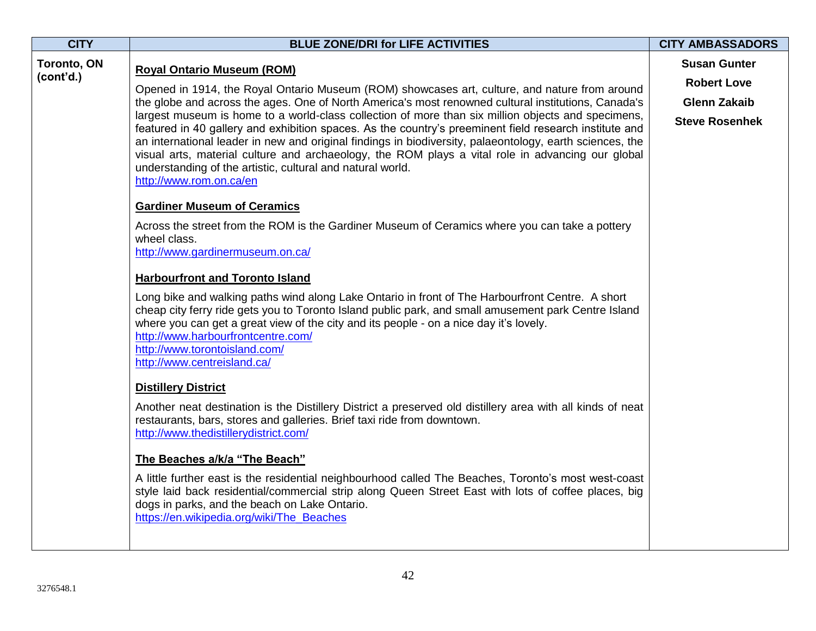| <b>CITY</b><br>Toronto, ON<br>(cont'd.) | <b>BLUE ZONE/DRI for LIFE ACTIVITIES</b><br><b>Royal Ontario Museum (ROM)</b><br>Opened in 1914, the Royal Ontario Museum (ROM) showcases art, culture, and nature from around<br>the globe and across the ages. One of North America's most renowned cultural institutions, Canada's<br>largest museum is home to a world-class collection of more than six million objects and specimens,<br>featured in 40 gallery and exhibition spaces. As the country's preeminent field research institute and<br>an international leader in new and original findings in biodiversity, palaeontology, earth sciences, the<br>visual arts, material culture and archaeology, the ROM plays a vital role in advancing our global<br>understanding of the artistic, cultural and natural world.<br>http://www.rom.on.ca/en<br><b>Gardiner Museum of Ceramics</b><br>Across the street from the ROM is the Gardiner Museum of Ceramics where you can take a pottery<br>wheel class.<br>http://www.gardinermuseum.on.ca/<br><b>Harbourfront and Toronto Island</b><br>Long bike and walking paths wind along Lake Ontario in front of The Harbourfront Centre. A short<br>cheap city ferry ride gets you to Toronto Island public park, and small amusement park Centre Island<br>where you can get a great view of the city and its people - on a nice day it's lovely.<br>http://www.harbourfrontcentre.com/<br>http://www.torontoisland.com/<br>http://www.centreisland.ca/<br><b>Distillery District</b><br>Another neat destination is the Distillery District a preserved old distillery area with all kinds of neat | <b>CITY AMBASSADORS</b><br><b>Susan Gunter</b><br><b>Robert Love</b><br><b>Glenn Zakaib</b><br><b>Steve Rosenhek</b> |
|-----------------------------------------|---------------------------------------------------------------------------------------------------------------------------------------------------------------------------------------------------------------------------------------------------------------------------------------------------------------------------------------------------------------------------------------------------------------------------------------------------------------------------------------------------------------------------------------------------------------------------------------------------------------------------------------------------------------------------------------------------------------------------------------------------------------------------------------------------------------------------------------------------------------------------------------------------------------------------------------------------------------------------------------------------------------------------------------------------------------------------------------------------------------------------------------------------------------------------------------------------------------------------------------------------------------------------------------------------------------------------------------------------------------------------------------------------------------------------------------------------------------------------------------------------------------------------------------------------------------------------------------------------------------|----------------------------------------------------------------------------------------------------------------------|
|                                         | restaurants, bars, stores and galleries. Brief taxi ride from downtown.<br>http://www.thedistillerydistrict.com/<br>The Beaches a/k/a "The Beach"<br>A little further east is the residential neighbourhood called The Beaches, Toronto's most west-coast                                                                                                                                                                                                                                                                                                                                                                                                                                                                                                                                                                                                                                                                                                                                                                                                                                                                                                                                                                                                                                                                                                                                                                                                                                                                                                                                                     |                                                                                                                      |
|                                         | style laid back residential/commercial strip along Queen Street East with lots of coffee places, big<br>dogs in parks, and the beach on Lake Ontario.<br>https://en.wikipedia.org/wiki/The_Beaches                                                                                                                                                                                                                                                                                                                                                                                                                                                                                                                                                                                                                                                                                                                                                                                                                                                                                                                                                                                                                                                                                                                                                                                                                                                                                                                                                                                                            |                                                                                                                      |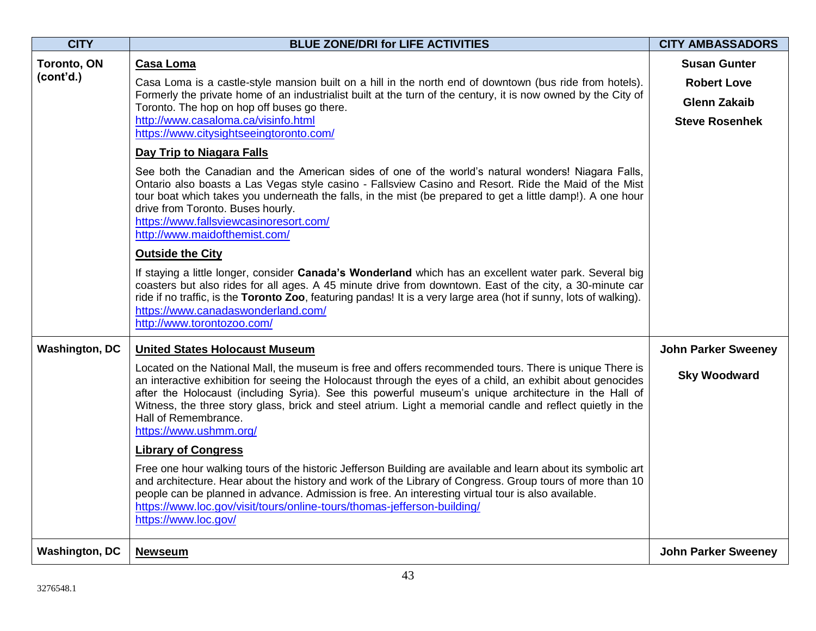| <b>CITY</b>                     | <b>BLUE ZONE/DRI for LIFE ACTIVITIES</b>                                                                                                                                                                                                                                                                                                                                                                                                                                                      | <b>CITY AMBASSADORS</b>                   |
|---------------------------------|-----------------------------------------------------------------------------------------------------------------------------------------------------------------------------------------------------------------------------------------------------------------------------------------------------------------------------------------------------------------------------------------------------------------------------------------------------------------------------------------------|-------------------------------------------|
| <b>Toronto, ON</b><br>(cont'd.) | Casa Loma<br>Casa Loma is a castle-style mansion built on a hill in the north end of downtown (bus ride from hotels).                                                                                                                                                                                                                                                                                                                                                                         | <b>Susan Gunter</b><br><b>Robert Love</b> |
|                                 | Formerly the private home of an industrialist built at the turn of the century, it is now owned by the City of                                                                                                                                                                                                                                                                                                                                                                                | <b>Glenn Zakaib</b>                       |
|                                 | Toronto. The hop on hop off buses go there.<br>http://www.casaloma.ca/visinfo.html                                                                                                                                                                                                                                                                                                                                                                                                            | <b>Steve Rosenhek</b>                     |
|                                 | https://www.citysightseeingtoronto.com/                                                                                                                                                                                                                                                                                                                                                                                                                                                       |                                           |
|                                 | Day Trip to Niagara Falls                                                                                                                                                                                                                                                                                                                                                                                                                                                                     |                                           |
|                                 | See both the Canadian and the American sides of one of the world's natural wonders! Niagara Falls,<br>Ontario also boasts a Las Vegas style casino - Fallsview Casino and Resort. Ride the Maid of the Mist<br>tour boat which takes you underneath the falls, in the mist (be prepared to get a little damp!). A one hour<br>drive from Toronto. Buses hourly.<br>https://www.fallsviewcasinoresort.com/<br>http://www.maidofthemist.com/                                                    |                                           |
|                                 | <b>Outside the City</b>                                                                                                                                                                                                                                                                                                                                                                                                                                                                       |                                           |
|                                 | If staying a little longer, consider Canada's Wonderland which has an excellent water park. Several big<br>coasters but also rides for all ages. A 45 minute drive from downtown. East of the city, a 30-minute car<br>ride if no traffic, is the Toronto Zoo, featuring pandas! It is a very large area (hot if sunny, lots of walking).<br>https://www.canadaswonderland.com/<br>http://www.torontozoo.com/                                                                                 |                                           |
| <b>Washington, DC</b>           | <b>United States Holocaust Museum</b>                                                                                                                                                                                                                                                                                                                                                                                                                                                         | <b>John Parker Sweeney</b>                |
|                                 | Located on the National Mall, the museum is free and offers recommended tours. There is unique There is<br>an interactive exhibition for seeing the Holocaust through the eyes of a child, an exhibit about genocides<br>after the Holocaust (including Syria). See this powerful museum's unique architecture in the Hall of<br>Witness, the three story glass, brick and steel atrium. Light a memorial candle and reflect quietly in the<br>Hall of Remembrance.<br>https://www.ushmm.org/ | <b>Sky Woodward</b>                       |
|                                 | <b>Library of Congress</b>                                                                                                                                                                                                                                                                                                                                                                                                                                                                    |                                           |
|                                 | Free one hour walking tours of the historic Jefferson Building are available and learn about its symbolic art<br>and architecture. Hear about the history and work of the Library of Congress. Group tours of more than 10<br>people can be planned in advance. Admission is free. An interesting virtual tour is also available.<br>https://www.loc.gov/visit/tours/online-tours/thomas-jefferson-building/<br>https://www.loc.gov/                                                          |                                           |
| <b>Washington, DC</b>           | <b>Newseum</b>                                                                                                                                                                                                                                                                                                                                                                                                                                                                                | <b>John Parker Sweeney</b>                |